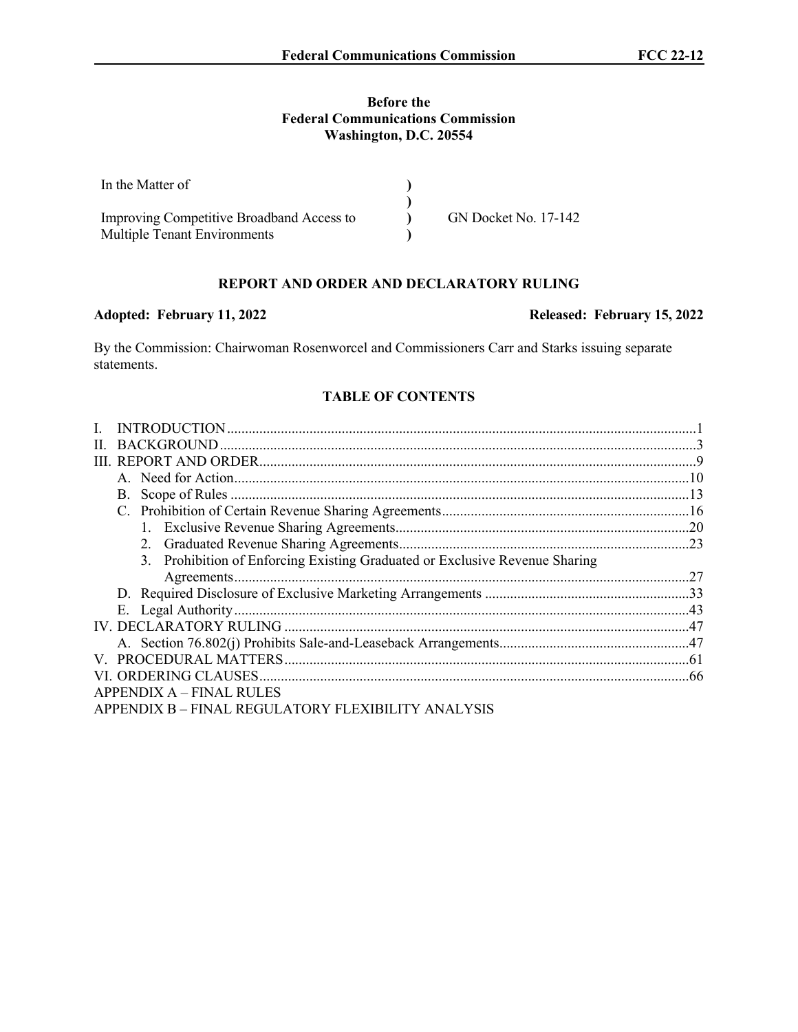### **Before the Federal Communications Commission Washington, D.C. 20554**

| In the Matter of                          |                      |
|-------------------------------------------|----------------------|
|                                           |                      |
| Improving Competitive Broadband Access to | GN Docket No. 17-142 |
| <b>Multiple Tenant Environments</b>       |                      |

# **REPORT AND ORDER AND DECLARATORY RULING**

### Adopted: February 11, 2022 **Released: February 15, 2022**

By the Commission: Chairwoman Rosenworcel and Commissioners Carr and Starks issuing separate statements.

#### **TABLE OF CONTENTS**

| 3. Prohibition of Enforcing Existing Graduated or Exclusive Revenue Sharing |  |
|-----------------------------------------------------------------------------|--|
|                                                                             |  |
|                                                                             |  |
|                                                                             |  |
|                                                                             |  |
|                                                                             |  |
|                                                                             |  |
|                                                                             |  |
| APPENDIX A – FINAL RULES                                                    |  |
| APPENDIX B – FINAL REGULATORY FLEXIBILITY ANALYSIS                          |  |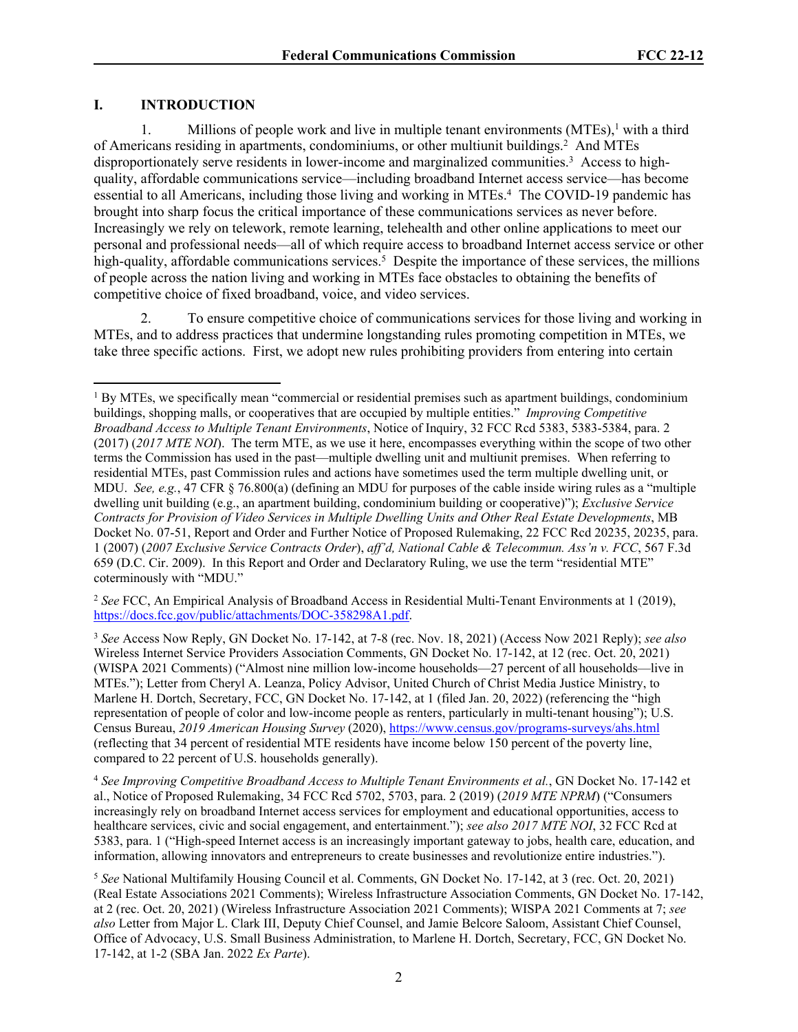### **I. INTRODUCTION**

1. Millions of people work and live in multiple tenant environments (MTEs),<sup>1</sup> with a third of Americans residing in apartments, condominiums, or other multiunit buildings.<sup>2</sup> And MTEs disproportionately serve residents in lower-income and marginalized communities.<sup>3</sup> Access to highquality, affordable communications service—including broadband Internet access service—has become essential to all Americans, including those living and working in MTEs.<sup>4</sup> The COVID-19 pandemic has brought into sharp focus the critical importance of these communications services as never before. Increasingly we rely on telework, remote learning, telehealth and other online applications to meet our personal and professional needs—all of which require access to broadband Internet access service or other high-quality, affordable communications services.<sup>5</sup> Despite the importance of these services, the millions of people across the nation living and working in MTEs face obstacles to obtaining the benefits of competitive choice of fixed broadband, voice, and video services.

2. To ensure competitive choice of communications services for those living and working in MTEs, and to address practices that undermine longstanding rules promoting competition in MTEs, we take three specific actions. First, we adopt new rules prohibiting providers from entering into certain

<sup>2</sup> *See* FCC, An Empirical Analysis of Broadband Access in Residential Multi-Tenant Environments at 1 (2019), [https://docs.fcc.gov/public/attachments/DOC-358298A1.pdf.](https://docs.fcc.gov/public/attachments/DOC-358298A1.pdf)

<sup>3</sup> *See* Access Now Reply, GN Docket No. 17-142, at 7-8 (rec. Nov. 18, 2021) (Access Now 2021 Reply); *see also*  Wireless Internet Service Providers Association Comments, GN Docket No. 17-142, at 12 (rec. Oct. 20, 2021) (WISPA 2021 Comments) ("Almost nine million low-income households—27 percent of all households—live in MTEs."); Letter from Cheryl A. Leanza, Policy Advisor, United Church of Christ Media Justice Ministry, to Marlene H. Dortch, Secretary, FCC, GN Docket No. 17-142, at 1 (filed Jan. 20, 2022) (referencing the "high representation of people of color and low-income people as renters, particularly in multi-tenant housing"); U.S. Census Bureau, *2019 American Housing Survey* (2020), <https://www.census.gov/programs-surveys/ahs.html> (reflecting that 34 percent of residential MTE residents have income below 150 percent of the poverty line, compared to 22 percent of U.S. households generally).

<sup>4</sup> *See Improving Competitive Broadband Access to Multiple Tenant Environments et al.*, GN Docket No. 17-142 et al., Notice of Proposed Rulemaking, 34 FCC Rcd 5702, 5703, para. 2 (2019) (*2019 MTE NPRM*) ("Consumers increasingly rely on broadband Internet access services for employment and educational opportunities, access to healthcare services, civic and social engagement, and entertainment."); *see also 2017 MTE NOI*, 32 FCC Rcd at 5383, para. 1 ("High-speed Internet access is an increasingly important gateway to jobs, health care, education, and information, allowing innovators and entrepreneurs to create businesses and revolutionize entire industries.").

<sup>5</sup> *See* National Multifamily Housing Council et al. Comments, GN Docket No. 17-142, at 3 (rec. Oct. 20, 2021) (Real Estate Associations 2021 Comments); Wireless Infrastructure Association Comments, GN Docket No. 17-142, at 2 (rec. Oct. 20, 2021) (Wireless Infrastructure Association 2021 Comments); WISPA 2021 Comments at 7; *see also* Letter from Major L. Clark III, Deputy Chief Counsel, and Jamie Belcore Saloom, Assistant Chief Counsel, Office of Advocacy, U.S. Small Business Administration, to Marlene H. Dortch, Secretary, FCC, GN Docket No. 17-142, at 1-2 (SBA Jan. 2022 *Ex Parte*).

<sup>&</sup>lt;sup>1</sup> By MTEs, we specifically mean "commercial or residential premises such as apartment buildings, condominium buildings, shopping malls, or cooperatives that are occupied by multiple entities." *Improving Competitive Broadband Access to Multiple Tenant Environments*, Notice of Inquiry, 32 FCC Rcd 5383, 5383-5384, para. 2 (2017) (*2017 MTE NOI*). The term MTE, as we use it here, encompasses everything within the scope of two other terms the Commission has used in the past—multiple dwelling unit and multiunit premises. When referring to residential MTEs, past Commission rules and actions have sometimes used the term multiple dwelling unit, or MDU. *See, e.g.*, 47 CFR § 76.800(a) (defining an MDU for purposes of the cable inside wiring rules as a "multiple dwelling unit building (e.g., an apartment building, condominium building or cooperative)"); *Exclusive Service Contracts for Provision of Video Services in Multiple Dwelling Units and Other Real Estate Developments*, MB Docket No. 07-51, Report and Order and Further Notice of Proposed Rulemaking, 22 FCC Rcd 20235, 20235, para. 1 (2007) (*2007 Exclusive Service Contracts Order*), *aff'd, National Cable & Telecommun. Ass'n v. FCC*, 567 F.3d 659 (D.C. Cir. 2009). In this Report and Order and Declaratory Ruling, we use the term "residential MTE" coterminously with "MDU."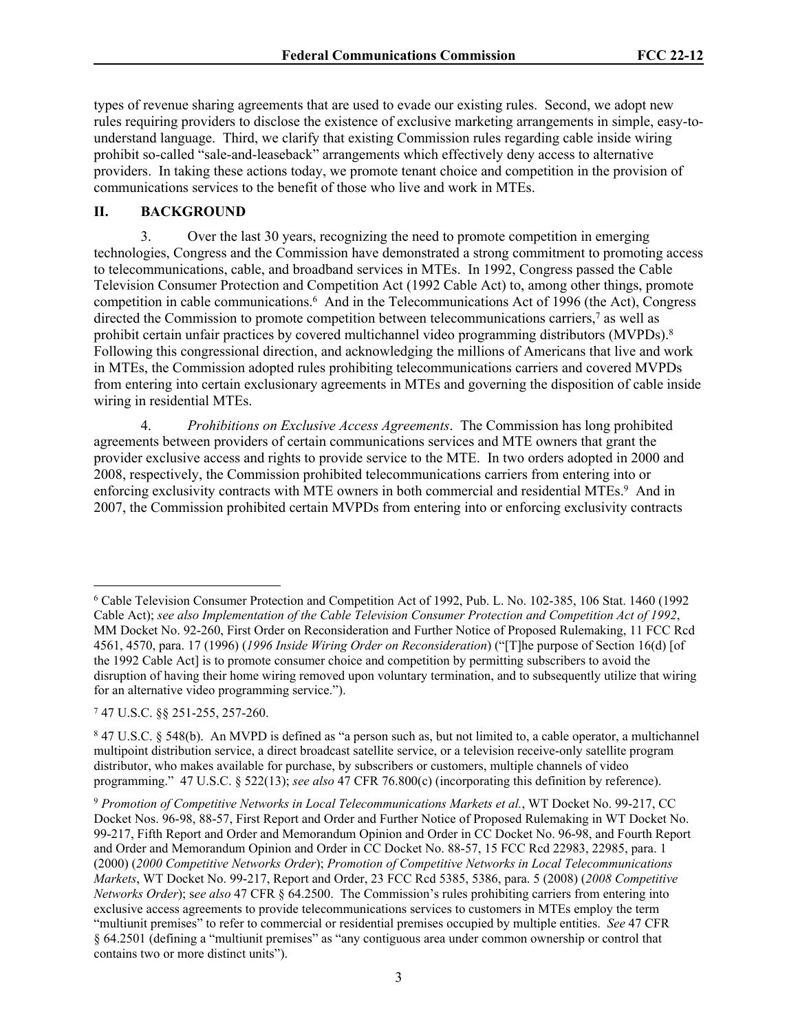types of revenue sharing agreements that are used to evade our existing rules. Second, we adopt new rules requiring providers to disclose the existence of exclusive marketing arrangements in simple, easy-tounderstand language. Third, we clarify that existing Commission rules regarding cable inside wiring prohibit so-called "sale-and-leaseback" arrangements which effectively deny access to alternative providers. In taking these actions today, we promote tenant choice and competition in the provision of communications services to the benefit of those who live and work in MTEs.

## **II. BACKGROUND**

3. Over the last 30 years, recognizing the need to promote competition in emerging technologies, Congress and the Commission have demonstrated a strong commitment to promoting access to telecommunications, cable, and broadband services in MTEs. In 1992, Congress passed the Cable Television Consumer Protection and Competition Act (1992 Cable Act) to, among other things, promote competition in cable communications.<sup>6</sup> And in the Telecommunications Act of 1996 (the Act), Congress directed the Commission to promote competition between telecommunications carriers,<sup>7</sup> as well as prohibit certain unfair practices by covered multichannel video programming distributors (MVPDs).<sup>8</sup> Following this congressional direction, and acknowledging the millions of Americans that live and work in MTEs, the Commission adopted rules prohibiting telecommunications carriers and covered MVPDs from entering into certain exclusionary agreements in MTEs and governing the disposition of cable inside wiring in residential MTEs.

4. *Prohibitions on Exclusive Access Agreements*. The Commission has long prohibited agreements between providers of certain communications services and MTE owners that grant the provider exclusive access and rights to provide service to the MTE. In two orders adopted in 2000 and 2008, respectively, the Commission prohibited telecommunications carriers from entering into or enforcing exclusivity contracts with MTE owners in both commercial and residential MTEs.<sup>9</sup> And in 2007, the Commission prohibited certain MVPDs from entering into or enforcing exclusivity contracts

<sup>6</sup> Cable Television Consumer Protection and Competition Act of 1992, Pub. L. No. 102-385, 106 Stat. 1460 (1992 Cable Act); *see also Implementation of the Cable Television Consumer Protection and Competition Act of 1992*, MM Docket No. 92-260, First Order on Reconsideration and Further Notice of Proposed Rulemaking, 11 FCC Rcd 4561, 4570, para. 17 (1996) (*1996 Inside Wiring Order on Reconsideration*) ("[T]he purpose of Section 16(d) [of the 1992 Cable Act] is to promote consumer choice and competition by permitting subscribers to avoid the disruption of having their home wiring removed upon voluntary termination, and to subsequently utilize that wiring for an alternative video programming service.").

<sup>7</sup> 47 U.S.C. §§ 251-255, 257-260.

<sup>8</sup> 47 U.S.C. § 548(b). An MVPD is defined as "a person such as, but not limited to, a cable operator, a multichannel multipoint distribution service, a direct broadcast satellite service, or a television receive-only satellite program distributor, who makes available for purchase, by subscribers or customers, multiple channels of video programming." 47 U.S.C. § 522(13); *see also* 47 CFR 76.800(c) (incorporating this definition by reference).

<sup>9</sup> *Promotion of Competitive Networks in Local Telecommunications Markets et al.*, WT Docket No. 99-217, CC Docket Nos. 96-98, 88-57, First Report and Order and Further Notice of Proposed Rulemaking in WT Docket No. 99-217, Fifth Report and Order and Memorandum Opinion and Order in CC Docket No. 96-98, and Fourth Report and Order and Memorandum Opinion and Order in CC Docket No. 88-57, 15 FCC Rcd 22983, 22985, para. 1 (2000) (*2000 Competitive Networks Order*); *Promotion of Competitive Networks in Local Telecommunications Markets*, WT Docket No. 99-217, Report and Order, 23 FCC Rcd 5385, 5386, para. 5 (2008) (*2008 Competitive Networks Order*); s*ee also* 47 CFR § 64.2500. The Commission's rules prohibiting carriers from entering into exclusive access agreements to provide telecommunications services to customers in MTEs employ the term "multiunit premises" to refer to commercial or residential premises occupied by multiple entities. *See* 47 CFR § 64.2501 (defining a "multiunit premises" as "any contiguous area under common ownership or control that contains two or more distinct units").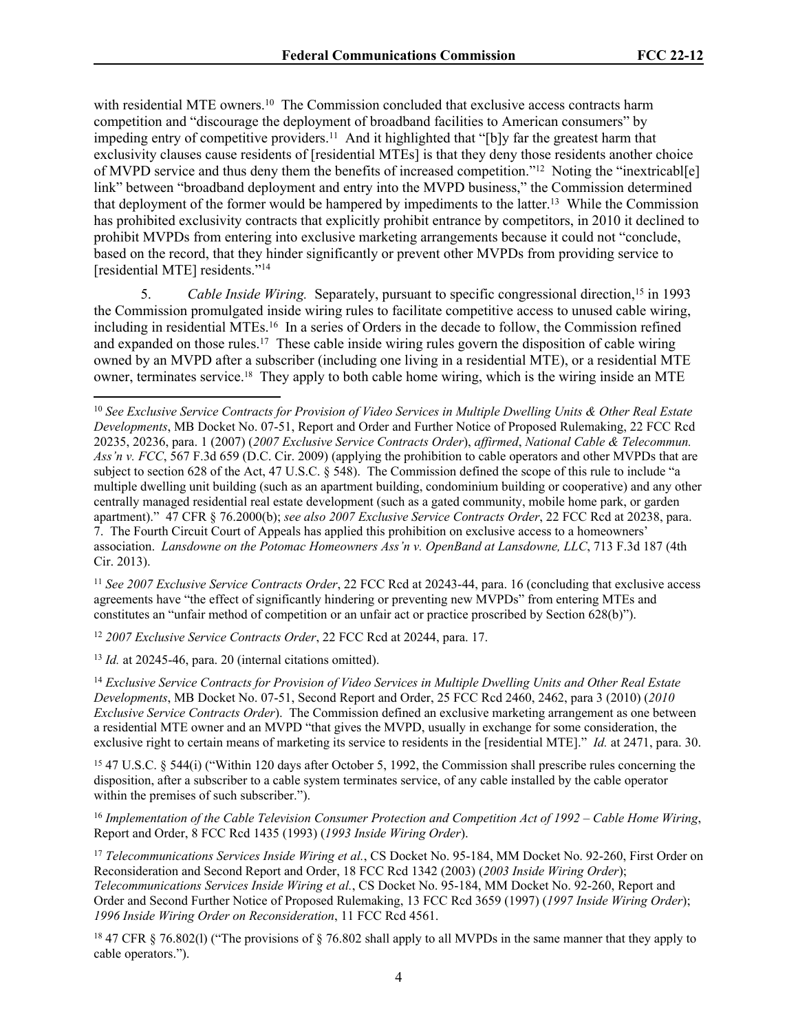with residential MTE owners.<sup>10</sup> The Commission concluded that exclusive access contracts harm competition and "discourage the deployment of broadband facilities to American consumers" by impeding entry of competitive providers.<sup>11</sup> And it highlighted that "[b]y far the greatest harm that exclusivity clauses cause residents of [residential MTEs] is that they deny those residents another choice of MVPD service and thus deny them the benefits of increased competition."<sup>12</sup> Noting the "inextricabl[e] link" between "broadband deployment and entry into the MVPD business," the Commission determined that deployment of the former would be hampered by impediments to the latter.<sup>13</sup> While the Commission has prohibited exclusivity contracts that explicitly prohibit entrance by competitors, in 2010 it declined to prohibit MVPDs from entering into exclusive marketing arrangements because it could not "conclude, based on the record, that they hinder significantly or prevent other MVPDs from providing service to [residential MTE] residents."<sup>14</sup>

5. Cable Inside Wiring. Separately, pursuant to specific congressional direction,<sup>15</sup> in 1993 the Commission promulgated inside wiring rules to facilitate competitive access to unused cable wiring, including in residential MTEs.<sup>16</sup> In a series of Orders in the decade to follow, the Commission refined and expanded on those rules.<sup>17</sup> These cable inside wiring rules govern the disposition of cable wiring owned by an MVPD after a subscriber (including one living in a residential MTE), or a residential MTE owner, terminates service.<sup>18</sup> They apply to both cable home wiring, which is the wiring inside an MTE

<sup>11</sup> *See 2007 Exclusive Service Contracts Order*, 22 FCC Rcd at 20243-44, para. 16 (concluding that exclusive access agreements have "the effect of significantly hindering or preventing new MVPDs" from entering MTEs and constitutes an "unfair method of competition or an unfair act or practice proscribed by Section 628(b)").

<sup>12</sup> *2007 Exclusive Service Contracts Order*, 22 FCC Rcd at 20244, para. 17.

<sup>13</sup> *Id.* at 20245-46, para. 20 (internal citations omitted).

<sup>14</sup> *Exclusive Service Contracts for Provision of Video Services in Multiple Dwelling Units and Other Real Estate Developments*, MB Docket No. 07-51, Second Report and Order, 25 FCC Rcd 2460, 2462, para 3 (2010) (*2010 Exclusive Service Contracts Order*). The Commission defined an exclusive marketing arrangement as one between a residential MTE owner and an MVPD "that gives the MVPD, usually in exchange for some consideration, the exclusive right to certain means of marketing its service to residents in the [residential MTE]." *Id.* at 2471, para. 30.

<sup>15</sup> 47 U.S.C. § 544(i) ("Within 120 days after October 5, 1992, the Commission shall prescribe rules concerning the disposition, after a subscriber to a cable system terminates service, of any cable installed by the cable operator within the premises of such subscriber.").

<sup>16</sup> *Implementation of the Cable Television Consumer Protection and Competition Act of 1992 – Cable Home Wiring*, Report and Order, 8 FCC Rcd 1435 (1993) (*1993 Inside Wiring Order*).

<sup>17</sup> *Telecommunications Services Inside Wiring et al.*, CS Docket No. 95-184, MM Docket No. 92-260, First Order on Reconsideration and Second Report and Order, 18 FCC Rcd 1342 (2003) (*2003 Inside Wiring Order*); *Telecommunications Services Inside Wiring et al.*, CS Docket No. 95-184, MM Docket No. 92-260, Report and Order and Second Further Notice of Proposed Rulemaking, 13 FCC Rcd 3659 (1997) (*1997 Inside Wiring Order*); *1996 Inside Wiring Order on Reconsideration*, 11 FCC Rcd 4561.

<sup>18</sup> 47 CFR § 76.802(l) ("The provisions of § 76.802 shall apply to all MVPDs in the same manner that they apply to cable operators.").

<sup>10</sup> *See Exclusive Service Contracts for Provision of Video Services in Multiple Dwelling Units & Other Real Estate Developments*, MB Docket No. 07-51, Report and Order and Further Notice of Proposed Rulemaking, 22 FCC Rcd 20235, 20236, para. 1 (2007) (*2007 Exclusive Service Contracts Order*), *affirmed*, *National Cable & Telecommun. Ass'n v. FCC*, 567 F.3d 659 (D.C. Cir. 2009) (applying the prohibition to cable operators and other MVPDs that are subject to section 628 of the Act, 47 U.S.C. § 548). The Commission defined the scope of this rule to include "a multiple dwelling unit building (such as an apartment building, condominium building or cooperative) and any other centrally managed residential real estate development (such as a gated community, mobile home park, or garden apartment)." 47 CFR § 76.2000(b); *see also 2007 Exclusive Service Contracts Order*, 22 FCC Rcd at 20238, para. 7. The Fourth Circuit Court of Appeals has applied this prohibition on exclusive access to a homeowners' association. *Lansdowne on the Potomac Homeowners Ass'n v. OpenBand at Lansdowne, LLC*, 713 F.3d 187 (4th Cir. 2013).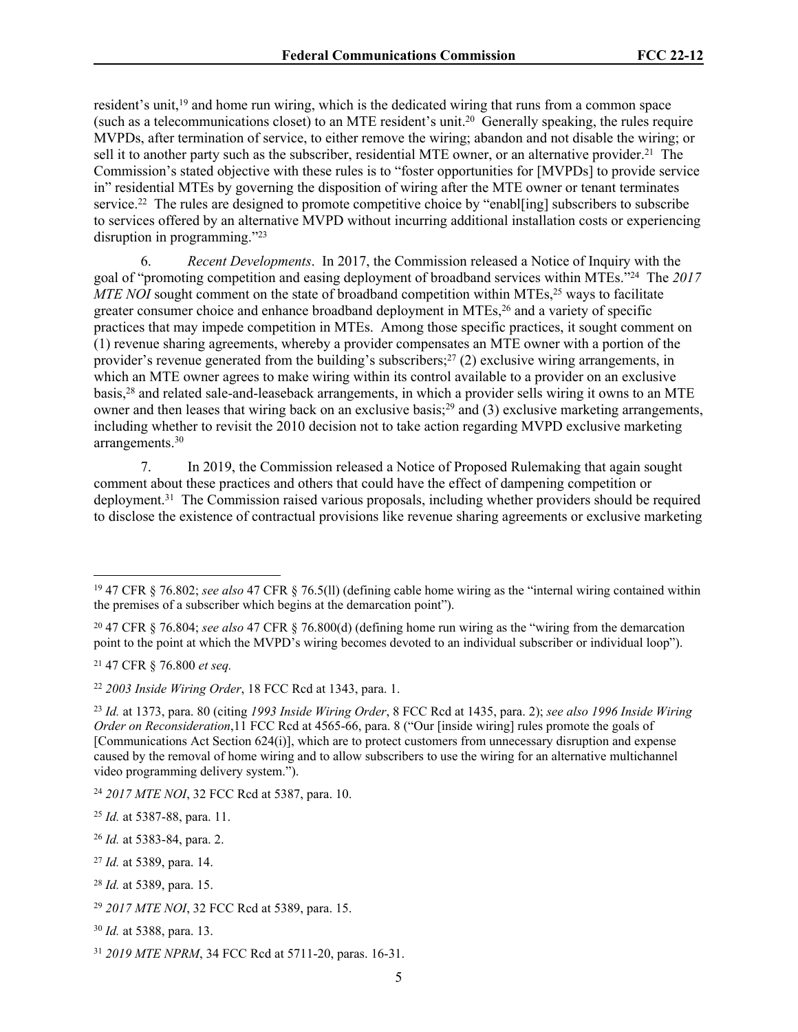resident's unit,<sup>19</sup> and home run wiring, which is the dedicated wiring that runs from a common space (such as a telecommunications closet) to an MTE resident's unit.<sup>20</sup> Generally speaking, the rules require MVPDs, after termination of service, to either remove the wiring; abandon and not disable the wiring; or sell it to another party such as the subscriber, residential MTE owner, or an alternative provider.<sup>21</sup> The Commission's stated objective with these rules is to "foster opportunities for [MVPDs] to provide service in" residential MTEs by governing the disposition of wiring after the MTE owner or tenant terminates service.<sup>22</sup> The rules are designed to promote competitive choice by "enabl[ing] subscribers to subscribe to services offered by an alternative MVPD without incurring additional installation costs or experiencing disruption in programming."<sup>23</sup>

6. *Recent Developments*. In 2017, the Commission released a Notice of Inquiry with the goal of "promoting competition and easing deployment of broadband services within MTEs."<sup>24</sup> The *2017 MTE NOI* sought comment on the state of broadband competition within MTEs,<sup>25</sup> ways to facilitate greater consumer choice and enhance broadband deployment in MTEs,<sup>26</sup> and a variety of specific practices that may impede competition in MTEs. Among those specific practices, it sought comment on (1) revenue sharing agreements, whereby a provider compensates an MTE owner with a portion of the provider's revenue generated from the building's subscribers;<sup>27</sup> (2) exclusive wiring arrangements, in which an MTE owner agrees to make wiring within its control available to a provider on an exclusive basis,<sup>28</sup> and related sale-and-leaseback arrangements, in which a provider sells wiring it owns to an MTE owner and then leases that wiring back on an exclusive basis;<sup>29</sup> and (3) exclusive marketing arrangements, including whether to revisit the 2010 decision not to take action regarding MVPD exclusive marketing arrangements.<sup>30</sup>

7. In 2019, the Commission released a Notice of Proposed Rulemaking that again sought comment about these practices and others that could have the effect of dampening competition or deployment.<sup>31</sup> The Commission raised various proposals, including whether providers should be required to disclose the existence of contractual provisions like revenue sharing agreements or exclusive marketing

<sup>19</sup> 47 CFR § 76.802; *see also* 47 CFR § 76.5(ll) (defining cable home wiring as the "internal wiring contained within the premises of a subscriber which begins at the demarcation point").

<sup>20</sup> 47 CFR § 76.804; *see also* 47 CFR § 76.800(d) (defining home run wiring as the "wiring from the demarcation point to the point at which the MVPD's wiring becomes devoted to an individual subscriber or individual loop").

<sup>21</sup> 47 CFR § 76.800 *et seq.*

<sup>22</sup> *2003 Inside Wiring Order*, 18 FCC Rcd at 1343, para. 1.

<sup>23</sup> *Id.* at 1373, para. 80 (citing *1993 Inside Wiring Order*, 8 FCC Rcd at 1435, para. 2); *see also 1996 Inside Wiring Order on Reconsideration*,11 FCC Rcd at 4565-66, para. 8 ("Our [inside wiring] rules promote the goals of [Communications Act Section 624(i)], which are to protect customers from unnecessary disruption and expense caused by the removal of home wiring and to allow subscribers to use the wiring for an alternative multichannel video programming delivery system.").

<sup>24</sup> *2017 MTE NOI*, 32 FCC Rcd at 5387, para. 10.

<sup>25</sup> *Id.* at 5387-88, para. 11.

<sup>26</sup> *Id.* at 5383-84, para. 2.

<sup>27</sup> *Id.* at 5389, para. 14.

<sup>28</sup> *Id.* at 5389, para. 15.

<sup>29</sup> *2017 MTE NOI*, 32 FCC Rcd at 5389, para. 15.

<sup>30</sup> *Id.* at 5388, para. 13.

<sup>31</sup> *2019 MTE NPRM*, 34 FCC Rcd at 5711-20, paras. 16-31.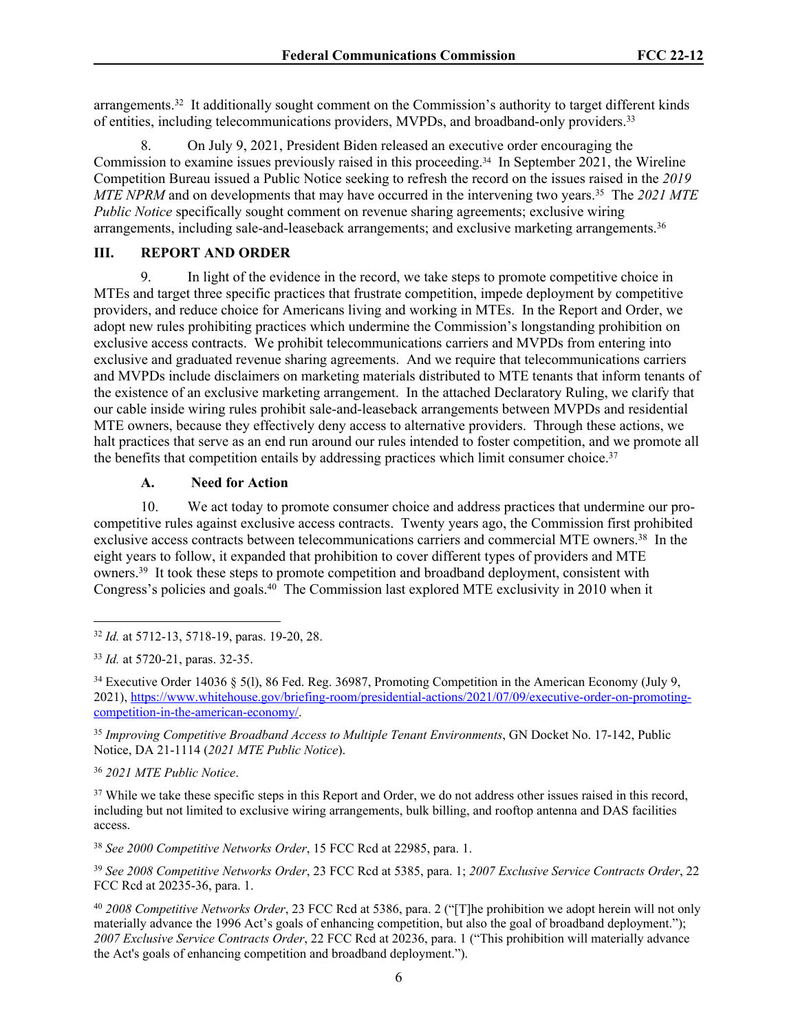arrangements.<sup>32</sup> It additionally sought comment on the Commission's authority to target different kinds of entities, including telecommunications providers, MVPDs, and broadband-only providers.<sup>33</sup>

8. On July 9, 2021, President Biden released an executive order encouraging the Commission to examine issues previously raised in this proceeding.34 In September 2021, the Wireline Competition Bureau issued a Public Notice seeking to refresh the record on the issues raised in the *2019 MTE NPRM* and on developments that may have occurred in the intervening two years.<sup>35</sup> The *2021 MTE Public Notice* specifically sought comment on revenue sharing agreements; exclusive wiring arrangements, including sale-and-leaseback arrangements; and exclusive marketing arrangements.<sup>36</sup>

## **III. REPORT AND ORDER**

9. In light of the evidence in the record, we take steps to promote competitive choice in MTEs and target three specific practices that frustrate competition, impede deployment by competitive providers, and reduce choice for Americans living and working in MTEs. In the Report and Order, we adopt new rules prohibiting practices which undermine the Commission's longstanding prohibition on exclusive access contracts. We prohibit telecommunications carriers and MVPDs from entering into exclusive and graduated revenue sharing agreements. And we require that telecommunications carriers and MVPDs include disclaimers on marketing materials distributed to MTE tenants that inform tenants of the existence of an exclusive marketing arrangement. In the attached Declaratory Ruling, we clarify that our cable inside wiring rules prohibit sale-and-leaseback arrangements between MVPDs and residential MTE owners, because they effectively deny access to alternative providers. Through these actions, we halt practices that serve as an end run around our rules intended to foster competition, and we promote all the benefits that competition entails by addressing practices which limit consumer choice.<sup>37</sup>

## **A. Need for Action**

10. We act today to promote consumer choice and address practices that undermine our procompetitive rules against exclusive access contracts. Twenty years ago, the Commission first prohibited exclusive access contracts between telecommunications carriers and commercial MTE owners.<sup>38</sup> In the eight years to follow, it expanded that prohibition to cover different types of providers and MTE owners.<sup>39</sup> It took these steps to promote competition and broadband deployment, consistent with Congress's policies and goals.<sup>40</sup> The Commission last explored MTE exclusivity in 2010 when it

<sup>35</sup> *Improving Competitive Broadband Access to Multiple Tenant Environments*, GN Docket No. 17-142, Public Notice, DA 21-1114 (*2021 MTE Public Notice*).

<sup>36</sup> *2021 MTE Public Notice*.

<sup>37</sup> While we take these specific steps in this Report and Order, we do not address other issues raised in this record, including but not limited to exclusive wiring arrangements, bulk billing, and rooftop antenna and DAS facilities access.

<sup>38</sup> *See 2000 Competitive Networks Order*, 15 FCC Rcd at 22985, para. 1.

<sup>39</sup> *See 2008 Competitive Networks Order*, 23 FCC Rcd at 5385, para. 1; *2007 Exclusive Service Contracts Order*, 22 FCC Rcd at 20235-36, para. 1.

<sup>32</sup> *Id.* at 5712-13, 5718-19, paras. 19-20, 28.

<sup>33</sup> *Id.* at 5720-21, paras. 32-35.

<sup>34</sup> Executive Order 14036 § 5(l), 86 Fed. Reg. 36987, Promoting Competition in the American Economy (July 9, 2021), [https://www.whitehouse.gov/briefing-room/presidential-actions/2021/07/09/executive-order-on-promoting](https://www.whitehouse.gov/briefing-room/presidential-actions/2021/07/09/executive-order-on-promoting-competition-in-the-american-economy/)[competition-in-the-american-economy/](https://www.whitehouse.gov/briefing-room/presidential-actions/2021/07/09/executive-order-on-promoting-competition-in-the-american-economy/).

<sup>40</sup> *2008 Competitive Networks Order*, 23 FCC Rcd at 5386, para. 2 ("[T]he prohibition we adopt herein will not only materially advance the 1996 Act's goals of enhancing competition, but also the goal of broadband deployment."); *2007 Exclusive Service Contracts Order*, 22 FCC Rcd at 20236, para. 1 ("This prohibition will materially advance the Act's goals of enhancing competition and broadband deployment.").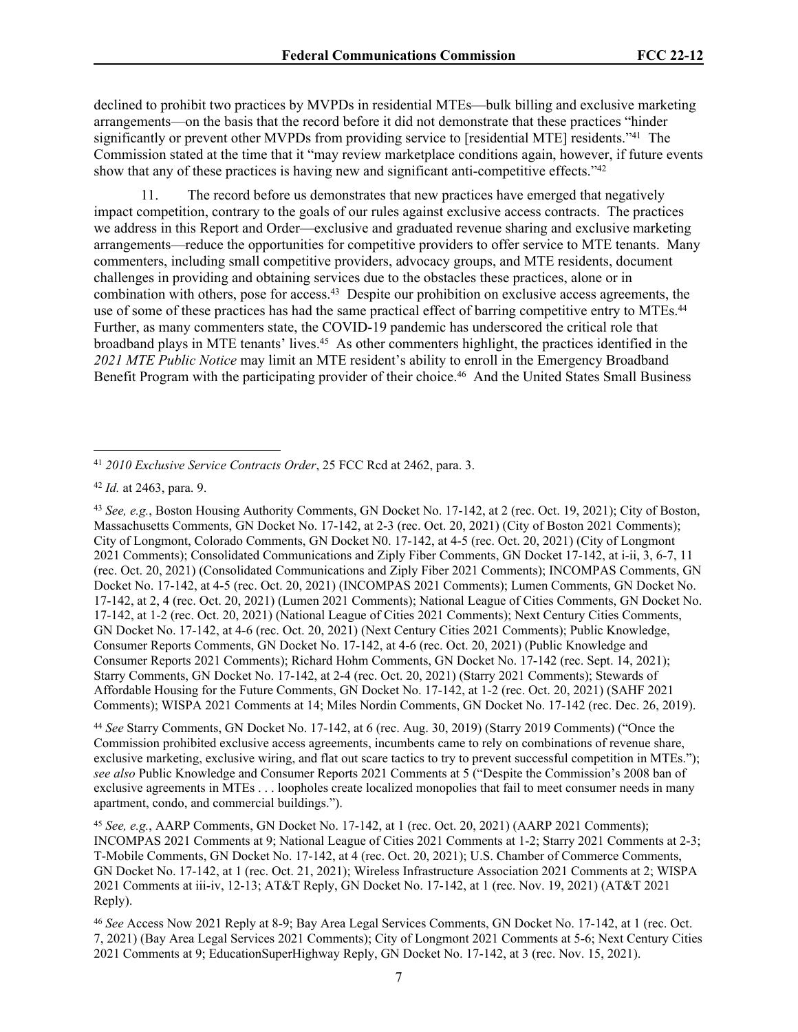declined to prohibit two practices by MVPDs in residential MTEs—bulk billing and exclusive marketing arrangements—on the basis that the record before it did not demonstrate that these practices "hinder significantly or prevent other MVPDs from providing service to [residential MTE] residents."<sup>41</sup> The Commission stated at the time that it "may review marketplace conditions again, however, if future events show that any of these practices is having new and significant anti-competitive effects."<sup>42</sup>

11. The record before us demonstrates that new practices have emerged that negatively impact competition, contrary to the goals of our rules against exclusive access contracts. The practices we address in this Report and Order—exclusive and graduated revenue sharing and exclusive marketing arrangements—reduce the opportunities for competitive providers to offer service to MTE tenants. Many commenters, including small competitive providers, advocacy groups, and MTE residents, document challenges in providing and obtaining services due to the obstacles these practices, alone or in combination with others, pose for access.<sup>43</sup> Despite our prohibition on exclusive access agreements, the use of some of these practices has had the same practical effect of barring competitive entry to MTEs.<sup>44</sup> Further, as many commenters state, the COVID-19 pandemic has underscored the critical role that broadband plays in MTE tenants' lives.<sup>45</sup> As other commenters highlight, the practices identified in the *2021 MTE Public Notice* may limit an MTE resident's ability to enroll in the Emergency Broadband Benefit Program with the participating provider of their choice.<sup>46</sup> And the United States Small Business

<sup>43</sup> *See, e.g.*, Boston Housing Authority Comments, GN Docket No. 17-142, at 2 (rec. Oct. 19, 2021); City of Boston, Massachusetts Comments, GN Docket No. 17-142, at 2-3 (rec. Oct. 20, 2021) (City of Boston 2021 Comments); City of Longmont, Colorado Comments, GN Docket N0. 17-142, at 4-5 (rec. Oct. 20, 2021) (City of Longmont 2021 Comments); Consolidated Communications and Ziply Fiber Comments, GN Docket 17-142, at i-ii, 3, 6-7, 11 (rec. Oct. 20, 2021) (Consolidated Communications and Ziply Fiber 2021 Comments); INCOMPAS Comments, GN Docket No. 17-142, at 4-5 (rec. Oct. 20, 2021) (INCOMPAS 2021 Comments); Lumen Comments, GN Docket No. 17-142, at 2, 4 (rec. Oct. 20, 2021) (Lumen 2021 Comments); National League of Cities Comments, GN Docket No. 17-142, at 1-2 (rec. Oct. 20, 2021) (National League of Cities 2021 Comments); Next Century Cities Comments, GN Docket No. 17-142, at 4-6 (rec. Oct. 20, 2021) (Next Century Cities 2021 Comments); Public Knowledge, Consumer Reports Comments, GN Docket No. 17-142, at 4-6 (rec. Oct. 20, 2021) (Public Knowledge and Consumer Reports 2021 Comments); Richard Hohm Comments, GN Docket No. 17-142 (rec. Sept. 14, 2021); Starry Comments, GN Docket No. 17-142, at 2-4 (rec. Oct. 20, 2021) (Starry 2021 Comments); Stewards of Affordable Housing for the Future Comments, GN Docket No. 17-142, at 1-2 (rec. Oct. 20, 2021) (SAHF 2021 Comments); WISPA 2021 Comments at 14; Miles Nordin Comments, GN Docket No. 17-142 (rec. Dec. 26, 2019).

<sup>44</sup> *See* Starry Comments, GN Docket No. 17-142, at 6 (rec. Aug. 30, 2019) (Starry 2019 Comments) ("Once the Commission prohibited exclusive access agreements, incumbents came to rely on combinations of revenue share, exclusive marketing, exclusive wiring, and flat out scare tactics to try to prevent successful competition in MTEs."); *see also* Public Knowledge and Consumer Reports 2021 Comments at 5 ("Despite the Commission's 2008 ban of exclusive agreements in MTEs . . . loopholes create localized monopolies that fail to meet consumer needs in many apartment, condo, and commercial buildings.").

<sup>45</sup> *See, e.g.*, AARP Comments, GN Docket No. 17-142, at 1 (rec. Oct. 20, 2021) (AARP 2021 Comments); INCOMPAS 2021 Comments at 9; National League of Cities 2021 Comments at 1-2; Starry 2021 Comments at 2-3; T-Mobile Comments, GN Docket No. 17-142, at 4 (rec. Oct. 20, 2021); U.S. Chamber of Commerce Comments, GN Docket No. 17-142, at 1 (rec. Oct. 21, 2021); Wireless Infrastructure Association 2021 Comments at 2; WISPA 2021 Comments at iii-iv, 12-13; AT&T Reply, GN Docket No. 17-142, at 1 (rec. Nov. 19, 2021) (AT&T 2021 Reply).

<sup>46</sup> *See* Access Now 2021 Reply at 8-9; Bay Area Legal Services Comments, GN Docket No. 17-142, at 1 (rec. Oct. 7, 2021) (Bay Area Legal Services 2021 Comments); City of Longmont 2021 Comments at 5-6; Next Century Cities 2021 Comments at 9; EducationSuperHighway Reply, GN Docket No. 17-142, at 3 (rec. Nov. 15, 2021).

<sup>41</sup> *2010 Exclusive Service Contracts Order*, 25 FCC Rcd at 2462, para. 3.

<sup>42</sup> *Id.* at 2463, para. 9.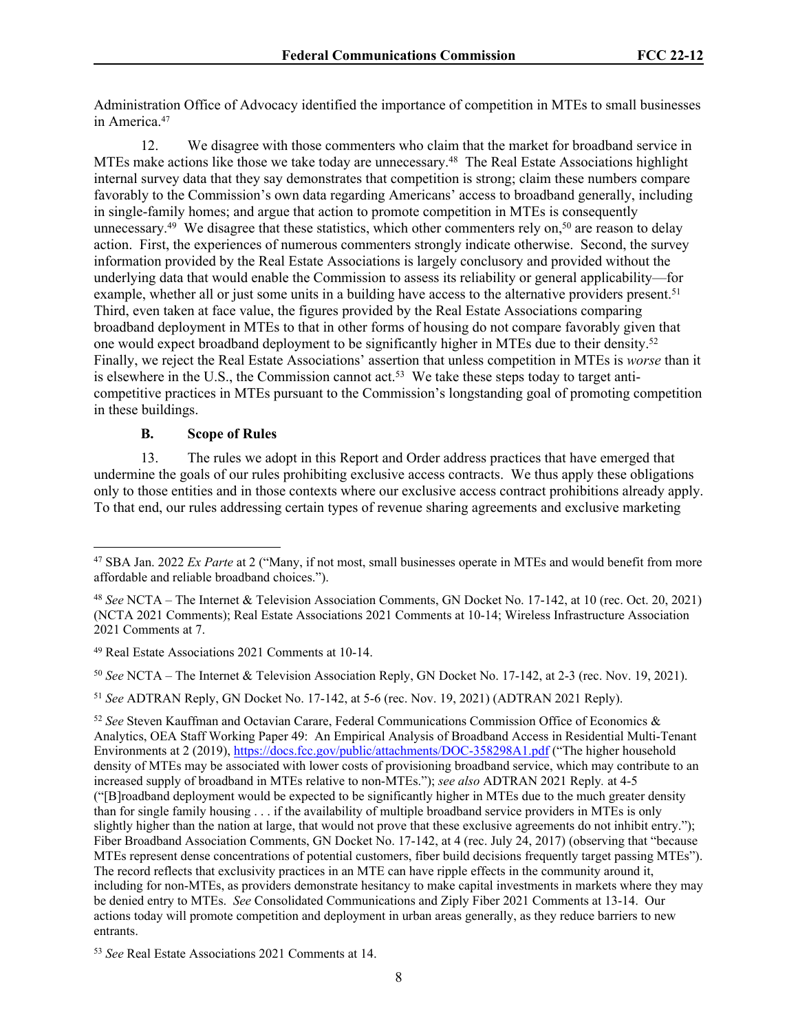Administration Office of Advocacy identified the importance of competition in MTEs to small businesses in America<sup>47</sup>

12. We disagree with those commenters who claim that the market for broadband service in MTEs make actions like those we take today are unnecessary.<sup>48</sup> The Real Estate Associations highlight internal survey data that they say demonstrates that competition is strong; claim these numbers compare favorably to the Commission's own data regarding Americans' access to broadband generally, including in single-family homes; and argue that action to promote competition in MTEs is consequently unnecessary.<sup>49</sup> We disagree that these statistics, which other commenters rely on,<sup>50</sup> are reason to delay action. First, the experiences of numerous commenters strongly indicate otherwise. Second, the survey information provided by the Real Estate Associations is largely conclusory and provided without the underlying data that would enable the Commission to assess its reliability or general applicability—for example, whether all or just some units in a building have access to the alternative providers present.<sup>51</sup> Third, even taken at face value, the figures provided by the Real Estate Associations comparing broadband deployment in MTEs to that in other forms of housing do not compare favorably given that one would expect broadband deployment to be significantly higher in MTEs due to their density.<sup>52</sup> Finally, we reject the Real Estate Associations' assertion that unless competition in MTEs is *worse* than it is elsewhere in the U.S., the Commission cannot act.<sup>53</sup> We take these steps today to target anticompetitive practices in MTEs pursuant to the Commission's longstanding goal of promoting competition in these buildings.

#### **B. Scope of Rules**

13. The rules we adopt in this Report and Order address practices that have emerged that undermine the goals of our rules prohibiting exclusive access contracts. We thus apply these obligations only to those entities and in those contexts where our exclusive access contract prohibitions already apply. To that end, our rules addressing certain types of revenue sharing agreements and exclusive marketing

<sup>47</sup> SBA Jan. 2022 *Ex Parte* at 2 ("Many, if not most, small businesses operate in MTEs and would benefit from more affordable and reliable broadband choices.").

<sup>48</sup> *See* NCTA – The Internet & Television Association Comments, GN Docket No. 17-142, at 10 (rec. Oct. 20, 2021) (NCTA 2021 Comments); Real Estate Associations 2021 Comments at 10-14; Wireless Infrastructure Association 2021 Comments at 7.

<sup>49</sup> Real Estate Associations 2021 Comments at 10-14.

<sup>50</sup> *See* NCTA – The Internet & Television Association Reply, GN Docket No. 17-142, at 2-3 (rec. Nov. 19, 2021).

<sup>51</sup> *See* ADTRAN Reply, GN Docket No. 17-142, at 5-6 (rec. Nov. 19, 2021) (ADTRAN 2021 Reply).

<sup>52</sup> *See* Steven Kauffman and Octavian Carare, Federal Communications Commission Office of Economics & Analytics, OEA Staff Working Paper 49: An Empirical Analysis of Broadband Access in Residential Multi-Tenant Environments at 2 (2019),<https://docs.fcc.gov/public/attachments/DOC-358298A1.pdf> ("The higher household density of MTEs may be associated with lower costs of provisioning broadband service, which may contribute to an increased supply of broadband in MTEs relative to non-MTEs."); *see also* ADTRAN 2021 Reply*.* at 4-5 ("[B]roadband deployment would be expected to be significantly higher in MTEs due to the much greater density than for single family housing . . . if the availability of multiple broadband service providers in MTEs is only slightly higher than the nation at large, that would not prove that these exclusive agreements do not inhibit entry."); Fiber Broadband Association Comments, GN Docket No. 17-142, at 4 (rec. July 24, 2017) (observing that "because MTEs represent dense concentrations of potential customers, fiber build decisions frequently target passing MTEs"). The record reflects that exclusivity practices in an MTE can have ripple effects in the community around it, including for non-MTEs, as providers demonstrate hesitancy to make capital investments in markets where they may be denied entry to MTEs. *See* Consolidated Communications and Ziply Fiber 2021 Comments at 13-14. Our actions today will promote competition and deployment in urban areas generally, as they reduce barriers to new entrants.

<sup>53</sup> *See* Real Estate Associations 2021 Comments at 14.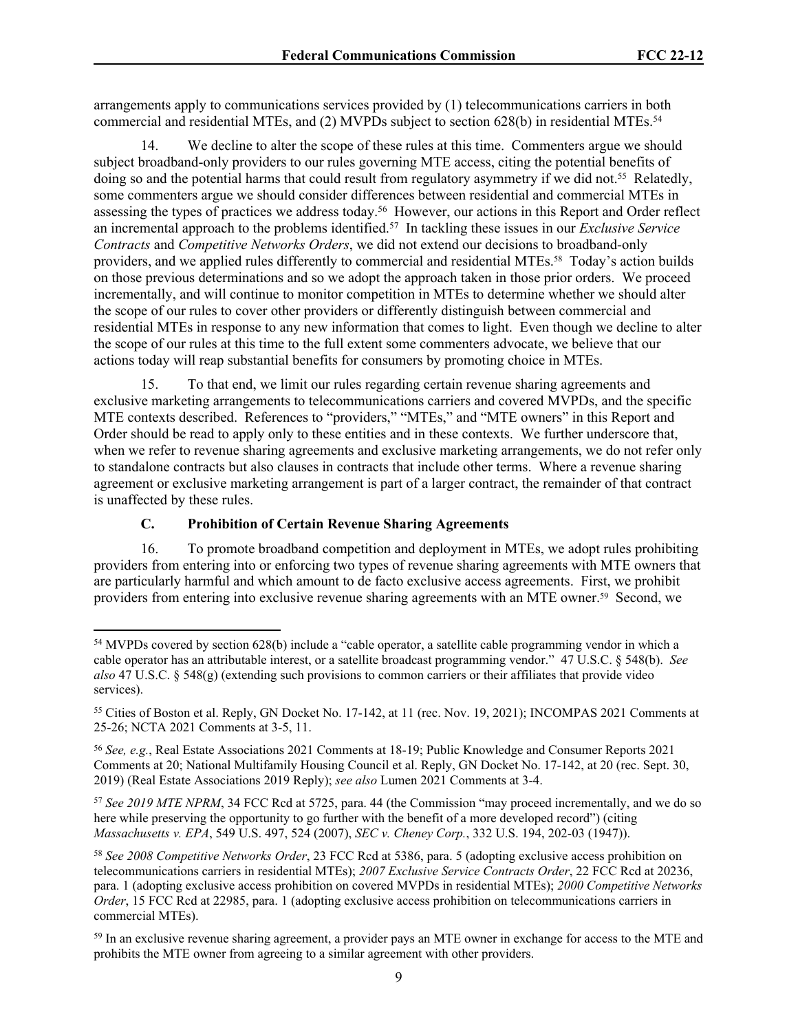arrangements apply to communications services provided by (1) telecommunications carriers in both commercial and residential MTEs, and (2) MVPDs subject to section 628(b) in residential MTEs.<sup>54</sup>

14. We decline to alter the scope of these rules at this time. Commenters argue we should subject broadband-only providers to our rules governing MTE access, citing the potential benefits of doing so and the potential harms that could result from regulatory asymmetry if we did not.<sup>55</sup> Relatedly, some commenters argue we should consider differences between residential and commercial MTEs in assessing the types of practices we address today.<sup>56</sup> However, our actions in this Report and Order reflect an incremental approach to the problems identified.<sup>57</sup> In tackling these issues in our *Exclusive Service Contracts* and *Competitive Networks Orders*, we did not extend our decisions to broadband-only providers, and we applied rules differently to commercial and residential MTEs.58 Today's action builds on those previous determinations and so we adopt the approach taken in those prior orders. We proceed incrementally, and will continue to monitor competition in MTEs to determine whether we should alter the scope of our rules to cover other providers or differently distinguish between commercial and residential MTEs in response to any new information that comes to light. Even though we decline to alter the scope of our rules at this time to the full extent some commenters advocate, we believe that our actions today will reap substantial benefits for consumers by promoting choice in MTEs.

15. To that end, we limit our rules regarding certain revenue sharing agreements and exclusive marketing arrangements to telecommunications carriers and covered MVPDs, and the specific MTE contexts described. References to "providers," "MTEs," and "MTE owners" in this Report and Order should be read to apply only to these entities and in these contexts. We further underscore that, when we refer to revenue sharing agreements and exclusive marketing arrangements, we do not refer only to standalone contracts but also clauses in contracts that include other terms. Where a revenue sharing agreement or exclusive marketing arrangement is part of a larger contract, the remainder of that contract is unaffected by these rules.

## **C. Prohibition of Certain Revenue Sharing Agreements**

16. To promote broadband competition and deployment in MTEs, we adopt rules prohibiting providers from entering into or enforcing two types of revenue sharing agreements with MTE owners that are particularly harmful and which amount to de facto exclusive access agreements. First, we prohibit providers from entering into exclusive revenue sharing agreements with an MTE owner.59 Second, we

<sup>57</sup> *See 2019 MTE NPRM*, 34 FCC Rcd at 5725, para. 44 (the Commission "may proceed incrementally, and we do so here while preserving the opportunity to go further with the benefit of a more developed record") (citing *Massachusetts v. EPA*, 549 U.S. 497, 524 (2007), *SEC v. Cheney Corp.*, 332 U.S. 194, 202-03 (1947)).

<sup>54</sup> MVPDs covered by section 628(b) include a "cable operator, a satellite cable programming vendor in which a cable operator has an attributable interest, or a satellite broadcast programming vendor." 47 U.S.C. § 548(b). *See also* 47 U.S.C. § 548(g) (extending such provisions to common carriers or their affiliates that provide video services).

<sup>55</sup> Cities of Boston et al. Reply, GN Docket No. 17-142, at 11 (rec. Nov. 19, 2021); INCOMPAS 2021 Comments at 25-26; NCTA 2021 Comments at 3-5, 11.

<sup>56</sup> *See, e.g.*, Real Estate Associations 2021 Comments at 18-19; Public Knowledge and Consumer Reports 2021 Comments at 20; National Multifamily Housing Council et al. Reply, GN Docket No. 17-142, at 20 (rec. Sept. 30, 2019) (Real Estate Associations 2019 Reply); *see also* Lumen 2021 Comments at 3-4.

<sup>58</sup> *See 2008 Competitive Networks Order*, 23 FCC Rcd at 5386, para. 5 (adopting exclusive access prohibition on telecommunications carriers in residential MTEs); *2007 Exclusive Service Contracts Order*, 22 FCC Rcd at 20236, para. 1 (adopting exclusive access prohibition on covered MVPDs in residential MTEs); *2000 Competitive Networks Order*, 15 FCC Rcd at 22985, para. 1 (adopting exclusive access prohibition on telecommunications carriers in commercial MTEs).

<sup>&</sup>lt;sup>59</sup> In an exclusive revenue sharing agreement, a provider pays an MTE owner in exchange for access to the MTE and prohibits the MTE owner from agreeing to a similar agreement with other providers.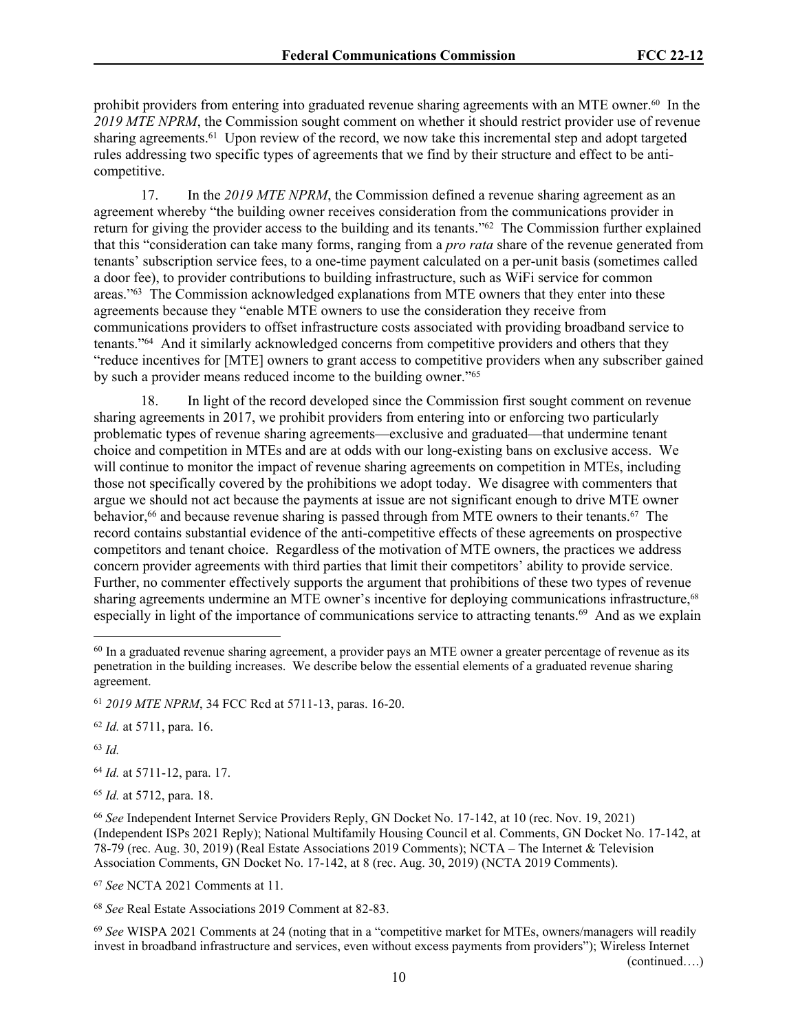prohibit providers from entering into graduated revenue sharing agreements with an MTE owner.60 In the *2019 MTE NPRM*, the Commission sought comment on whether it should restrict provider use of revenue sharing agreements.<sup>61</sup> Upon review of the record, we now take this incremental step and adopt targeted rules addressing two specific types of agreements that we find by their structure and effect to be anticompetitive.

17. In the *2019 MTE NPRM*, the Commission defined a revenue sharing agreement as an agreement whereby "the building owner receives consideration from the communications provider in return for giving the provider access to the building and its tenants."<sup>62</sup> The Commission further explained that this "consideration can take many forms, ranging from a *pro rata* share of the revenue generated from tenants' subscription service fees, to a one-time payment calculated on a per-unit basis (sometimes called a door fee), to provider contributions to building infrastructure, such as WiFi service for common areas."<sup>63</sup> The Commission acknowledged explanations from MTE owners that they enter into these agreements because they "enable MTE owners to use the consideration they receive from communications providers to offset infrastructure costs associated with providing broadband service to tenants."<sup>64</sup> And it similarly acknowledged concerns from competitive providers and others that they "reduce incentives for [MTE] owners to grant access to competitive providers when any subscriber gained by such a provider means reduced income to the building owner."<sup>65</sup>

18. In light of the record developed since the Commission first sought comment on revenue sharing agreements in 2017, we prohibit providers from entering into or enforcing two particularly problematic types of revenue sharing agreements—exclusive and graduated—that undermine tenant choice and competition in MTEs and are at odds with our long-existing bans on exclusive access. We will continue to monitor the impact of revenue sharing agreements on competition in MTEs, including those not specifically covered by the prohibitions we adopt today. We disagree with commenters that argue we should not act because the payments at issue are not significant enough to drive MTE owner behavior,<sup>66</sup> and because revenue sharing is passed through from MTE owners to their tenants.<sup>67</sup> The record contains substantial evidence of the anti-competitive effects of these agreements on prospective competitors and tenant choice. Regardless of the motivation of MTE owners, the practices we address concern provider agreements with third parties that limit their competitors' ability to provide service. Further, no commenter effectively supports the argument that prohibitions of these two types of revenue sharing agreements undermine an MTE owner's incentive for deploying communications infrastructure.<sup>68</sup> especially in light of the importance of communications service to attracting tenants.<sup>69</sup> And as we explain

<sup>62</sup> *Id.* at 5711, para. 16.

<sup>63</sup> *Id.*

<sup>64</sup> *Id.* at 5711-12, para. 17.

<sup>65</sup> *Id.* at 5712, para. 18.

<sup>67</sup> *See* NCTA 2021 Comments at 11.

<sup>68</sup> *See* Real Estate Associations 2019 Comment at 82-83.

<sup>69</sup> *See* WISPA 2021 Comments at 24 (noting that in a "competitive market for MTEs, owners/managers will readily invest in broadband infrastructure and services, even without excess payments from providers"); Wireless Internet

(continued….)

<sup>&</sup>lt;sup>60</sup> In a graduated revenue sharing agreement, a provider pays an MTE owner a greater percentage of revenue as its penetration in the building increases. We describe below the essential elements of a graduated revenue sharing agreement.

<sup>61</sup> *2019 MTE NPRM*, 34 FCC Rcd at 5711-13, paras. 16-20.

<sup>66</sup> *See* Independent Internet Service Providers Reply, GN Docket No. 17-142, at 10 (rec. Nov. 19, 2021) (Independent ISPs 2021 Reply); National Multifamily Housing Council et al. Comments, GN Docket No. 17-142, at 78-79 (rec. Aug. 30, 2019) (Real Estate Associations 2019 Comments); NCTA – The Internet & Television Association Comments, GN Docket No. 17-142, at 8 (rec. Aug. 30, 2019) (NCTA 2019 Comments).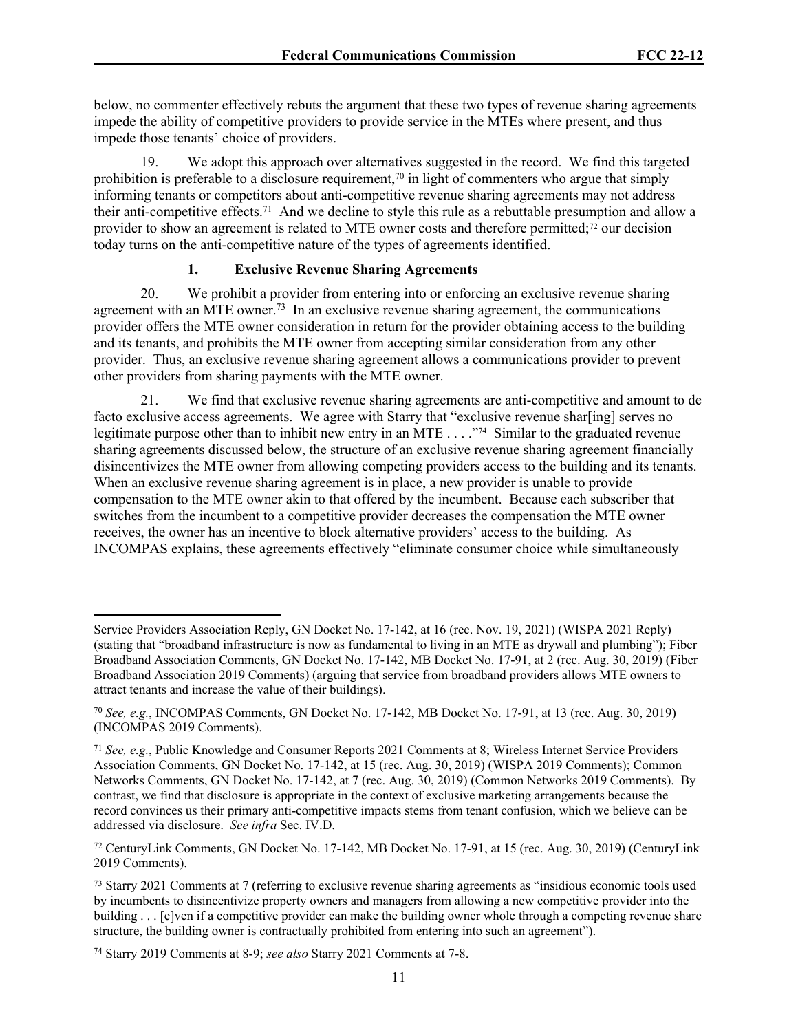below, no commenter effectively rebuts the argument that these two types of revenue sharing agreements impede the ability of competitive providers to provide service in the MTEs where present, and thus impede those tenants' choice of providers.

We adopt this approach over alternatives suggested in the record. We find this targeted prohibition is preferable to a disclosure requirement,<sup>70</sup> in light of commenters who argue that simply informing tenants or competitors about anti-competitive revenue sharing agreements may not address their anti-competitive effects.<sup>71</sup> And we decline to style this rule as a rebuttable presumption and allow a provider to show an agreement is related to MTE owner costs and therefore permitted;<sup>72</sup> our decision today turns on the anti-competitive nature of the types of agreements identified.

## **1. Exclusive Revenue Sharing Agreements**

20. We prohibit a provider from entering into or enforcing an exclusive revenue sharing agreement with an MTE owner.<sup>73</sup> In an exclusive revenue sharing agreement, the communications provider offers the MTE owner consideration in return for the provider obtaining access to the building and its tenants, and prohibits the MTE owner from accepting similar consideration from any other provider. Thus, an exclusive revenue sharing agreement allows a communications provider to prevent other providers from sharing payments with the MTE owner.

21. We find that exclusive revenue sharing agreements are anti-competitive and amount to de facto exclusive access agreements. We agree with Starry that "exclusive revenue sharaling] serves no legitimate purpose other than to inhibit new entry in an MTE . . . ."74 Similar to the graduated revenue sharing agreements discussed below, the structure of an exclusive revenue sharing agreement financially disincentivizes the MTE owner from allowing competing providers access to the building and its tenants. When an exclusive revenue sharing agreement is in place, a new provider is unable to provide compensation to the MTE owner akin to that offered by the incumbent. Because each subscriber that switches from the incumbent to a competitive provider decreases the compensation the MTE owner receives, the owner has an incentive to block alternative providers' access to the building. As INCOMPAS explains, these agreements effectively "eliminate consumer choice while simultaneously

Service Providers Association Reply, GN Docket No. 17-142, at 16 (rec. Nov. 19, 2021) (WISPA 2021 Reply) (stating that "broadband infrastructure is now as fundamental to living in an MTE as drywall and plumbing"); Fiber Broadband Association Comments, GN Docket No. 17-142, MB Docket No. 17-91, at 2 (rec. Aug. 30, 2019) (Fiber Broadband Association 2019 Comments) (arguing that service from broadband providers allows MTE owners to attract tenants and increase the value of their buildings).

<sup>70</sup> *See, e.g.*, INCOMPAS Comments, GN Docket No. 17-142, MB Docket No. 17-91, at 13 (rec. Aug. 30, 2019) (INCOMPAS 2019 Comments).

<sup>71</sup> *See, e.g.*, Public Knowledge and Consumer Reports 2021 Comments at 8; Wireless Internet Service Providers Association Comments, GN Docket No. 17-142, at 15 (rec. Aug. 30, 2019) (WISPA 2019 Comments); Common Networks Comments, GN Docket No. 17-142, at 7 (rec. Aug. 30, 2019) (Common Networks 2019 Comments). By contrast, we find that disclosure is appropriate in the context of exclusive marketing arrangements because the record convinces us their primary anti-competitive impacts stems from tenant confusion, which we believe can be addressed via disclosure. *See infra* Sec. IV.D.

<sup>72</sup> CenturyLink Comments, GN Docket No. 17-142, MB Docket No. 17-91, at 15 (rec. Aug. 30, 2019) (CenturyLink 2019 Comments).

<sup>73</sup> Starry 2021 Comments at 7 (referring to exclusive revenue sharing agreements as "insidious economic tools used by incumbents to disincentivize property owners and managers from allowing a new competitive provider into the building . . . [e]ven if a competitive provider can make the building owner whole through a competing revenue share structure, the building owner is contractually prohibited from entering into such an agreement").

<sup>74</sup> Starry 2019 Comments at 8-9; *see also* Starry 2021 Comments at 7-8.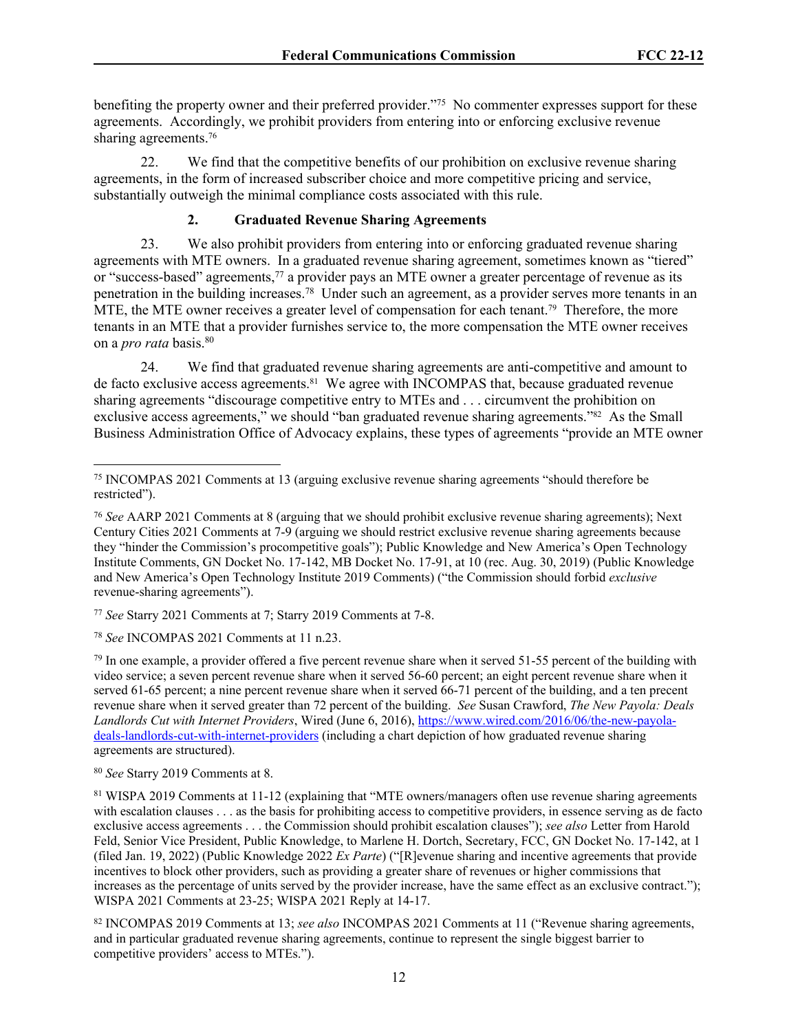benefiting the property owner and their preferred provider."<sup>75</sup> No commenter expresses support for these agreements. Accordingly, we prohibit providers from entering into or enforcing exclusive revenue sharing agreements.<sup>76</sup>

22. We find that the competitive benefits of our prohibition on exclusive revenue sharing agreements, in the form of increased subscriber choice and more competitive pricing and service, substantially outweigh the minimal compliance costs associated with this rule.

### **2. Graduated Revenue Sharing Agreements**

23. We also prohibit providers from entering into or enforcing graduated revenue sharing agreements with MTE owners. In a graduated revenue sharing agreement, sometimes known as "tiered" or "success-based" agreements,<sup>77</sup> a provider pays an MTE owner a greater percentage of revenue as its penetration in the building increases.<sup>78</sup> Under such an agreement, as a provider serves more tenants in an MTE, the MTE owner receives a greater level of compensation for each tenant.<sup>79</sup> Therefore, the more tenants in an MTE that a provider furnishes service to, the more compensation the MTE owner receives on a *pro rata* basis.<sup>80</sup>

24. We find that graduated revenue sharing agreements are anti-competitive and amount to de facto exclusive access agreements.<sup>81</sup> We agree with INCOMPAS that, because graduated revenue sharing agreements "discourage competitive entry to MTEs and . . . circumvent the prohibition on exclusive access agreements," we should "ban graduated revenue sharing agreements."82 As the Small Business Administration Office of Advocacy explains, these types of agreements "provide an MTE owner

<sup>77</sup> *See* Starry 2021 Comments at 7; Starry 2019 Comments at 7-8.

<sup>78</sup> *See* INCOMPAS 2021 Comments at 11 n.23.

 $79$  In one example, a provider offered a five percent revenue share when it served 51-55 percent of the building with video service; a seven percent revenue share when it served 56-60 percent; an eight percent revenue share when it served 61-65 percent; a nine percent revenue share when it served 66-71 percent of the building, and a ten precent revenue share when it served greater than 72 percent of the building. *See* Susan Crawford, *The New Payola: Deals Landlords Cut with Internet Providers*, Wired (June 6, 2016), [https://www.wired.com/2016/06/the-new-payola](https://www.wired.com/2016/06/the-new-payola-deals-landlords-cut-with-internet-providers)[deals-landlords-cut-with-internet-providers](https://www.wired.com/2016/06/the-new-payola-deals-landlords-cut-with-internet-providers) (including a chart depiction of how graduated revenue sharing agreements are structured).

<sup>80</sup> *See* Starry 2019 Comments at 8.

<sup>75</sup> INCOMPAS 2021 Comments at 13 (arguing exclusive revenue sharing agreements "should therefore be restricted").

<sup>76</sup> *See* AARP 2021 Comments at 8 (arguing that we should prohibit exclusive revenue sharing agreements); Next Century Cities 2021 Comments at 7-9 (arguing we should restrict exclusive revenue sharing agreements because they "hinder the Commission's procompetitive goals"); Public Knowledge and New America's Open Technology Institute Comments, GN Docket No. 17-142, MB Docket No. 17-91, at 10 (rec. Aug. 30, 2019) (Public Knowledge and New America's Open Technology Institute 2019 Comments) ("the Commission should forbid *exclusive* revenue-sharing agreements").

<sup>81</sup> WISPA 2019 Comments at 11-12 (explaining that "MTE owners/managers often use revenue sharing agreements with escalation clauses . . . as the basis for prohibiting access to competitive providers, in essence serving as de facto exclusive access agreements . . . the Commission should prohibit escalation clauses"); *see also* Letter from Harold Feld, Senior Vice President, Public Knowledge, to Marlene H. Dortch, Secretary, FCC, GN Docket No. 17-142, at 1 (filed Jan. 19, 2022) (Public Knowledge 2022 *Ex Parte*) ("[R]evenue sharing and incentive agreements that provide incentives to block other providers, such as providing a greater share of revenues or higher commissions that increases as the percentage of units served by the provider increase, have the same effect as an exclusive contract."); WISPA 2021 Comments at 23-25; WISPA 2021 Reply at 14-17.

<sup>82</sup> INCOMPAS 2019 Comments at 13; *see also* INCOMPAS 2021 Comments at 11 ("Revenue sharing agreements, and in particular graduated revenue sharing agreements, continue to represent the single biggest barrier to competitive providers' access to MTEs.").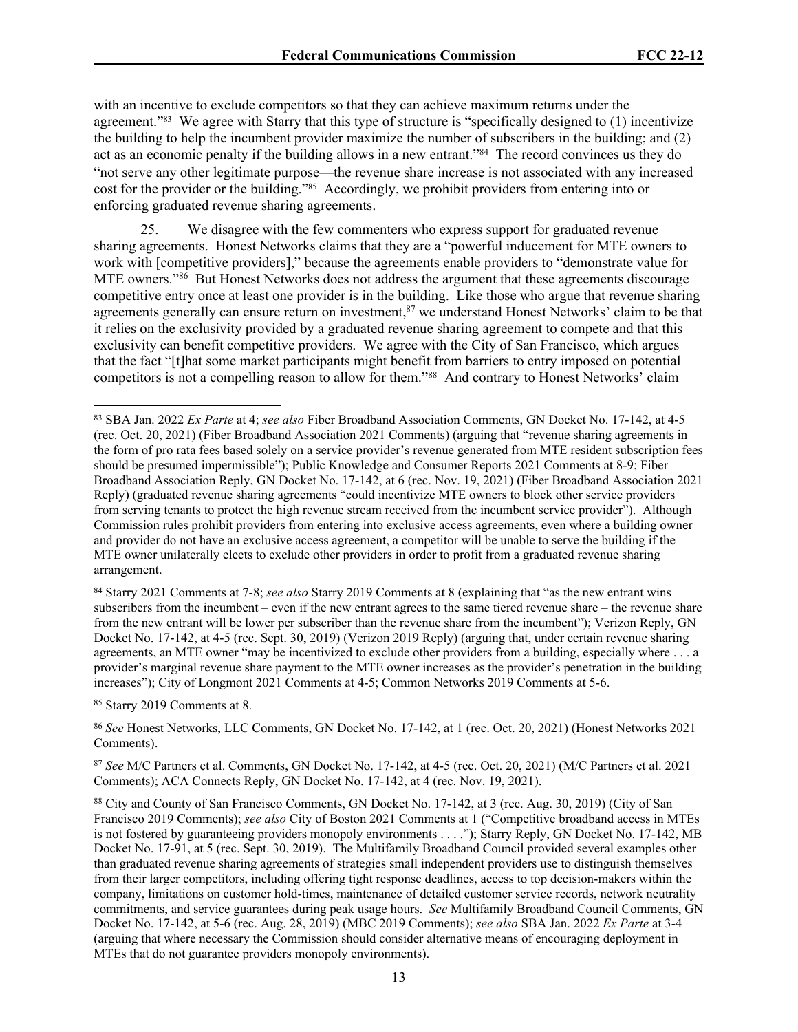with an incentive to exclude competitors so that they can achieve maximum returns under the agreement."<sup>83</sup> We agree with Starry that this type of structure is "specifically designed to (1) incentivize the building to help the incumbent provider maximize the number of subscribers in the building; and (2) act as an economic penalty if the building allows in a new entrant."<sup>84</sup> The record convinces us they do "not serve any other legitimate purpose—the revenue share increase is not associated with any increased cost for the provider or the building."85 Accordingly, we prohibit providers from entering into or enforcing graduated revenue sharing agreements.

25. We disagree with the few commenters who express support for graduated revenue sharing agreements. Honest Networks claims that they are a "powerful inducement for MTE owners to work with [competitive providers]," because the agreements enable providers to "demonstrate value for MTE owners."<sup>86</sup> But Honest Networks does not address the argument that these agreements discourage competitive entry once at least one provider is in the building. Like those who argue that revenue sharing agreements generally can ensure return on investment,<sup>87</sup> we understand Honest Networks' claim to be that it relies on the exclusivity provided by a graduated revenue sharing agreement to compete and that this exclusivity can benefit competitive providers. We agree with the City of San Francisco, which argues that the fact "[t]hat some market participants might benefit from barriers to entry imposed on potential competitors is not a compelling reason to allow for them."<sup>88</sup> And contrary to Honest Networks' claim

<sup>85</sup> Starry 2019 Comments at 8.

<sup>86</sup> *See* Honest Networks, LLC Comments, GN Docket No. 17-142, at 1 (rec. Oct. 20, 2021) (Honest Networks 2021 Comments).

<sup>87</sup> *See* M/C Partners et al. Comments, GN Docket No. 17-142, at 4-5 (rec. Oct. 20, 2021) (M/C Partners et al. 2021 Comments); ACA Connects Reply, GN Docket No. 17-142, at 4 (rec. Nov. 19, 2021).

<sup>83</sup> SBA Jan. 2022 *Ex Parte* at 4; *see also* Fiber Broadband Association Comments, GN Docket No. 17-142, at 4-5 (rec. Oct. 20, 2021) (Fiber Broadband Association 2021 Comments) (arguing that "revenue sharing agreements in the form of pro rata fees based solely on a service provider's revenue generated from MTE resident subscription fees should be presumed impermissible"); Public Knowledge and Consumer Reports 2021 Comments at 8-9; Fiber Broadband Association Reply, GN Docket No. 17-142, at 6 (rec. Nov. 19, 2021) (Fiber Broadband Association 2021 Reply) (graduated revenue sharing agreements "could incentivize MTE owners to block other service providers from serving tenants to protect the high revenue stream received from the incumbent service provider"). Although Commission rules prohibit providers from entering into exclusive access agreements, even where a building owner and provider do not have an exclusive access agreement, a competitor will be unable to serve the building if the MTE owner unilaterally elects to exclude other providers in order to profit from a graduated revenue sharing arrangement.

<sup>84</sup> Starry 2021 Comments at 7-8; *see also* Starry 2019 Comments at 8 (explaining that "as the new entrant wins subscribers from the incumbent – even if the new entrant agrees to the same tiered revenue share – the revenue share from the new entrant will be lower per subscriber than the revenue share from the incumbent"); Verizon Reply, GN Docket No. 17-142, at 4-5 (rec. Sept. 30, 2019) (Verizon 2019 Reply) (arguing that, under certain revenue sharing agreements, an MTE owner "may be incentivized to exclude other providers from a building, especially where . . . a provider's marginal revenue share payment to the MTE owner increases as the provider's penetration in the building increases"); City of Longmont 2021 Comments at 4-5; Common Networks 2019 Comments at 5-6.

<sup>88</sup> City and County of San Francisco Comments, GN Docket No. 17-142, at 3 (rec. Aug. 30, 2019) (City of San Francisco 2019 Comments); *see also* City of Boston 2021 Comments at 1 ("Competitive broadband access in MTEs is not fostered by guaranteeing providers monopoly environments . . . ."); Starry Reply, GN Docket No. 17-142, MB Docket No. 17-91, at 5 (rec. Sept. 30, 2019). The Multifamily Broadband Council provided several examples other than graduated revenue sharing agreements of strategies small independent providers use to distinguish themselves from their larger competitors, including offering tight response deadlines, access to top decision-makers within the company, limitations on customer hold-times, maintenance of detailed customer service records, network neutrality commitments, and service guarantees during peak usage hours. *See* Multifamily Broadband Council Comments, GN Docket No. 17-142, at 5-6 (rec. Aug. 28, 2019) (MBC 2019 Comments); *see also* SBA Jan. 2022 *Ex Parte* at 3-4 (arguing that where necessary the Commission should consider alternative means of encouraging deployment in MTEs that do not guarantee providers monopoly environments).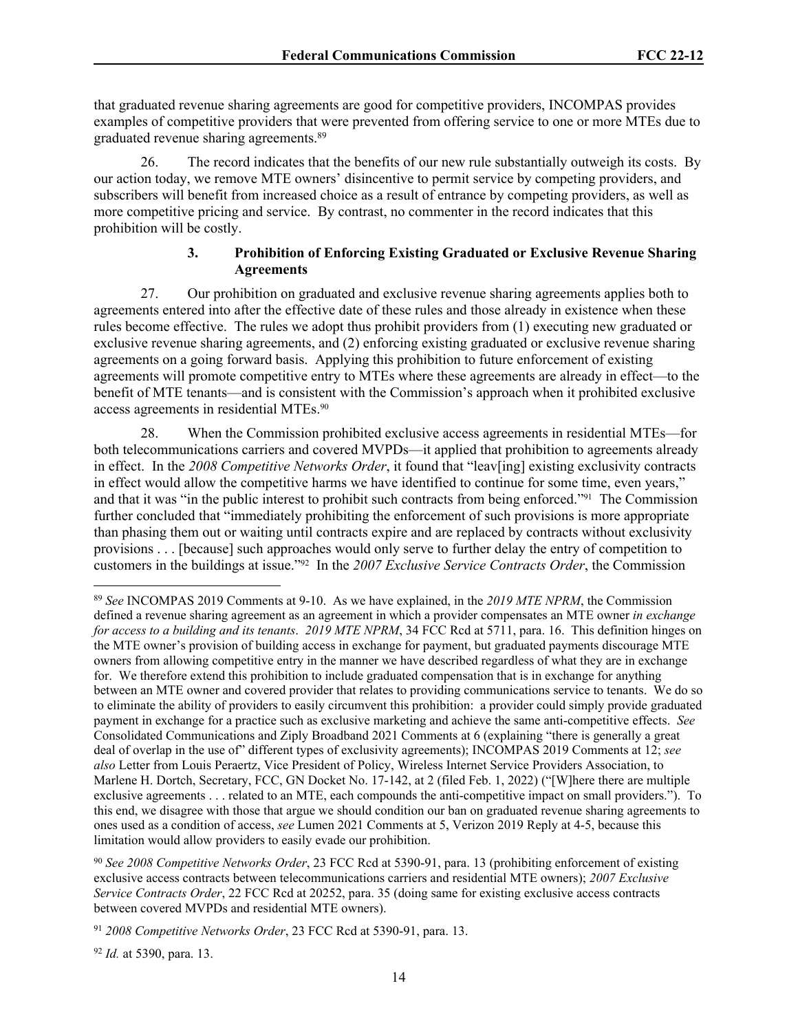that graduated revenue sharing agreements are good for competitive providers, INCOMPAS provides examples of competitive providers that were prevented from offering service to one or more MTEs due to graduated revenue sharing agreements.<sup>89</sup>

26. The record indicates that the benefits of our new rule substantially outweigh its costs. By our action today, we remove MTE owners' disincentive to permit service by competing providers, and subscribers will benefit from increased choice as a result of entrance by competing providers, as well as more competitive pricing and service. By contrast, no commenter in the record indicates that this prohibition will be costly.

### **3. Prohibition of Enforcing Existing Graduated or Exclusive Revenue Sharing Agreements**

27. Our prohibition on graduated and exclusive revenue sharing agreements applies both to agreements entered into after the effective date of these rules and those already in existence when these rules become effective. The rules we adopt thus prohibit providers from (1) executing new graduated or exclusive revenue sharing agreements, and (2) enforcing existing graduated or exclusive revenue sharing agreements on a going forward basis. Applying this prohibition to future enforcement of existing agreements will promote competitive entry to MTEs where these agreements are already in effect—to the benefit of MTE tenants—and is consistent with the Commission's approach when it prohibited exclusive access agreements in residential MTEs.<sup>90</sup>

28. When the Commission prohibited exclusive access agreements in residential MTEs—for both telecommunications carriers and covered MVPDs—it applied that prohibition to agreements already in effect. In the *2008 Competitive Networks Order*, it found that "leav[ing] existing exclusivity contracts in effect would allow the competitive harms we have identified to continue for some time, even years," and that it was "in the public interest to prohibit such contracts from being enforced."91 The Commission further concluded that "immediately prohibiting the enforcement of such provisions is more appropriate than phasing them out or waiting until contracts expire and are replaced by contracts without exclusivity provisions . . . [because] such approaches would only serve to further delay the entry of competition to customers in the buildings at issue."92 In the *2007 Exclusive Service Contracts Order*, the Commission

<sup>89</sup> *See* INCOMPAS 2019 Comments at 9-10. As we have explained, in the *2019 MTE NPRM*, the Commission defined a revenue sharing agreement as an agreement in which a provider compensates an MTE owner *in exchange for access to a building and its tenants*. *2019 MTE NPRM*, 34 FCC Rcd at 5711, para. 16. This definition hinges on the MTE owner's provision of building access in exchange for payment, but graduated payments discourage MTE owners from allowing competitive entry in the manner we have described regardless of what they are in exchange for. We therefore extend this prohibition to include graduated compensation that is in exchange for anything between an MTE owner and covered provider that relates to providing communications service to tenants. We do so to eliminate the ability of providers to easily circumvent this prohibition: a provider could simply provide graduated payment in exchange for a practice such as exclusive marketing and achieve the same anti-competitive effects. *See* Consolidated Communications and Ziply Broadband 2021 Comments at 6 (explaining "there is generally a great deal of overlap in the use of" different types of exclusivity agreements); INCOMPAS 2019 Comments at 12; *see also* Letter from Louis Peraertz, Vice President of Policy, Wireless Internet Service Providers Association, to Marlene H. Dortch, Secretary, FCC, GN Docket No. 17-142, at 2 (filed Feb. 1, 2022) ("[W]here there are multiple exclusive agreements . . . related to an MTE, each compounds the anti-competitive impact on small providers."). To this end, we disagree with those that argue we should condition our ban on graduated revenue sharing agreements to ones used as a condition of access, *see* Lumen 2021 Comments at 5, Verizon 2019 Reply at 4-5, because this limitation would allow providers to easily evade our prohibition.

<sup>90</sup> *See 2008 Competitive Networks Order*, 23 FCC Rcd at 5390-91, para. 13 (prohibiting enforcement of existing exclusive access contracts between telecommunications carriers and residential MTE owners); *2007 Exclusive Service Contracts Order*, 22 FCC Rcd at 20252, para. 35 (doing same for existing exclusive access contracts between covered MVPDs and residential MTE owners).

<sup>91</sup> *2008 Competitive Networks Order*, 23 FCC Rcd at 5390-91, para. 13.

<sup>92</sup> *Id.* at 5390, para. 13.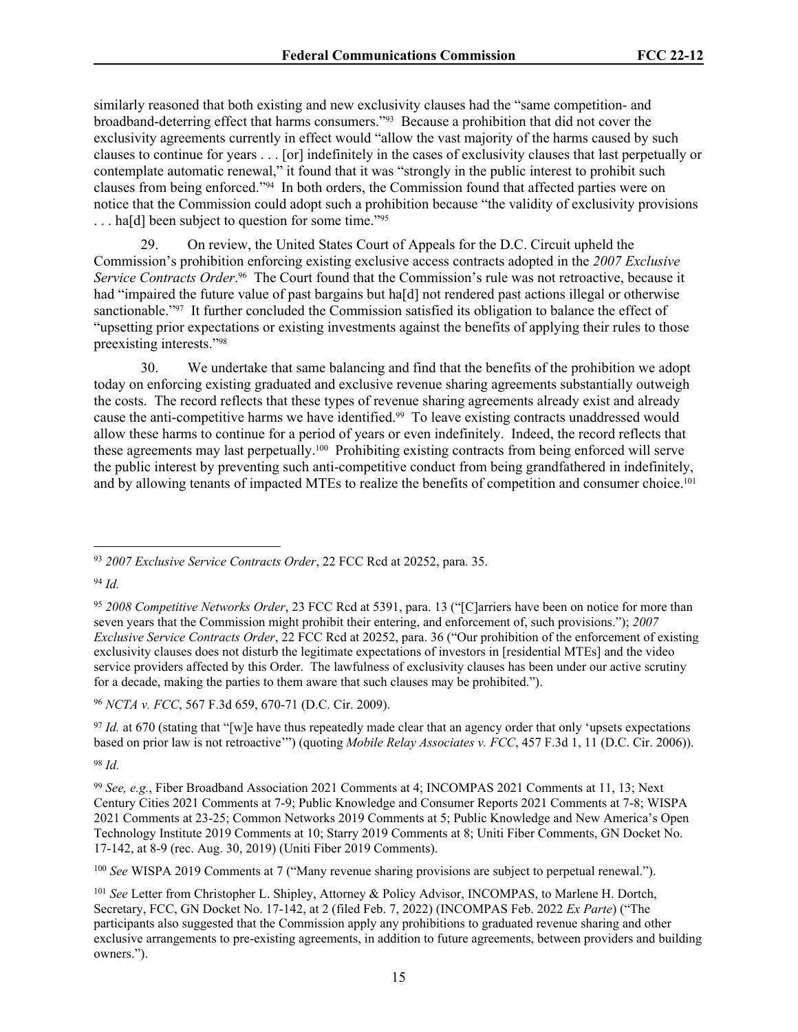similarly reasoned that both existing and new exclusivity clauses had the "same competition- and broadband-deterring effect that harms consumers."93 Because a prohibition that did not cover the exclusivity agreements currently in effect would "allow the vast majority of the harms caused by such clauses to continue for years . . . [or] indefinitely in the cases of exclusivity clauses that last perpetually or contemplate automatic renewal," it found that it was "strongly in the public interest to prohibit such clauses from being enforced."94 In both orders, the Commission found that affected parties were on notice that the Commission could adopt such a prohibition because "the validity of exclusivity provisions ... ha[d] been subject to question for some time."<sup>95</sup>

29. On review, the United States Court of Appeals for the D.C. Circuit upheld the Commission's prohibition enforcing existing exclusive access contracts adopted in the *2007 Exclusive*  Service Contracts Order.<sup>96</sup> The Court found that the Commission's rule was not retroactive, because it had "impaired the future value of past bargains but ha[d] not rendered past actions illegal or otherwise sanctionable."<sup>97</sup> It further concluded the Commission satisfied its obligation to balance the effect of "upsetting prior expectations or existing investments against the benefits of applying their rules to those preexisting interests."<sup>98</sup>

30. We undertake that same balancing and find that the benefits of the prohibition we adopt today on enforcing existing graduated and exclusive revenue sharing agreements substantially outweigh the costs. The record reflects that these types of revenue sharing agreements already exist and already cause the anti-competitive harms we have identified.99 To leave existing contracts unaddressed would allow these harms to continue for a period of years or even indefinitely. Indeed, the record reflects that these agreements may last perpetually.100 Prohibiting existing contracts from being enforced will serve the public interest by preventing such anti-competitive conduct from being grandfathered in indefinitely, and by allowing tenants of impacted MTEs to realize the benefits of competition and consumer choice.<sup>101</sup>

<sup>96</sup> *NCTA v. FCC*, 567 F.3d 659, 670-71 (D.C. Cir. 2009).

<sup>97</sup> *Id.* at 670 (stating that "[w]e have thus repeatedly made clear that an agency order that only 'upsets expectations based on prior law is not retroactive'") (quoting *Mobile Relay Associates v. FCC*, 457 F.3d 1, 11 (D.C. Cir. 2006)).

<sup>98</sup> *Id.*

<sup>93</sup> *2007 Exclusive Service Contracts Order*, 22 FCC Rcd at 20252, para. 35.

<sup>94</sup> *Id.*

<sup>95</sup> *2008 Competitive Networks Order*, 23 FCC Rcd at 5391, para. 13 ("[C]arriers have been on notice for more than seven years that the Commission might prohibit their entering, and enforcement of, such provisions."); *2007 Exclusive Service Contracts Order*, 22 FCC Rcd at 20252, para. 36 ("Our prohibition of the enforcement of existing exclusivity clauses does not disturb the legitimate expectations of investors in [residential MTEs] and the video service providers affected by this Order. The lawfulness of exclusivity clauses has been under our active scrutiny for a decade, making the parties to them aware that such clauses may be prohibited.").

<sup>99</sup> *See, e.g.*, Fiber Broadband Association 2021 Comments at 4; INCOMPAS 2021 Comments at 11, 13; Next Century Cities 2021 Comments at 7-9; Public Knowledge and Consumer Reports 2021 Comments at 7-8; WISPA 2021 Comments at 23-25; Common Networks 2019 Comments at 5; Public Knowledge and New America's Open Technology Institute 2019 Comments at 10; Starry 2019 Comments at 8; Uniti Fiber Comments, GN Docket No. 17-142, at 8-9 (rec. Aug. 30, 2019) (Uniti Fiber 2019 Comments).

<sup>100</sup> *See* WISPA 2019 Comments at 7 ("Many revenue sharing provisions are subject to perpetual renewal.").

<sup>101</sup> *See* Letter from Christopher L. Shipley, Attorney & Policy Advisor, INCOMPAS, to Marlene H. Dortch, Secretary, FCC, GN Docket No. 17-142, at 2 (filed Feb. 7, 2022) (INCOMPAS Feb. 2022 *Ex Parte*) ("The participants also suggested that the Commission apply any prohibitions to graduated revenue sharing and other exclusive arrangements to pre-existing agreements, in addition to future agreements, between providers and building owners.").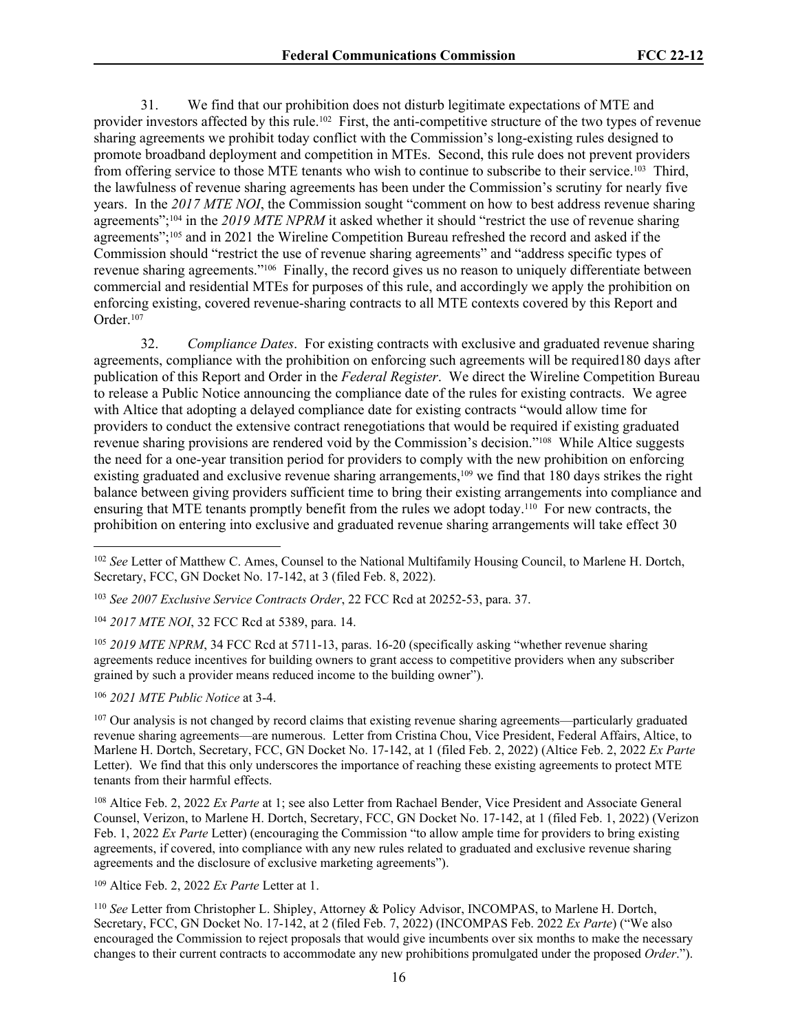31. We find that our prohibition does not disturb legitimate expectations of MTE and provider investors affected by this rule.102 First, the anti-competitive structure of the two types of revenue sharing agreements we prohibit today conflict with the Commission's long-existing rules designed to promote broadband deployment and competition in MTEs. Second, this rule does not prevent providers from offering service to those MTE tenants who wish to continue to subscribe to their service.103 Third, the lawfulness of revenue sharing agreements has been under the Commission's scrutiny for nearly five years. In the *2017 MTE NOI*, the Commission sought "comment on how to best address revenue sharing agreements";104 in the *2019 MTE NPRM* it asked whether it should "restrict the use of revenue sharing agreements";105 and in 2021 the Wireline Competition Bureau refreshed the record and asked if the Commission should "restrict the use of revenue sharing agreements" and "address specific types of revenue sharing agreements."106 Finally, the record gives us no reason to uniquely differentiate between commercial and residential MTEs for purposes of this rule, and accordingly we apply the prohibition on enforcing existing, covered revenue-sharing contracts to all MTE contexts covered by this Report and Order.<sup>107</sup>

32. *Compliance Dates*. For existing contracts with exclusive and graduated revenue sharing agreements, compliance with the prohibition on enforcing such agreements will be required180 days after publication of this Report and Order in the *Federal Register*. We direct the Wireline Competition Bureau to release a Public Notice announcing the compliance date of the rules for existing contracts. We agree with Altice that adopting a delayed compliance date for existing contracts "would allow time for providers to conduct the extensive contract renegotiations that would be required if existing graduated revenue sharing provisions are rendered void by the Commission's decision."108 While Altice suggests the need for a one-year transition period for providers to comply with the new prohibition on enforcing existing graduated and exclusive revenue sharing arrangements,<sup>109</sup> we find that 180 days strikes the right balance between giving providers sufficient time to bring their existing arrangements into compliance and ensuring that MTE tenants promptly benefit from the rules we adopt today.110 For new contracts, the prohibition on entering into exclusive and graduated revenue sharing arrangements will take effect 30

<sup>103</sup> *See 2007 Exclusive Service Contracts Order*, 22 FCC Rcd at 20252-53, para. 37.

<sup>104</sup> *2017 MTE NOI*, 32 FCC Rcd at 5389, para. 14.

<sup>105</sup> *2019 MTE NPRM*, 34 FCC Rcd at 5711-13, paras. 16-20 (specifically asking "whether revenue sharing agreements reduce incentives for building owners to grant access to competitive providers when any subscriber grained by such a provider means reduced income to the building owner").

<sup>106</sup> *2021 MTE Public Notice* at 3-4.

<sup>107</sup> Our analysis is not changed by record claims that existing revenue sharing agreements—particularly graduated revenue sharing agreements—are numerous. Letter from Cristina Chou, Vice President, Federal Affairs, Altice, to Marlene H. Dortch, Secretary, FCC, GN Docket No. 17-142, at 1 (filed Feb. 2, 2022) (Altice Feb. 2, 2022 *Ex Parte* Letter). We find that this only underscores the importance of reaching these existing agreements to protect MTE tenants from their harmful effects.

<sup>108</sup> Altice Feb. 2, 2022 *Ex Parte* at 1; see also Letter from Rachael Bender, Vice President and Associate General Counsel, Verizon, to Marlene H. Dortch, Secretary, FCC, GN Docket No. 17-142, at 1 (filed Feb. 1, 2022) (Verizon Feb. 1, 2022 *Ex Parte* Letter) (encouraging the Commission "to allow ample time for providers to bring existing agreements, if covered, into compliance with any new rules related to graduated and exclusive revenue sharing agreements and the disclosure of exclusive marketing agreements").

<sup>109</sup> Altice Feb. 2, 2022 *Ex Parte* Letter at 1.

<sup>110</sup> *See* Letter from Christopher L. Shipley, Attorney & Policy Advisor, INCOMPAS, to Marlene H. Dortch, Secretary, FCC, GN Docket No. 17-142, at 2 (filed Feb. 7, 2022) (INCOMPAS Feb. 2022 *Ex Parte*) ("We also encouraged the Commission to reject proposals that would give incumbents over six months to make the necessary changes to their current contracts to accommodate any new prohibitions promulgated under the proposed *Order*.").

<sup>102</sup> *See* Letter of Matthew C. Ames, Counsel to the National Multifamily Housing Council, to Marlene H. Dortch, Secretary, FCC, GN Docket No. 17-142, at 3 (filed Feb. 8, 2022).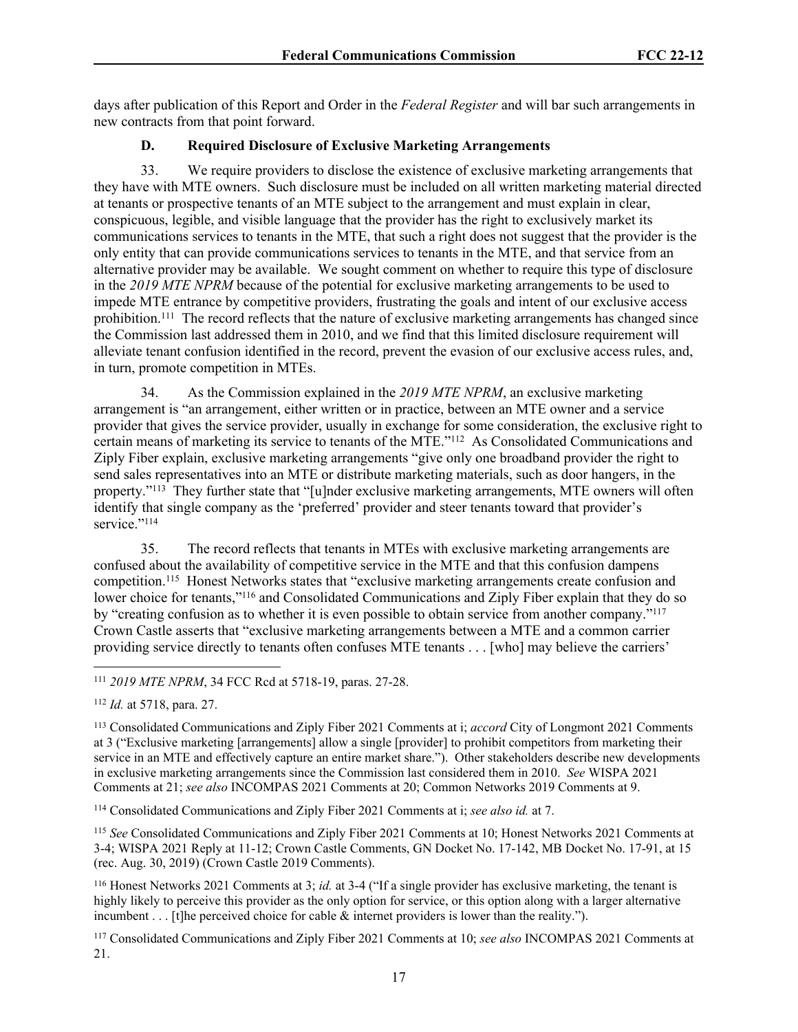days after publication of this Report and Order in the *Federal Register* and will bar such arrangements in new contracts from that point forward.

## **D. Required Disclosure of Exclusive Marketing Arrangements**

33. We require providers to disclose the existence of exclusive marketing arrangements that they have with MTE owners. Such disclosure must be included on all written marketing material directed at tenants or prospective tenants of an MTE subject to the arrangement and must explain in clear, conspicuous, legible, and visible language that the provider has the right to exclusively market its communications services to tenants in the MTE, that such a right does not suggest that the provider is the only entity that can provide communications services to tenants in the MTE, and that service from an alternative provider may be available. We sought comment on whether to require this type of disclosure in the *2019 MTE NPRM* because of the potential for exclusive marketing arrangements to be used to impede MTE entrance by competitive providers, frustrating the goals and intent of our exclusive access prohibition.<sup>111</sup> The record reflects that the nature of exclusive marketing arrangements has changed since the Commission last addressed them in 2010, and we find that this limited disclosure requirement will alleviate tenant confusion identified in the record, prevent the evasion of our exclusive access rules, and, in turn, promote competition in MTEs.

34. As the Commission explained in the *2019 MTE NPRM*, an exclusive marketing arrangement is "an arrangement, either written or in practice, between an MTE owner and a service provider that gives the service provider, usually in exchange for some consideration, the exclusive right to certain means of marketing its service to tenants of the MTE."<sup>112</sup> As Consolidated Communications and Ziply Fiber explain, exclusive marketing arrangements "give only one broadband provider the right to send sales representatives into an MTE or distribute marketing materials, such as door hangers, in the property."<sup>113</sup> They further state that "[u]nder exclusive marketing arrangements, MTE owners will often identify that single company as the 'preferred' provider and steer tenants toward that provider's service."<sup>114</sup>

35. The record reflects that tenants in MTEs with exclusive marketing arrangements are confused about the availability of competitive service in the MTE and that this confusion dampens competition.<sup>115</sup> Honest Networks states that "exclusive marketing arrangements create confusion and lower choice for tenants,"<sup>116</sup> and Consolidated Communications and Ziply Fiber explain that they do so by "creating confusion as to whether it is even possible to obtain service from another company."<sup>117</sup> Crown Castle asserts that "exclusive marketing arrangements between a MTE and a common carrier providing service directly to tenants often confuses MTE tenants . . . [who] may believe the carriers'

<sup>112</sup> *Id.* at 5718, para. 27.

<sup>113</sup> Consolidated Communications and Ziply Fiber 2021 Comments at i; *accord* City of Longmont 2021 Comments at 3 ("Exclusive marketing [arrangements] allow a single [provider] to prohibit competitors from marketing their service in an MTE and effectively capture an entire market share."). Other stakeholders describe new developments in exclusive marketing arrangements since the Commission last considered them in 2010. *See* WISPA 2021 Comments at 21; *see also* INCOMPAS 2021 Comments at 20; Common Networks 2019 Comments at 9.

<sup>114</sup> Consolidated Communications and Ziply Fiber 2021 Comments at i; *see also id.* at 7.

<sup>115</sup> *See* Consolidated Communications and Ziply Fiber 2021 Comments at 10; Honest Networks 2021 Comments at 3-4; WISPA 2021 Reply at 11-12; Crown Castle Comments, GN Docket No. 17-142, MB Docket No. 17-91, at 15 (rec. Aug. 30, 2019) (Crown Castle 2019 Comments).

<sup>116</sup> Honest Networks 2021 Comments at 3; *id.* at 3-4 ("If a single provider has exclusive marketing, the tenant is highly likely to perceive this provider as the only option for service, or this option along with a larger alternative incumbent . . . [t]he perceived choice for cable  $\&$  internet providers is lower than the reality.").

<sup>117</sup> Consolidated Communications and Ziply Fiber 2021 Comments at 10; *see also* INCOMPAS 2021 Comments at 21.

<sup>111</sup> *2019 MTE NPRM*, 34 FCC Rcd at 5718-19, paras. 27-28.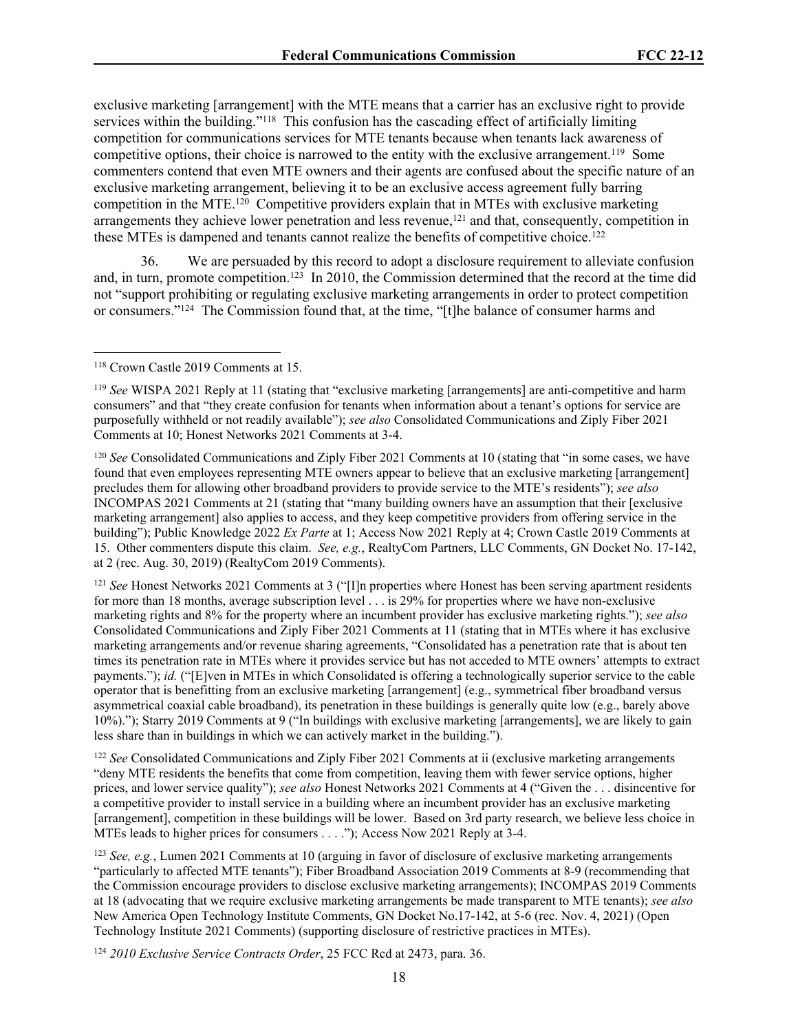exclusive marketing [arrangement] with the MTE means that a carrier has an exclusive right to provide services within the building."<sup>118</sup> This confusion has the cascading effect of artificially limiting competition for communications services for MTE tenants because when tenants lack awareness of competitive options, their choice is narrowed to the entity with the exclusive arrangement.<sup>119</sup> Some commenters contend that even MTE owners and their agents are confused about the specific nature of an exclusive marketing arrangement, believing it to be an exclusive access agreement fully barring competition in the MTE.<sup>120</sup> Competitive providers explain that in MTEs with exclusive marketing arrangements they achieve lower penetration and less revenue,<sup>121</sup> and that, consequently, competition in these MTEs is dampened and tenants cannot realize the benefits of competitive choice.<sup>122</sup>

36. We are persuaded by this record to adopt a disclosure requirement to alleviate confusion and, in turn, promote competition.<sup>123</sup> In 2010, the Commission determined that the record at the time did not "support prohibiting or regulating exclusive marketing arrangements in order to protect competition or consumers."<sup>124</sup> The Commission found that, at the time, "[t]he balance of consumer harms and

<sup>121</sup> *See* Honest Networks 2021 Comments at 3 ("[I]n properties where Honest has been serving apartment residents for more than 18 months, average subscription level . . . is 29% for properties where we have non-exclusive marketing rights and 8% for the property where an incumbent provider has exclusive marketing rights."); *see also*  Consolidated Communications and Ziply Fiber 2021 Comments at 11 (stating that in MTEs where it has exclusive marketing arrangements and/or revenue sharing agreements, "Consolidated has a penetration rate that is about ten times its penetration rate in MTEs where it provides service but has not acceded to MTE owners' attempts to extract payments."); *id.* ("[E]ven in MTEs in which Consolidated is offering a technologically superior service to the cable operator that is benefitting from an exclusive marketing [arrangement] (e.g., symmetrical fiber broadband versus asymmetrical coaxial cable broadband), its penetration in these buildings is generally quite low (e.g., barely above 10%)."); Starry 2019 Comments at 9 ("In buildings with exclusive marketing [arrangements], we are likely to gain less share than in buildings in which we can actively market in the building.").

<sup>122</sup> *See* Consolidated Communications and Ziply Fiber 2021 Comments at ii (exclusive marketing arrangements "deny MTE residents the benefits that come from competition, leaving them with fewer service options, higher prices, and lower service quality"); *see also* Honest Networks 2021 Comments at 4 ("Given the . . . disincentive for a competitive provider to install service in a building where an incumbent provider has an exclusive marketing [arrangement], competition in these buildings will be lower. Based on 3rd party research, we believe less choice in MTEs leads to higher prices for consumers . . . ."); Access Now 2021 Reply at 3-4.

<sup>124</sup> *2010 Exclusive Service Contracts Order*, 25 FCC Rcd at 2473, para. 36.

<sup>118</sup> Crown Castle 2019 Comments at 15.

<sup>119</sup> *See* WISPA 2021 Reply at 11 (stating that "exclusive marketing [arrangements] are anti-competitive and harm consumers" and that "they create confusion for tenants when information about a tenant's options for service are purposefully withheld or not readily available"); *see also* Consolidated Communications and Ziply Fiber 2021 Comments at 10; Honest Networks 2021 Comments at 3-4.

<sup>120</sup> *See* Consolidated Communications and Ziply Fiber 2021 Comments at 10 (stating that "in some cases, we have found that even employees representing MTE owners appear to believe that an exclusive marketing [arrangement] precludes them for allowing other broadband providers to provide service to the MTE's residents"); *see also*  INCOMPAS 2021 Comments at 21 (stating that "many building owners have an assumption that their [exclusive marketing arrangement] also applies to access, and they keep competitive providers from offering service in the building"); Public Knowledge 2022 *Ex Parte* at 1; Access Now 2021 Reply at 4; Crown Castle 2019 Comments at 15. Other commenters dispute this claim. *See, e.g.*, RealtyCom Partners, LLC Comments, GN Docket No. 17-142, at 2 (rec. Aug. 30, 2019) (RealtyCom 2019 Comments).

<sup>123</sup> *See, e.g.*, Lumen 2021 Comments at 10 (arguing in favor of disclosure of exclusive marketing arrangements "particularly to affected MTE tenants"); Fiber Broadband Association 2019 Comments at 8-9 (recommending that the Commission encourage providers to disclose exclusive marketing arrangements); INCOMPAS 2019 Comments at 18 (advocating that we require exclusive marketing arrangements be made transparent to MTE tenants); *see also*  New America Open Technology Institute Comments, GN Docket No.17-142, at 5-6 (rec. Nov. 4, 2021) (Open Technology Institute 2021 Comments) (supporting disclosure of restrictive practices in MTEs).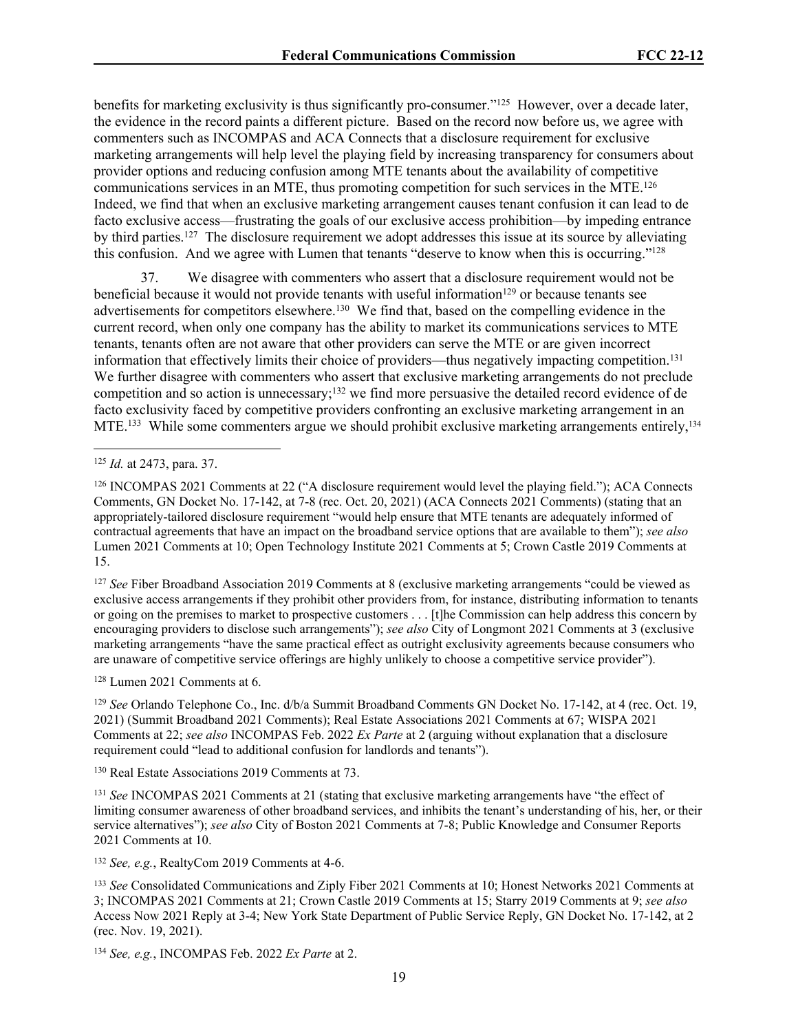benefits for marketing exclusivity is thus significantly pro-consumer."<sup>125</sup> However, over a decade later, the evidence in the record paints a different picture. Based on the record now before us, we agree with commenters such as INCOMPAS and ACA Connects that a disclosure requirement for exclusive marketing arrangements will help level the playing field by increasing transparency for consumers about provider options and reducing confusion among MTE tenants about the availability of competitive communications services in an MTE, thus promoting competition for such services in the MTE.<sup>126</sup> Indeed, we find that when an exclusive marketing arrangement causes tenant confusion it can lead to de facto exclusive access—frustrating the goals of our exclusive access prohibition—by impeding entrance by third parties.<sup>127</sup> The disclosure requirement we adopt addresses this issue at its source by alleviating this confusion. And we agree with Lumen that tenants "deserve to know when this is occurring."<sup>128</sup>

37. We disagree with commenters who assert that a disclosure requirement would not be beneficial because it would not provide tenants with useful information<sup>129</sup> or because tenants see advertisements for competitors elsewhere.<sup>130</sup> We find that, based on the compelling evidence in the current record, when only one company has the ability to market its communications services to MTE tenants, tenants often are not aware that other providers can serve the MTE or are given incorrect information that effectively limits their choice of providers—thus negatively impacting competition.<sup>131</sup> We further disagree with commenters who assert that exclusive marketing arrangements do not preclude competition and so action is unnecessary;<sup>132</sup> we find more persuasive the detailed record evidence of de facto exclusivity faced by competitive providers confronting an exclusive marketing arrangement in an MTE.<sup>133</sup> While some commenters argue we should prohibit exclusive marketing arrangements entirely,<sup>134</sup>

<sup>127</sup> *See* Fiber Broadband Association 2019 Comments at 8 (exclusive marketing arrangements "could be viewed as exclusive access arrangements if they prohibit other providers from, for instance, distributing information to tenants or going on the premises to market to prospective customers . . . [t]he Commission can help address this concern by encouraging providers to disclose such arrangements"); *see also* City of Longmont 2021 Comments at 3 (exclusive marketing arrangements "have the same practical effect as outright exclusivity agreements because consumers who are unaware of competitive service offerings are highly unlikely to choose a competitive service provider").

<sup>128</sup> Lumen 2021 Comments at 6.

<sup>129</sup> *See* Orlando Telephone Co., Inc. d/b/a Summit Broadband Comments GN Docket No. 17-142, at 4 (rec. Oct. 19, 2021) (Summit Broadband 2021 Comments); Real Estate Associations 2021 Comments at 67; WISPA 2021 Comments at 22; *see also* INCOMPAS Feb. 2022 *Ex Parte* at 2 (arguing without explanation that a disclosure requirement could "lead to additional confusion for landlords and tenants").

<sup>130</sup> Real Estate Associations 2019 Comments at 73.

<sup>131</sup> *See* INCOMPAS 2021 Comments at 21 (stating that exclusive marketing arrangements have "the effect of limiting consumer awareness of other broadband services, and inhibits the tenant's understanding of his, her, or their service alternatives"); *see also* City of Boston 2021 Comments at 7-8; Public Knowledge and Consumer Reports 2021 Comments at 10.

<sup>132</sup> *See, e.g.*, RealtyCom 2019 Comments at 4-6.

<sup>134</sup> *See, e.g.*, INCOMPAS Feb. 2022 *Ex Parte* at 2.

<sup>125</sup> *Id.* at 2473, para. 37.

<sup>126</sup> INCOMPAS 2021 Comments at 22 ("A disclosure requirement would level the playing field."); ACA Connects Comments, GN Docket No. 17-142, at 7-8 (rec. Oct. 20, 2021) (ACA Connects 2021 Comments) (stating that an appropriately-tailored disclosure requirement "would help ensure that MTE tenants are adequately informed of contractual agreements that have an impact on the broadband service options that are available to them"); *see also*  Lumen 2021 Comments at 10; Open Technology Institute 2021 Comments at 5; Crown Castle 2019 Comments at 15.

<sup>133</sup> *See* Consolidated Communications and Ziply Fiber 2021 Comments at 10; Honest Networks 2021 Comments at 3; INCOMPAS 2021 Comments at 21; Crown Castle 2019 Comments at 15; Starry 2019 Comments at 9; *see also*  Access Now 2021 Reply at 3-4; New York State Department of Public Service Reply, GN Docket No. 17-142, at 2 (rec. Nov. 19, 2021).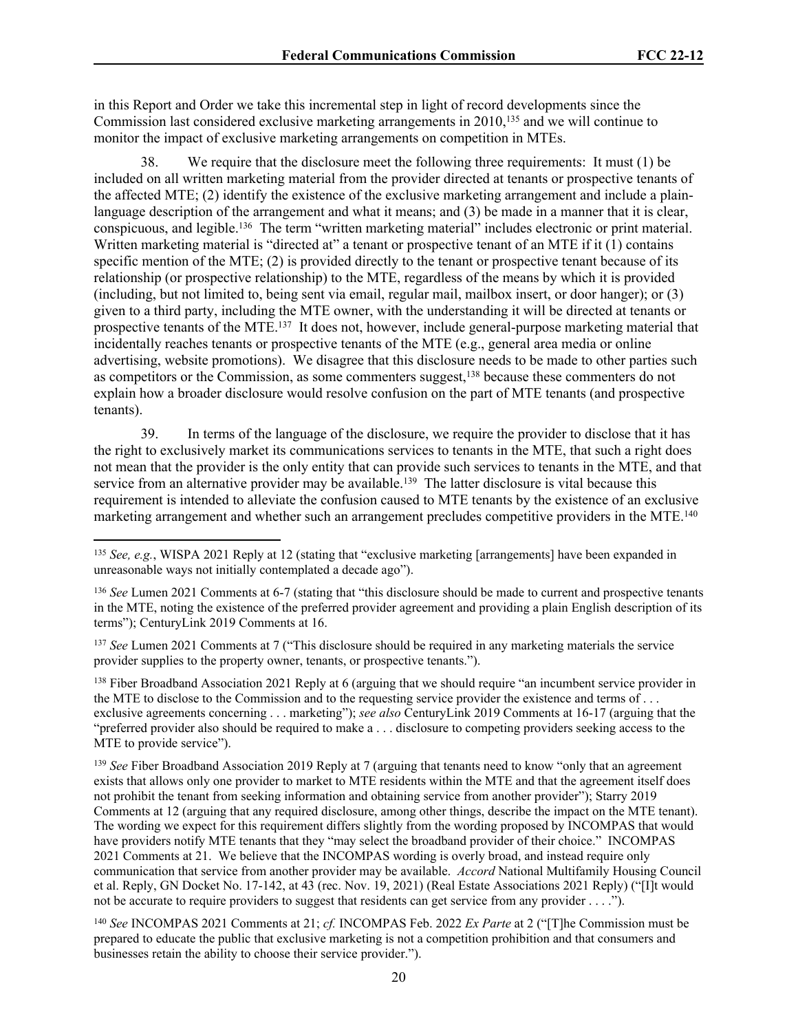in this Report and Order we take this incremental step in light of record developments since the Commission last considered exclusive marketing arrangements in 2010,<sup>135</sup> and we will continue to monitor the impact of exclusive marketing arrangements on competition in MTEs.

We require that the disclosure meet the following three requirements: It must  $(1)$  be included on all written marketing material from the provider directed at tenants or prospective tenants of the affected MTE; (2) identify the existence of the exclusive marketing arrangement and include a plainlanguage description of the arrangement and what it means; and (3) be made in a manner that it is clear, conspicuous, and legible.<sup>136</sup> The term "written marketing material" includes electronic or print material. Written marketing material is "directed at" a tenant or prospective tenant of an MTE if it (1) contains specific mention of the MTE; (2) is provided directly to the tenant or prospective tenant because of its relationship (or prospective relationship) to the MTE, regardless of the means by which it is provided (including, but not limited to, being sent via email, regular mail, mailbox insert, or door hanger); or (3) given to a third party, including the MTE owner, with the understanding it will be directed at tenants or prospective tenants of the MTE.<sup>137</sup> It does not, however, include general-purpose marketing material that incidentally reaches tenants or prospective tenants of the MTE (e.g., general area media or online advertising, website promotions). We disagree that this disclosure needs to be made to other parties such as competitors or the Commission, as some commenters suggest,<sup>138</sup> because these commenters do not explain how a broader disclosure would resolve confusion on the part of MTE tenants (and prospective tenants).

39. In terms of the language of the disclosure, we require the provider to disclose that it has the right to exclusively market its communications services to tenants in the MTE, that such a right does not mean that the provider is the only entity that can provide such services to tenants in the MTE, and that service from an alternative provider may be available.<sup>139</sup> The latter disclosure is vital because this requirement is intended to alleviate the confusion caused to MTE tenants by the existence of an exclusive marketing arrangement and whether such an arrangement precludes competitive providers in the MTE.<sup>140</sup>

<sup>138</sup> Fiber Broadband Association 2021 Reply at 6 (arguing that we should require "an incumbent service provider in the MTE to disclose to the Commission and to the requesting service provider the existence and terms of . . . exclusive agreements concerning . . . marketing"); *see also* CenturyLink 2019 Comments at 16-17 (arguing that the "preferred provider also should be required to make a . . . disclosure to competing providers seeking access to the MTE to provide service").

<sup>139</sup> *See* Fiber Broadband Association 2019 Reply at 7 (arguing that tenants need to know "only that an agreement" exists that allows only one provider to market to MTE residents within the MTE and that the agreement itself does not prohibit the tenant from seeking information and obtaining service from another provider"); Starry 2019 Comments at 12 (arguing that any required disclosure, among other things, describe the impact on the MTE tenant). The wording we expect for this requirement differs slightly from the wording proposed by INCOMPAS that would have providers notify MTE tenants that they "may select the broadband provider of their choice." INCOMPAS 2021 Comments at 21. We believe that the INCOMPAS wording is overly broad, and instead require only communication that service from another provider may be available. *Accord* National Multifamily Housing Council et al. Reply, GN Docket No. 17-142, at 43 (rec. Nov. 19, 2021) (Real Estate Associations 2021 Reply) ("[I]t would not be accurate to require providers to suggest that residents can get service from any provider . . . .").

<sup>140</sup> *See* INCOMPAS 2021 Comments at 21; *cf.* INCOMPAS Feb. 2022 *Ex Parte* at 2 ("[T]he Commission must be prepared to educate the public that exclusive marketing is not a competition prohibition and that consumers and businesses retain the ability to choose their service provider.").

<sup>135</sup> *See, e.g.*, WISPA 2021 Reply at 12 (stating that "exclusive marketing [arrangements] have been expanded in unreasonable ways not initially contemplated a decade ago").

<sup>136</sup> *See* Lumen 2021 Comments at 6-7 (stating that "this disclosure should be made to current and prospective tenants in the MTE, noting the existence of the preferred provider agreement and providing a plain English description of its terms"); CenturyLink 2019 Comments at 16.

<sup>137</sup> *See* Lumen 2021 Comments at 7 ("This disclosure should be required in any marketing materials the service provider supplies to the property owner, tenants, or prospective tenants.").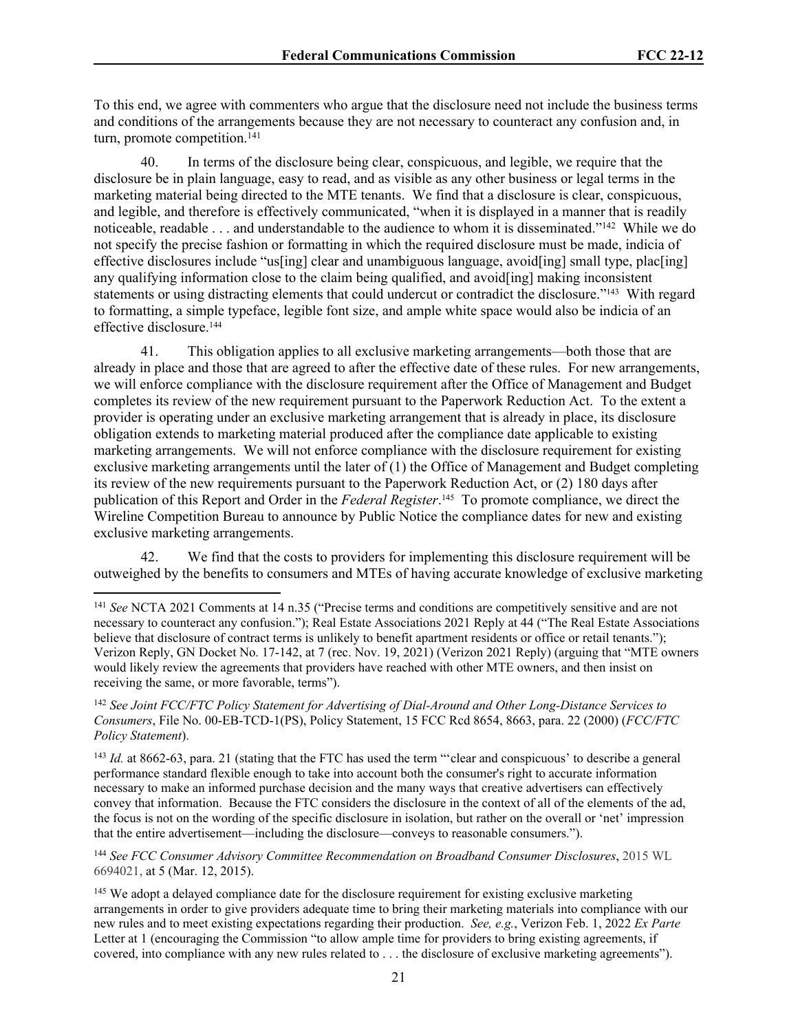To this end, we agree with commenters who argue that the disclosure need not include the business terms and conditions of the arrangements because they are not necessary to counteract any confusion and, in turn, promote competition.<sup>141</sup>

40. In terms of the disclosure being clear, conspicuous, and legible, we require that the disclosure be in plain language, easy to read, and as visible as any other business or legal terms in the marketing material being directed to the MTE tenants. We find that a disclosure is clear, conspicuous, and legible, and therefore is effectively communicated, "when it is displayed in a manner that is readily noticeable, readable . . . and understandable to the audience to whom it is disseminated."<sup>142</sup> While we do not specify the precise fashion or formatting in which the required disclosure must be made, indicia of effective disclosures include "us[ing] clear and unambiguous language, avoid[ing] small type, plac[ing] any qualifying information close to the claim being qualified, and avoid[ing] making inconsistent statements or using distracting elements that could undercut or contradict the disclosure."<sup>143</sup> With regard to formatting, a simple typeface, legible font size, and ample white space would also be indicia of an effective disclosure.<sup>144</sup>

41. This obligation applies to all exclusive marketing arrangements—both those that are already in place and those that are agreed to after the effective date of these rules. For new arrangements, we will enforce compliance with the disclosure requirement after the Office of Management and Budget completes its review of the new requirement pursuant to the Paperwork Reduction Act. To the extent a provider is operating under an exclusive marketing arrangement that is already in place, its disclosure obligation extends to marketing material produced after the compliance date applicable to existing marketing arrangements. We will not enforce compliance with the disclosure requirement for existing exclusive marketing arrangements until the later of (1) the Office of Management and Budget completing its review of the new requirements pursuant to the Paperwork Reduction Act, or (2) 180 days after publication of this Report and Order in the *Federal Register*. <sup>145</sup> To promote compliance, we direct the Wireline Competition Bureau to announce by Public Notice the compliance dates for new and existing exclusive marketing arrangements.

42. We find that the costs to providers for implementing this disclosure requirement will be outweighed by the benefits to consumers and MTEs of having accurate knowledge of exclusive marketing

<sup>143</sup> *Id.* at 8662-63, para. 21 (stating that the FTC has used the term "clear and conspicuous' to describe a general performance standard flexible enough to take into account both the consumer's right to accurate information necessary to make an informed purchase decision and the many ways that creative advertisers can effectively convey that information. Because the FTC considers the disclosure in the context of all of the elements of the ad, the focus is not on the wording of the specific disclosure in isolation, but rather on the overall or 'net' impression that the entire advertisement—including the disclosure—conveys to reasonable consumers.").

<sup>144</sup> *See FCC Consumer Advisory Committee Recommendation on Broadband Consumer Disclosures*, 2015 WL 6694021, at 5 (Mar. 12, 2015).

<sup>141</sup> *See* NCTA 2021 Comments at 14 n.35 ("Precise terms and conditions are competitively sensitive and are not necessary to counteract any confusion."); Real Estate Associations 2021 Reply at 44 ("The Real Estate Associations believe that disclosure of contract terms is unlikely to benefit apartment residents or office or retail tenants."); Verizon Reply, GN Docket No. 17-142, at 7 (rec. Nov. 19, 2021) (Verizon 2021 Reply) (arguing that "MTE owners would likely review the agreements that providers have reached with other MTE owners, and then insist on receiving the same, or more favorable, terms").

<sup>142</sup> *See Joint FCC/FTC Policy Statement for Advertising of Dial-Around and Other Long-Distance Services to Consumers*, File No. 00-EB-TCD-1(PS), Policy Statement, 15 FCC Rcd 8654, 8663, para. 22 (2000) (*FCC/FTC Policy Statement*).

<sup>&</sup>lt;sup>145</sup> We adopt a delayed compliance date for the disclosure requirement for existing exclusive marketing arrangements in order to give providers adequate time to bring their marketing materials into compliance with our new rules and to meet existing expectations regarding their production. *See, e.g.*, Verizon Feb. 1, 2022 *Ex Parte* Letter at 1 (encouraging the Commission "to allow ample time for providers to bring existing agreements, if covered, into compliance with any new rules related to . . . the disclosure of exclusive marketing agreements").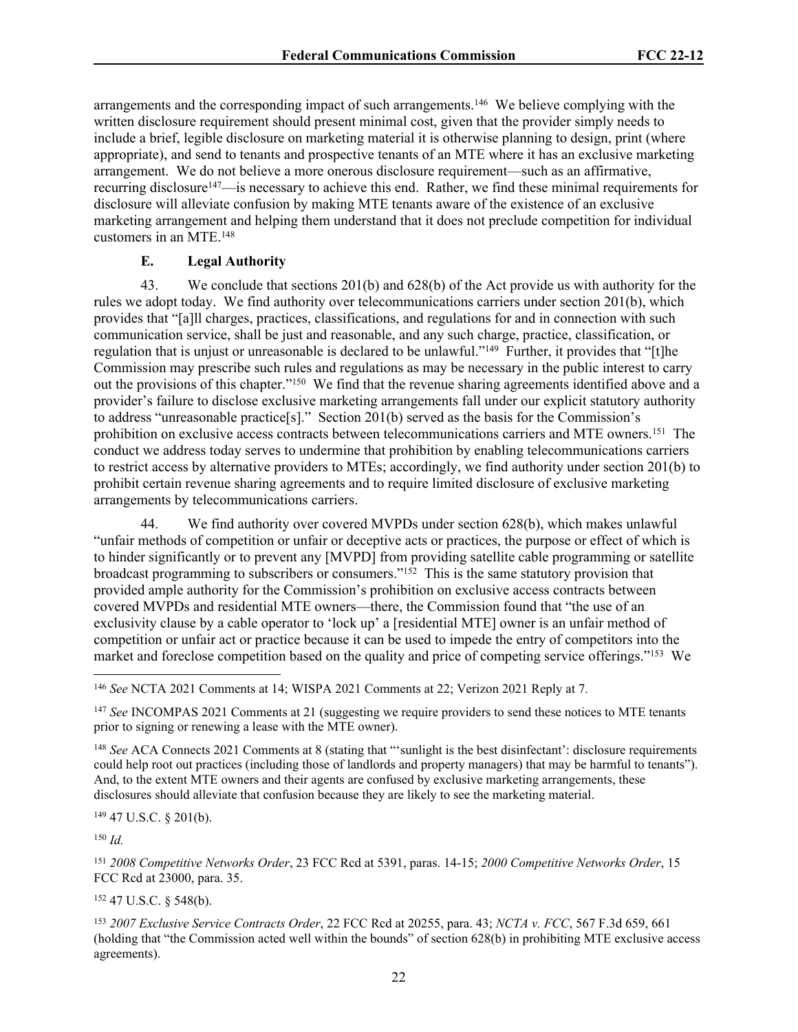arrangements and the corresponding impact of such arrangements.<sup>146</sup> We believe complying with the written disclosure requirement should present minimal cost, given that the provider simply needs to include a brief, legible disclosure on marketing material it is otherwise planning to design, print (where appropriate), and send to tenants and prospective tenants of an MTE where it has an exclusive marketing arrangement. We do not believe a more onerous disclosure requirement—such as an affirmative, recurring disclosure<sup>147</sup>—is necessary to achieve this end. Rather, we find these minimal requirements for disclosure will alleviate confusion by making MTE tenants aware of the existence of an exclusive marketing arrangement and helping them understand that it does not preclude competition for individual customers in an MTE.<sup>148</sup>

### **E. Legal Authority**

43. We conclude that sections 201(b) and 628(b) of the Act provide us with authority for the rules we adopt today. We find authority over telecommunications carriers under section 201(b), which provides that "[a]ll charges, practices, classifications, and regulations for and in connection with such communication service, shall be just and reasonable, and any such charge, practice, classification, or regulation that is unjust or unreasonable is declared to be unlawful."<sup>149</sup> Further, it provides that "[t]he Commission may prescribe such rules and regulations as may be necessary in the public interest to carry out the provisions of this chapter."<sup>150</sup> We find that the revenue sharing agreements identified above and a provider's failure to disclose exclusive marketing arrangements fall under our explicit statutory authority to address "unreasonable practice[s]." Section 201(b) served as the basis for the Commission's prohibition on exclusive access contracts between telecommunications carriers and MTE owners.<sup>151</sup> The conduct we address today serves to undermine that prohibition by enabling telecommunications carriers to restrict access by alternative providers to MTEs; accordingly, we find authority under section 201(b) to prohibit certain revenue sharing agreements and to require limited disclosure of exclusive marketing arrangements by telecommunications carriers.

44. We find authority over covered MVPDs under section 628(b), which makes unlawful "unfair methods of competition or unfair or deceptive acts or practices, the purpose or effect of which is to hinder significantly or to prevent any [MVPD] from providing satellite cable programming or satellite broadcast programming to subscribers or consumers."<sup>152</sup> This is the same statutory provision that provided ample authority for the Commission's prohibition on exclusive access contracts between covered MVPDs and residential MTE owners—there, the Commission found that "the use of an exclusivity clause by a cable operator to 'lock up' a [residential MTE] owner is an unfair method of competition or unfair act or practice because it can be used to impede the entry of competitors into the market and foreclose competition based on the quality and price of competing service offerings."<sup>153</sup> We

<sup>147</sup> *See* INCOMPAS 2021 Comments at 21 (suggesting we require providers to send these notices to MTE tenants prior to signing or renewing a lease with the MTE owner).

<sup>148</sup> *See* ACA Connects 2021 Comments at 8 (stating that "'sunlight is the best disinfectant': disclosure requirements could help root out practices (including those of landlords and property managers) that may be harmful to tenants"). And, to the extent MTE owners and their agents are confused by exclusive marketing arrangements, these disclosures should alleviate that confusion because they are likely to see the marketing material.

<sup>149</sup> 47 U.S.C. § 201(b).

<sup>150</sup> *Id.*

<sup>151</sup> *2008 Competitive Networks Order*, 23 FCC Rcd at 5391, paras. 14-15; *2000 Competitive Networks Order*, 15 FCC Rcd at 23000, para. 35.

<sup>152</sup> 47 U.S.C. § 548(b).

<sup>146</sup> *See* NCTA 2021 Comments at 14; WISPA 2021 Comments at 22; Verizon 2021 Reply at 7.

<sup>153</sup> *2007 Exclusive Service Contracts Order*, 22 FCC Rcd at 20255, para. 43; *NCTA v. FCC*, 567 F.3d 659, 661 (holding that "the Commission acted well within the bounds" of section 628(b) in prohibiting MTE exclusive access agreements).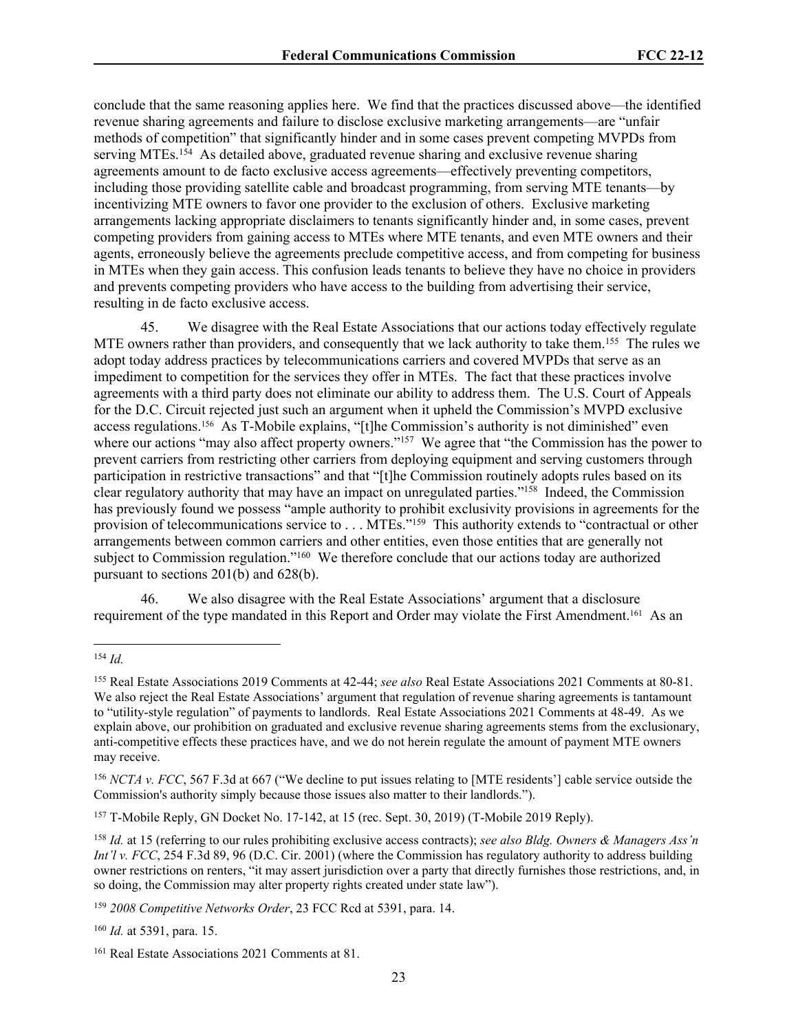conclude that the same reasoning applies here. We find that the practices discussed above—the identified revenue sharing agreements and failure to disclose exclusive marketing arrangements—are "unfair methods of competition" that significantly hinder and in some cases prevent competing MVPDs from serving MTEs.<sup>154</sup> As detailed above, graduated revenue sharing and exclusive revenue sharing agreements amount to de facto exclusive access agreements—effectively preventing competitors, including those providing satellite cable and broadcast programming, from serving MTE tenants—by incentivizing MTE owners to favor one provider to the exclusion of others. Exclusive marketing arrangements lacking appropriate disclaimers to tenants significantly hinder and, in some cases, prevent competing providers from gaining access to MTEs where MTE tenants, and even MTE owners and their agents, erroneously believe the agreements preclude competitive access, and from competing for business in MTEs when they gain access. This confusion leads tenants to believe they have no choice in providers and prevents competing providers who have access to the building from advertising their service, resulting in de facto exclusive access.

45. We disagree with the Real Estate Associations that our actions today effectively regulate MTE owners rather than providers, and consequently that we lack authority to take them.<sup>155</sup> The rules we adopt today address practices by telecommunications carriers and covered MVPDs that serve as an impediment to competition for the services they offer in MTEs. The fact that these practices involve agreements with a third party does not eliminate our ability to address them. The U.S. Court of Appeals for the D.C. Circuit rejected just such an argument when it upheld the Commission's MVPD exclusive access regulations.156 As T-Mobile explains, "[t]he Commission's authority is not diminished" even where our actions "may also affect property owners."<sup>157</sup> We agree that "the Commission has the power to prevent carriers from restricting other carriers from deploying equipment and serving customers through participation in restrictive transactions" and that "[t]he Commission routinely adopts rules based on its clear regulatory authority that may have an impact on unregulated parties."<sup>158</sup> Indeed, the Commission has previously found we possess "ample authority to prohibit exclusivity provisions in agreements for the provision of telecommunications service to . . . MTEs."<sup>159</sup> This authority extends to "contractual or other arrangements between common carriers and other entities, even those entities that are generally not subject to Commission regulation."<sup>160</sup> We therefore conclude that our actions today are authorized pursuant to sections 201(b) and 628(b).

46. We also disagree with the Real Estate Associations' argument that a disclosure requirement of the type mandated in this Report and Order may violate the First Amendment.<sup>161</sup> As an

<sup>154</sup> *Id.*

<sup>155</sup> Real Estate Associations 2019 Comments at 42-44; *see also* Real Estate Associations 2021 Comments at 80-81. We also reject the Real Estate Associations' argument that regulation of revenue sharing agreements is tantamount to "utility-style regulation" of payments to landlords. Real Estate Associations 2021 Comments at 48-49. As we explain above, our prohibition on graduated and exclusive revenue sharing agreements stems from the exclusionary, anti-competitive effects these practices have, and we do not herein regulate the amount of payment MTE owners may receive.

<sup>156</sup> *NCTA v. FCC*, 567 F.3d at 667 ("We decline to put issues relating to [MTE residents'] cable service outside the Commission's authority simply because those issues also matter to their landlords.").

<sup>157</sup> T-Mobile Reply, GN Docket No. 17-142, at 15 (rec. Sept. 30, 2019) (T-Mobile 2019 Reply).

<sup>158</sup> *Id.* at 15 (referring to our rules prohibiting exclusive access contracts); *see also Bldg. Owners & Managers Ass'n Int'l v. FCC*, 254 F.3d 89, 96 (D.C. Cir. 2001) (where the Commission has regulatory authority to address building owner restrictions on renters, "it may assert jurisdiction over a party that directly furnishes those restrictions, and, in so doing, the Commission may alter property rights created under state law").

<sup>159</sup> *2008 Competitive Networks Order*, 23 FCC Rcd at 5391, para. 14.

<sup>160</sup> *Id.* at 5391, para. 15.

<sup>161</sup> Real Estate Associations 2021 Comments at 81.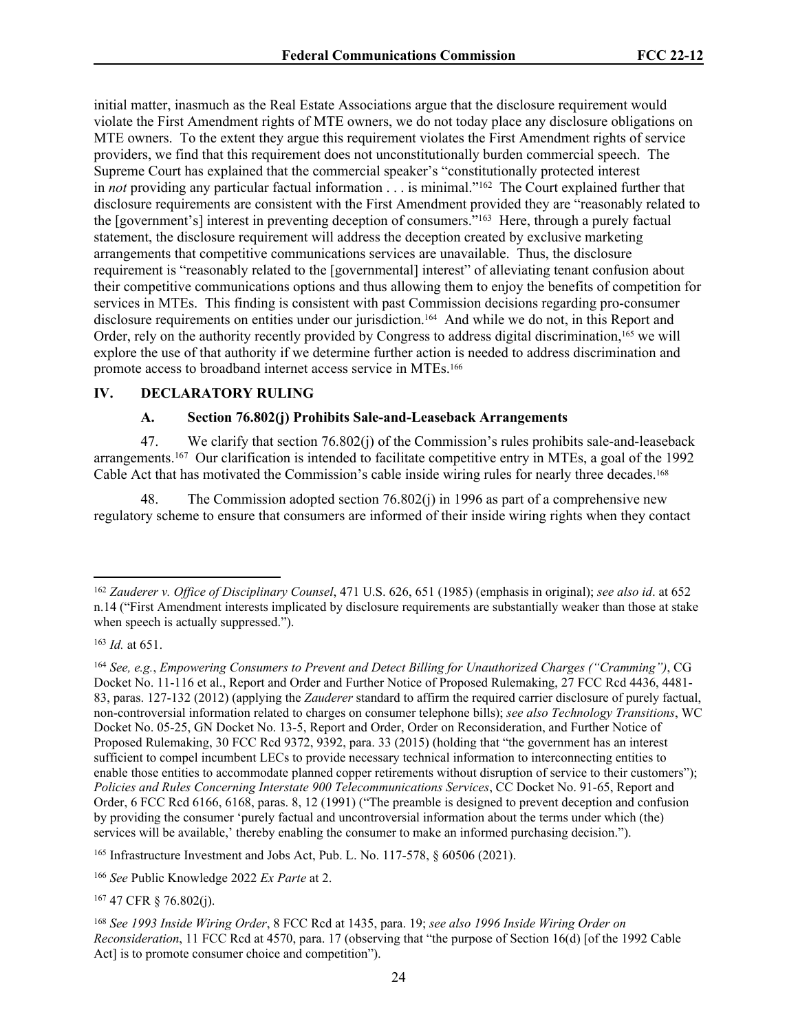initial matter, inasmuch as the Real Estate Associations argue that the disclosure requirement would violate the First Amendment rights of MTE owners, we do not today place any disclosure obligations on MTE owners. To the extent they argue this requirement violates the First Amendment rights of service providers, we find that this requirement does not unconstitutionally burden commercial speech. The Supreme Court has explained that the commercial speaker's "constitutionally protected interest in *not* providing any particular factual information . . . is minimal."<sup>162</sup> The Court explained further that disclosure requirements are consistent with the First Amendment provided they are "reasonably related to the [government's] interest in preventing deception of consumers."<sup>163</sup> Here, through a purely factual statement, the disclosure requirement will address the deception created by exclusive marketing arrangements that competitive communications services are unavailable. Thus, the disclosure requirement is "reasonably related to the [governmental] interest" of alleviating tenant confusion about their competitive communications options and thus allowing them to enjoy the benefits of competition for services in MTEs. This finding is consistent with past Commission decisions regarding pro-consumer disclosure requirements on entities under our jurisdiction.164 And while we do not, in this Report and Order, rely on the authority recently provided by Congress to address digital discrimination,<sup>165</sup> we will explore the use of that authority if we determine further action is needed to address discrimination and promote access to broadband internet access service in MTEs.<sup>166</sup>

#### **IV. DECLARATORY RULING**

#### **A. Section 76.802(j) Prohibits Sale-and-Leaseback Arrangements**

47. We clarify that section 76.802(j) of the Commission's rules prohibits sale-and-leaseback arrangements.<sup>167</sup> Our clarification is intended to facilitate competitive entry in MTEs, a goal of the 1992 Cable Act that has motivated the Commission's cable inside wiring rules for nearly three decades.<sup>168</sup>

48. The Commission adopted section 76.802(j) in 1996 as part of a comprehensive new regulatory scheme to ensure that consumers are informed of their inside wiring rights when they contact

<sup>163</sup> *Id.* at 651.

<sup>167</sup> 47 CFR § 76.802(j).

<sup>162</sup> *Zauderer v. Office of Disciplinary Counsel*, 471 U.S. 626, 651 (1985) (emphasis in original); *see also id*. at 652 n.14 ("First Amendment interests implicated by disclosure requirements are substantially weaker than those at stake when speech is actually suppressed.").

<sup>164</sup> *See, e.g.*, *Empowering Consumers to Prevent and Detect Billing for Unauthorized Charges ("Cramming")*, CG Docket No. 11-116 et al., Report and Order and Further Notice of Proposed Rulemaking, 27 FCC Rcd 4436, 4481- 83, paras. 127-132 (2012) (applying the *Zauderer* standard to affirm the required carrier disclosure of purely factual, non-controversial information related to charges on consumer telephone bills); *see also Technology Transitions*, WC Docket No. 05-25, GN Docket No. 13-5, Report and Order, Order on Reconsideration, and Further Notice of Proposed Rulemaking, 30 FCC Rcd 9372, 9392, para. 33 (2015) (holding that "the government has an interest sufficient to compel incumbent LECs to provide necessary technical information to interconnecting entities to enable those entities to accommodate planned copper retirements without disruption of service to their customers"); *Policies and Rules Concerning Interstate 900 Telecommunications Services*, CC Docket No. 91-65, Report and Order, 6 FCC Rcd 6166, 6168, paras. 8, 12 (1991) ("The preamble is designed to prevent deception and confusion by providing the consumer 'purely factual and uncontroversial information about the terms under which (the) services will be available,' thereby enabling the consumer to make an informed purchasing decision.").

<sup>165</sup> Infrastructure Investment and Jobs Act, Pub. L. No. 117-578, § 60506 (2021).

<sup>166</sup> *See* Public Knowledge 2022 *Ex Parte* at 2.

<sup>168</sup> *See 1993 Inside Wiring Order*, 8 FCC Rcd at 1435, para. 19; *see also 1996 Inside Wiring Order on Reconsideration*, 11 FCC Rcd at 4570, para. 17 (observing that "the purpose of Section 16(d) [of the 1992 Cable Act] is to promote consumer choice and competition").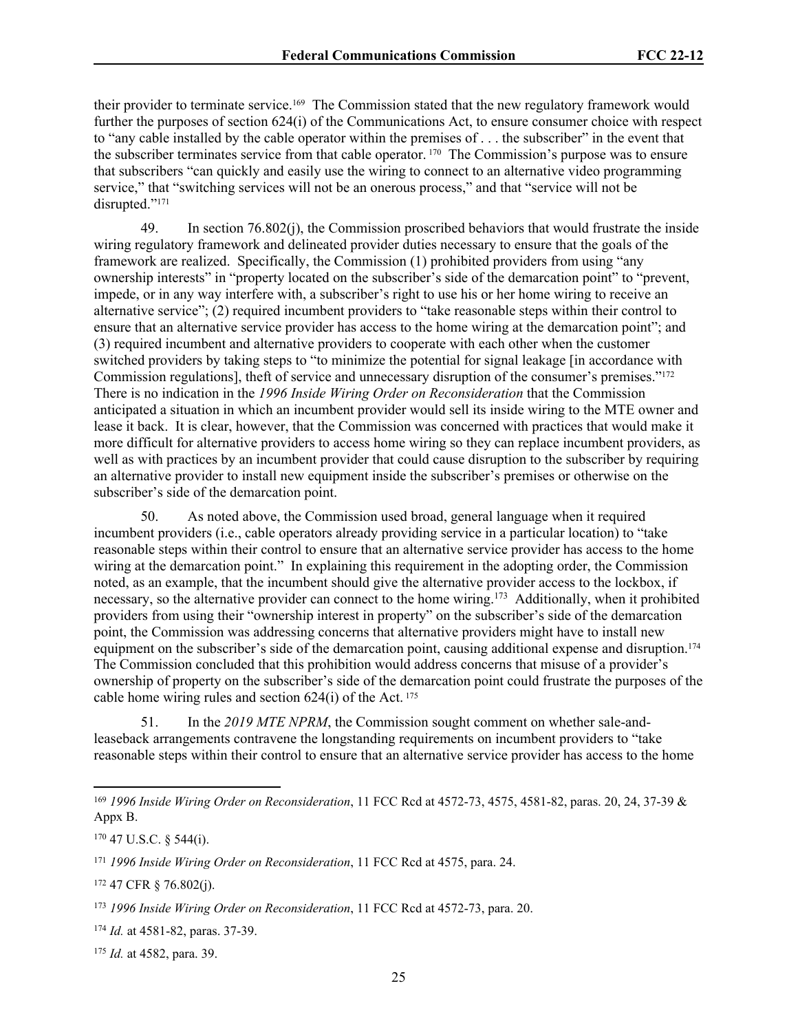their provider to terminate service.169 The Commission stated that the new regulatory framework would further the purposes of section 624(i) of the Communications Act, to ensure consumer choice with respect to "any cable installed by the cable operator within the premises of . . . the subscriber" in the event that the subscriber terminates service from that cable operator. 170 The Commission's purpose was to ensure that subscribers "can quickly and easily use the wiring to connect to an alternative video programming service," that "switching services will not be an onerous process," and that "service will not be disrupted."<sup>171</sup>

49. In section 76.802(j), the Commission proscribed behaviors that would frustrate the inside wiring regulatory framework and delineated provider duties necessary to ensure that the goals of the framework are realized. Specifically, the Commission (1) prohibited providers from using "any ownership interests" in "property located on the subscriber's side of the demarcation point" to "prevent, impede, or in any way interfere with, a subscriber's right to use his or her home wiring to receive an alternative service"; (2) required incumbent providers to "take reasonable steps within their control to ensure that an alternative service provider has access to the home wiring at the demarcation point"; and (3) required incumbent and alternative providers to cooperate with each other when the customer switched providers by taking steps to "to minimize the potential for signal leakage [in accordance with Commission regulations], theft of service and unnecessary disruption of the consumer's premises."<sup>172</sup> There is no indication in the *1996 Inside Wiring Order on Reconsideration* that the Commission anticipated a situation in which an incumbent provider would sell its inside wiring to the MTE owner and lease it back. It is clear, however, that the Commission was concerned with practices that would make it more difficult for alternative providers to access home wiring so they can replace incumbent providers, as well as with practices by an incumbent provider that could cause disruption to the subscriber by requiring an alternative provider to install new equipment inside the subscriber's premises or otherwise on the subscriber's side of the demarcation point.

50. As noted above, the Commission used broad, general language when it required incumbent providers (i.e., cable operators already providing service in a particular location) to "take reasonable steps within their control to ensure that an alternative service provider has access to the home wiring at the demarcation point." In explaining this requirement in the adopting order, the Commission noted, as an example, that the incumbent should give the alternative provider access to the lockbox, if necessary, so the alternative provider can connect to the home wiring.<sup>173</sup> Additionally, when it prohibited providers from using their "ownership interest in property" on the subscriber's side of the demarcation point, the Commission was addressing concerns that alternative providers might have to install new equipment on the subscriber's side of the demarcation point, causing additional expense and disruption.<sup>174</sup> The Commission concluded that this prohibition would address concerns that misuse of a provider's ownership of property on the subscriber's side of the demarcation point could frustrate the purposes of the cable home wiring rules and section  $624(i)$  of the Act.<sup>175</sup>

51. In the *2019 MTE NPRM*, the Commission sought comment on whether sale-andleaseback arrangements contravene the longstanding requirements on incumbent providers to "take reasonable steps within their control to ensure that an alternative service provider has access to the home

<sup>170</sup> 47 U.S.C. § 544(i).

<sup>175</sup> *Id.* at 4582, para. 39.

<sup>169</sup> *1996 Inside Wiring Order on Reconsideration*, 11 FCC Rcd at 4572-73, 4575, 4581-82, paras. 20, 24, 37-39 & Appx B.

<sup>171</sup> *1996 Inside Wiring Order on Reconsideration*, 11 FCC Rcd at 4575, para. 24.

<sup>172</sup> 47 CFR § 76.802(j).

<sup>173</sup> *1996 Inside Wiring Order on Reconsideration*, 11 FCC Rcd at 4572-73, para. 20.

<sup>174</sup> *Id.* at 4581-82, paras. 37-39.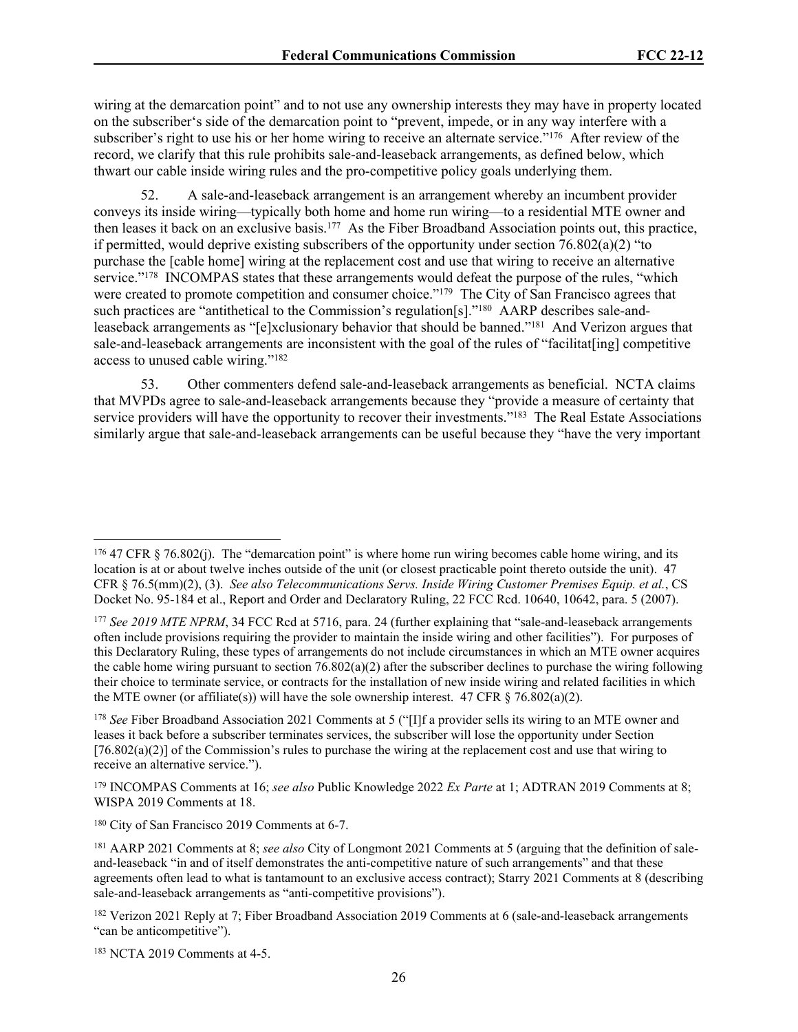wiring at the demarcation point" and to not use any ownership interests they may have in property located on the subscriber's side of the demarcation point to "prevent, impede, or in any way interfere with a subscriber's right to use his or her home wiring to receive an alternate service."<sup>176</sup> After review of the record, we clarify that this rule prohibits sale-and-leaseback arrangements, as defined below, which thwart our cable inside wiring rules and the pro-competitive policy goals underlying them.

52. A sale-and-leaseback arrangement is an arrangement whereby an incumbent provider conveys its inside wiring—typically both home and home run wiring—to a residential MTE owner and then leases it back on an exclusive basis.<sup>177</sup> As the Fiber Broadband Association points out, this practice, if permitted, would deprive existing subscribers of the opportunity under section  $76.802(a)(2)$  "to purchase the [cable home] wiring at the replacement cost and use that wiring to receive an alternative service."<sup>178</sup> INCOMPAS states that these arrangements would defeat the purpose of the rules, "which were created to promote competition and consumer choice."<sup>179</sup> The City of San Francisco agrees that such practices are "antithetical to the Commission's regulation[s]."<sup>180</sup> AARP describes sale-andleaseback arrangements as "[e]xclusionary behavior that should be banned."<sup>181</sup> And Verizon argues that sale-and-leaseback arrangements are inconsistent with the goal of the rules of "facilitat[ing] competitive access to unused cable wiring."<sup>182</sup>

53. Other commenters defend sale-and-leaseback arrangements as beneficial. NCTA claims that MVPDs agree to sale-and-leaseback arrangements because they "provide a measure of certainty that service providers will have the opportunity to recover their investments."<sup>183</sup> The Real Estate Associations similarly argue that sale-and-leaseback arrangements can be useful because they "have the very important

183 NCTA 2019 Comments at 4-5.

 $176$  47 CFR § 76.802(j). The "demarcation point" is where home run wiring becomes cable home wiring, and its location is at or about twelve inches outside of the unit (or closest practicable point thereto outside the unit). 47 CFR § 76.5(mm)(2), (3). *See also Telecommunications Servs. Inside Wiring Customer Premises Equip. et al.*, CS Docket No. 95-184 et al., Report and Order and Declaratory Ruling, 22 FCC Rcd. 10640, 10642, para. 5 (2007).

<sup>177</sup> *See 2019 MTE NPRM*, 34 FCC Rcd at 5716, para. 24 (further explaining that "sale-and-leaseback arrangements often include provisions requiring the provider to maintain the inside wiring and other facilities"). For purposes of this Declaratory Ruling, these types of arrangements do not include circumstances in which an MTE owner acquires the cable home wiring pursuant to section  $76.802(a)(2)$  after the subscriber declines to purchase the wiring following their choice to terminate service, or contracts for the installation of new inside wiring and related facilities in which the MTE owner (or affiliate(s)) will have the sole ownership interest. 47 CFR  $\S$  76.802(a)(2).

<sup>&</sup>lt;sup>178</sup> *See* Fiber Broadband Association 2021 Comments at 5 ("[I]f a provider sells its wiring to an MTE owner and leases it back before a subscriber terminates services, the subscriber will lose the opportunity under Section  $[76.802(a)(2)]$  of the Commission's rules to purchase the wiring at the replacement cost and use that wiring to receive an alternative service.").

<sup>179</sup> INCOMPAS Comments at 16; *see also* Public Knowledge 2022 *Ex Parte* at 1; ADTRAN 2019 Comments at 8; WISPA 2019 Comments at 18.

<sup>180</sup> City of San Francisco 2019 Comments at 6-7.

<sup>181</sup> AARP 2021 Comments at 8; *see also* City of Longmont 2021 Comments at 5 (arguing that the definition of saleand-leaseback "in and of itself demonstrates the anti-competitive nature of such arrangements" and that these agreements often lead to what is tantamount to an exclusive access contract); Starry 2021 Comments at 8 (describing sale-and-leaseback arrangements as "anti-competitive provisions").

<sup>182</sup> Verizon 2021 Reply at 7; Fiber Broadband Association 2019 Comments at 6 (sale-and-leaseback arrangements "can be anticompetitive").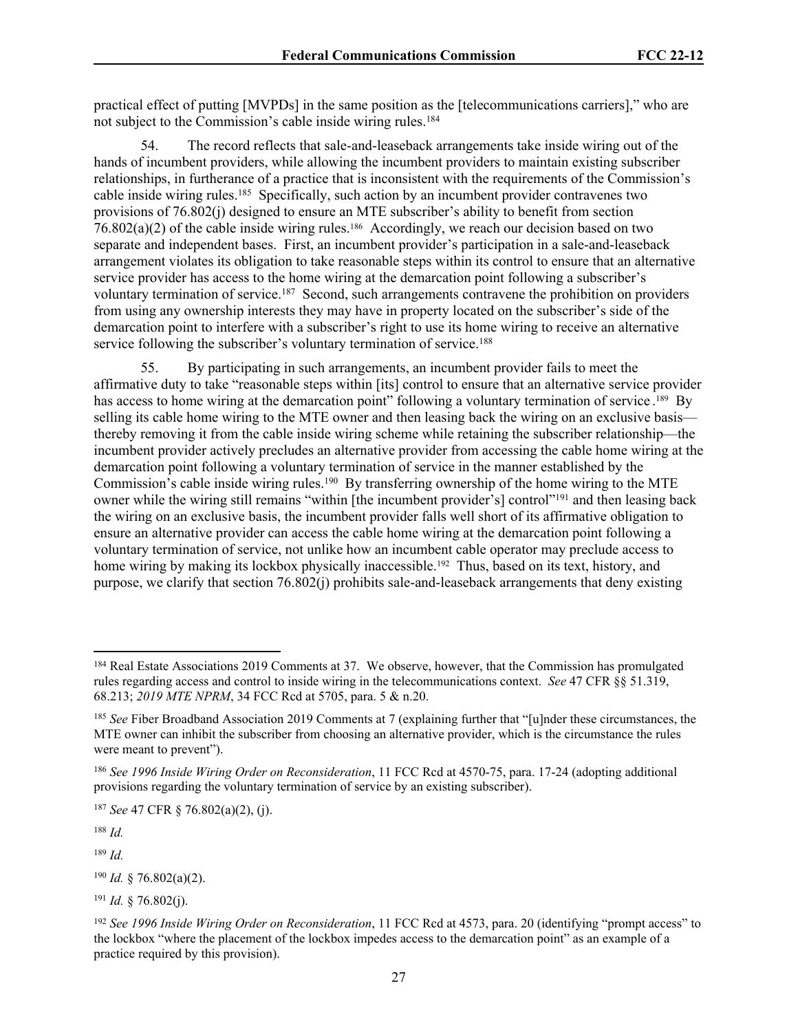practical effect of putting [MVPDs] in the same position as the [telecommunications carriers]," who are not subject to the Commission's cable inside wiring rules.<sup>184</sup>

54. The record reflects that sale-and-leaseback arrangements take inside wiring out of the hands of incumbent providers, while allowing the incumbent providers to maintain existing subscriber relationships, in furtherance of a practice that is inconsistent with the requirements of the Commission's cable inside wiring rules.<sup>185</sup> Specifically, such action by an incumbent provider contravenes two provisions of 76.802(j) designed to ensure an MTE subscriber's ability to benefit from section  $76.802(a)(2)$  of the cable inside wiring rules.<sup>186</sup> Accordingly, we reach our decision based on two separate and independent bases. First, an incumbent provider's participation in a sale-and-leaseback arrangement violates its obligation to take reasonable steps within its control to ensure that an alternative service provider has access to the home wiring at the demarcation point following a subscriber's voluntary termination of service.<sup>187</sup> Second, such arrangements contravene the prohibition on providers from using any ownership interests they may have in property located on the subscriber's side of the demarcation point to interfere with a subscriber's right to use its home wiring to receive an alternative service following the subscriber's voluntary termination of service.<sup>188</sup>

55. By participating in such arrangements, an incumbent provider fails to meet the affirmative duty to take "reasonable steps within [its] control to ensure that an alternative service provider has access to home wiring at the demarcation point" following a voluntary termination of service.<sup>189</sup> By selling its cable home wiring to the MTE owner and then leasing back the wiring on an exclusive basis thereby removing it from the cable inside wiring scheme while retaining the subscriber relationship—the incumbent provider actively precludes an alternative provider from accessing the cable home wiring at the demarcation point following a voluntary termination of service in the manner established by the Commission's cable inside wiring rules.<sup>190</sup> By transferring ownership of the home wiring to the MTE owner while the wiring still remains "within [the incumbent provider's] control"<sup>191</sup> and then leasing back the wiring on an exclusive basis, the incumbent provider falls well short of its affirmative obligation to ensure an alternative provider can access the cable home wiring at the demarcation point following a voluntary termination of service, not unlike how an incumbent cable operator may preclude access to home wiring by making its lockbox physically inaccessible.<sup>192</sup> Thus, based on its text, history, and purpose, we clarify that section 76.802(j) prohibits sale-and-leaseback arrangements that deny existing

<sup>187</sup> *See* 47 CFR § 76.802(a)(2), (j).

<sup>188</sup> *Id.*

<sup>189</sup> *Id.*

<sup>190</sup> *Id.* § 76.802(a)(2).

<sup>191</sup> *Id.* § 76.802(j).

<sup>&</sup>lt;sup>184</sup> Real Estate Associations 2019 Comments at 37. We observe, however, that the Commission has promulgated rules regarding access and control to inside wiring in the telecommunications context. *See* 47 CFR §§ 51.319, 68.213; *2019 MTE NPRM*, 34 FCC Rcd at 5705, para. 5 & n.20.

<sup>185</sup> *See* Fiber Broadband Association 2019 Comments at 7 (explaining further that "[u]nder these circumstances, the MTE owner can inhibit the subscriber from choosing an alternative provider, which is the circumstance the rules were meant to prevent").

<sup>186</sup> *See 1996 Inside Wiring Order on Reconsideration*, 11 FCC Rcd at 4570-75, para. 17-24 (adopting additional provisions regarding the voluntary termination of service by an existing subscriber).

<sup>192</sup> *See 1996 Inside Wiring Order on Reconsideration*, 11 FCC Rcd at 4573, para. 20 (identifying "prompt access" to the lockbox "where the placement of the lockbox impedes access to the demarcation point" as an example of a practice required by this provision).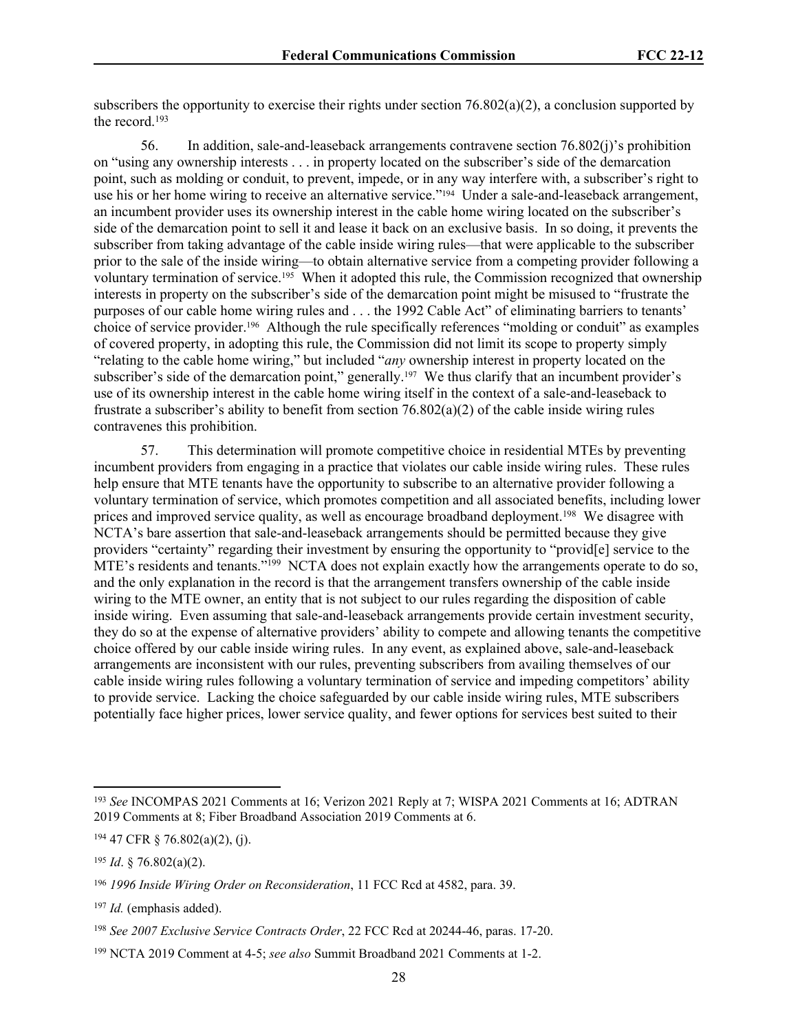subscribers the opportunity to exercise their rights under section 76.802(a)(2), a conclusion supported by the record 193

56. In addition, sale-and-leaseback arrangements contravene section 76.802(j)'s prohibition on "using any ownership interests . . . in property located on the subscriber's side of the demarcation point, such as molding or conduit, to prevent, impede, or in any way interfere with, a subscriber's right to use his or her home wiring to receive an alternative service."<sup>194</sup> Under a sale-and-leaseback arrangement, an incumbent provider uses its ownership interest in the cable home wiring located on the subscriber's side of the demarcation point to sell it and lease it back on an exclusive basis. In so doing, it prevents the subscriber from taking advantage of the cable inside wiring rules—that were applicable to the subscriber prior to the sale of the inside wiring—to obtain alternative service from a competing provider following a voluntary termination of service.195 When it adopted this rule, the Commission recognized that ownership interests in property on the subscriber's side of the demarcation point might be misused to "frustrate the purposes of our cable home wiring rules and . . . the 1992 Cable Act" of eliminating barriers to tenants' choice of service provider.196 Although the rule specifically references "molding or conduit" as examples of covered property, in adopting this rule, the Commission did not limit its scope to property simply "relating to the cable home wiring," but included "*any* ownership interest in property located on the subscriber's side of the demarcation point," generally.<sup>197</sup> We thus clarify that an incumbent provider's use of its ownership interest in the cable home wiring itself in the context of a sale-and-leaseback to frustrate a subscriber's ability to benefit from section 76.802(a)(2) of the cable inside wiring rules contravenes this prohibition.

57. This determination will promote competitive choice in residential MTEs by preventing incumbent providers from engaging in a practice that violates our cable inside wiring rules. These rules help ensure that MTE tenants have the opportunity to subscribe to an alternative provider following a voluntary termination of service, which promotes competition and all associated benefits, including lower prices and improved service quality, as well as encourage broadband deployment.<sup>198</sup> We disagree with NCTA's bare assertion that sale-and-leaseback arrangements should be permitted because they give providers "certainty" regarding their investment by ensuring the opportunity to "provid[e] service to the MTE's residents and tenants."<sup>199</sup> NCTA does not explain exactly how the arrangements operate to do so, and the only explanation in the record is that the arrangement transfers ownership of the cable inside wiring to the MTE owner, an entity that is not subject to our rules regarding the disposition of cable inside wiring. Even assuming that sale-and-leaseback arrangements provide certain investment security, they do so at the expense of alternative providers' ability to compete and allowing tenants the competitive choice offered by our cable inside wiring rules. In any event, as explained above, sale-and-leaseback arrangements are inconsistent with our rules, preventing subscribers from availing themselves of our cable inside wiring rules following a voluntary termination of service and impeding competitors' ability to provide service. Lacking the choice safeguarded by our cable inside wiring rules, MTE subscribers potentially face higher prices, lower service quality, and fewer options for services best suited to their

<sup>193</sup> *See* INCOMPAS 2021 Comments at 16; Verizon 2021 Reply at 7; WISPA 2021 Comments at 16; ADTRAN 2019 Comments at 8; Fiber Broadband Association 2019 Comments at 6.

<sup>194</sup> 47 CFR § 76.802(a)(2), (j).

<sup>195</sup> *Id*. § 76.802(a)(2).

<sup>196</sup> *1996 Inside Wiring Order on Reconsideration*, 11 FCC Rcd at 4582, para. 39.

<sup>197</sup> *Id.* (emphasis added).

<sup>198</sup> *See 2007 Exclusive Service Contracts Order*, 22 FCC Rcd at 20244-46, paras. 17-20.

<sup>199</sup> NCTA 2019 Comment at 4-5; *see also* Summit Broadband 2021 Comments at 1-2.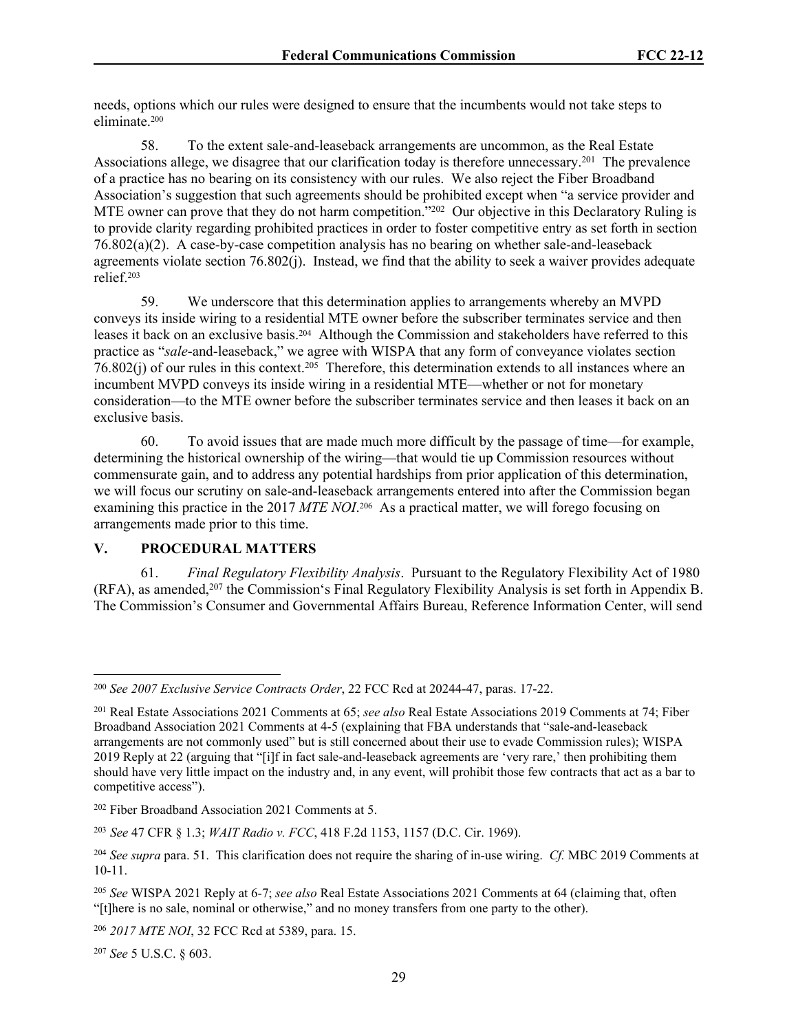needs, options which our rules were designed to ensure that the incumbents would not take steps to eliminate.<sup>200</sup>

58. To the extent sale-and-leaseback arrangements are uncommon, as the Real Estate Associations allege, we disagree that our clarification today is therefore unnecessary.<sup>201</sup> The prevalence of a practice has no bearing on its consistency with our rules. We also reject the Fiber Broadband Association's suggestion that such agreements should be prohibited except when "a service provider and MTE owner can prove that they do not harm competition."<sup>202</sup> Our objective in this Declaratory Ruling is to provide clarity regarding prohibited practices in order to foster competitive entry as set forth in section 76.802(a)(2). A case-by-case competition analysis has no bearing on whether sale-and-leaseback agreements violate section 76.802(j). Instead, we find that the ability to seek a waiver provides adequate relief.<sup>203</sup>

59. We underscore that this determination applies to arrangements whereby an MVPD conveys its inside wiring to a residential MTE owner before the subscriber terminates service and then leases it back on an exclusive basis.204 Although the Commission and stakeholders have referred to this practice as "*sale*-and-leaseback," we agree with WISPA that any form of conveyance violates section 76.802(j) of our rules in this context.<sup>205</sup> Therefore, this determination extends to all instances where an incumbent MVPD conveys its inside wiring in a residential MTE—whether or not for monetary consideration—to the MTE owner before the subscriber terminates service and then leases it back on an exclusive basis.

60. To avoid issues that are made much more difficult by the passage of time—for example, determining the historical ownership of the wiring—that would tie up Commission resources without commensurate gain, and to address any potential hardships from prior application of this determination, we will focus our scrutiny on sale-and-leaseback arrangements entered into after the Commission began examining this practice in the 2017 *MTE NOI*.<sup>206</sup> As a practical matter, we will forego focusing on arrangements made prior to this time.

#### **V. PROCEDURAL MATTERS**

61. *Final Regulatory Flexibility Analysis*. Pursuant to the Regulatory Flexibility Act of 1980 (RFA), as amended,<sup>207</sup> the Commission's Final Regulatory Flexibility Analysis is set forth in Appendix B. The Commission's Consumer and Governmental Affairs Bureau, Reference Information Center, will send

<sup>207</sup> *See* 5 U.S.C. § 603.

<sup>200</sup> *See 2007 Exclusive Service Contracts Order*, 22 FCC Rcd at 20244-47, paras. 17-22.

<sup>201</sup> Real Estate Associations 2021 Comments at 65; *see also* Real Estate Associations 2019 Comments at 74; Fiber Broadband Association 2021 Comments at 4-5 (explaining that FBA understands that "sale-and-leaseback arrangements are not commonly used" but is still concerned about their use to evade Commission rules); WISPA 2019 Reply at 22 (arguing that "[i]f in fact sale-and-leaseback agreements are 'very rare,' then prohibiting them should have very little impact on the industry and, in any event, will prohibit those few contracts that act as a bar to competitive access").

<sup>202</sup> Fiber Broadband Association 2021 Comments at 5.

<sup>203</sup> *See* 47 CFR § 1.3; *WAIT Radio v. FCC*, 418 F.2d 1153, 1157 (D.C. Cir. 1969).

<sup>204</sup> *See supra* para. 51. This clarification does not require the sharing of in-use wiring. *Cf.* MBC 2019 Comments at 10-11.

<sup>205</sup> *See* WISPA 2021 Reply at 6-7; *see also* Real Estate Associations 2021 Comments at 64 (claiming that, often "[t]here is no sale, nominal or otherwise," and no money transfers from one party to the other).

<sup>206</sup> *2017 MTE NOI*, 32 FCC Rcd at 5389, para. 15.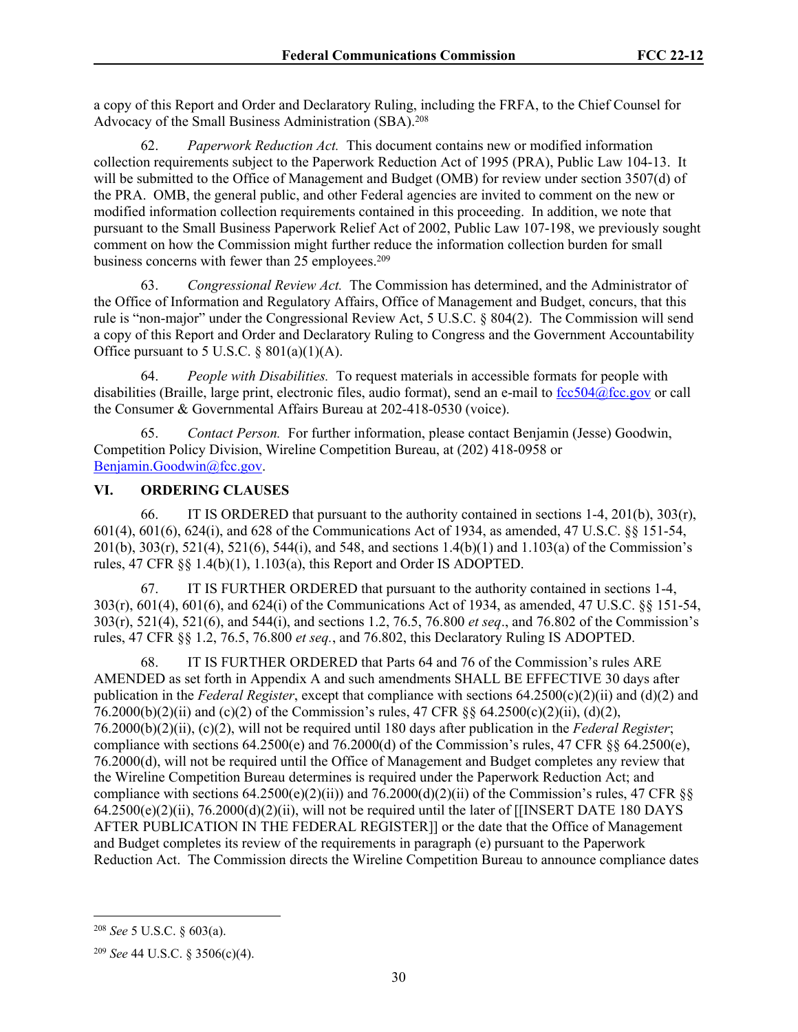a copy of this Report and Order and Declaratory Ruling, including the FRFA, to the Chief Counsel for Advocacy of the Small Business Administration (SBA).<sup>208</sup>

62. *Paperwork Reduction Act.* This document contains new or modified information collection requirements subject to the Paperwork Reduction Act of 1995 (PRA), Public Law 104-13. It will be submitted to the Office of Management and Budget (OMB) for review under section 3507(d) of the PRA. OMB, the general public, and other Federal agencies are invited to comment on the new or modified information collection requirements contained in this proceeding. In addition, we note that pursuant to the Small Business Paperwork Relief Act of 2002, Public Law 107-198, we previously sought comment on how the Commission might further reduce the information collection burden for small business concerns with fewer than 25 employees.<sup>209</sup>

63. *Congressional Review Act.* The Commission has determined, and the Administrator of the Office of Information and Regulatory Affairs, Office of Management and Budget, concurs, that this rule is "non-major" under the Congressional Review Act, 5 U.S.C. § 804(2). The Commission will send a copy of this Report and Order and Declaratory Ruling to Congress and the Government Accountability Office pursuant to 5 U.S.C.  $\S 801(a)(1)(A)$ .

64. *People with Disabilities.* To request materials in accessible formats for people with disabilities (Braille, large print, electronic files, audio format), send an e-mail to [fcc504@fcc.gov](mailto:fcc504@fcc.gov) or call the Consumer & Governmental Affairs Bureau at 202-418-0530 (voice).

65. *Contact Person.* For further information, please contact Benjamin (Jesse) Goodwin, Competition Policy Division, Wireline Competition Bureau, at (202) 418-0958 or [Benjamin.Goodwin@fcc.gov](mailto:Benjamin.Goodwin@fcc.gov).

### **VI. ORDERING CLAUSES**

66. IT IS ORDERED that pursuant to the authority contained in sections 1-4, 201(b), 303(r), 601(4), 601(6), 624(i), and 628 of the Communications Act of 1934, as amended, 47 U.S.C. §§ 151-54, 201(b), 303(r), 521(4), 521(6), 544(i), and 548, and sections 1.4(b)(1) and 1.103(a) of the Commission's rules, 47 CFR §§ 1.4(b)(1), 1.103(a), this Report and Order IS ADOPTED.

67. IT IS FURTHER ORDERED that pursuant to the authority contained in sections 1-4, 303(r), 601(4), 601(6), and 624(i) of the Communications Act of 1934, as amended, 47 U.S.C. §§ 151-54, 303(r), 521(4), 521(6), and 544(i), and sections 1.2, 76.5, 76.800 *et seq*., and 76.802 of the Commission's rules, 47 CFR §§ 1.2, 76.5, 76.800 *et seq.*, and 76.802, this Declaratory Ruling IS ADOPTED.

68. IT IS FURTHER ORDERED that Parts 64 and 76 of the Commission's rules ARE AMENDED as set forth in Appendix A and such amendments SHALL BE EFFECTIVE 30 days after publication in the *Federal Register*, except that compliance with sections 64.2500(c)(2)(ii) and (d)(2) and 76.2000(b)(2)(ii) and (c)(2) of the Commission's rules, 47 CFR  $\frac{86}{64.2500(c)(2)(ii)}$ , (d)(2), 76.2000(b)(2)(ii), (c)(2), will not be required until 180 days after publication in the *Federal Register*; compliance with sections  $64.2500(e)$  and  $76.2000(d)$  of the Commission's rules,  $47$  CFR  $\S$ §  $64.2500(e)$ , 76.2000(d), will not be required until the Office of Management and Budget completes any review that the Wireline Competition Bureau determines is required under the Paperwork Reduction Act; and compliance with sections  $64.2500(e)(2)(ii)$  and  $76.2000(d)(2)(ii)$  of the Commission's rules, 47 CFR  $\&$ 64.2500(e)(2)(ii), 76.2000(d)(2)(ii), will not be required until the later of [[INSERT DATE 180 DAYS AFTER PUBLICATION IN THE FEDERAL REGISTER]] or the date that the Office of Management and Budget completes its review of the requirements in paragraph (e) pursuant to the Paperwork Reduction Act. The Commission directs the Wireline Competition Bureau to announce compliance dates

<sup>208</sup> *See* 5 U.S.C. § 603(a).

<sup>209</sup> *See* 44 U.S.C. § 3506(c)(4).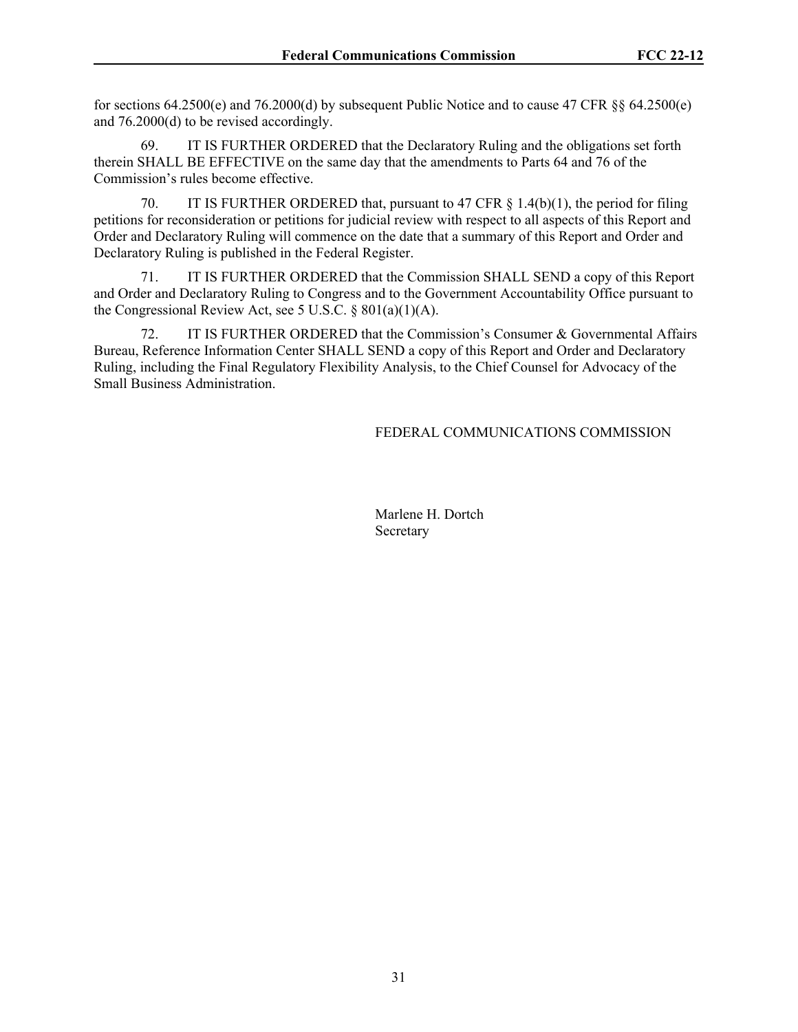for sections 64.2500(e) and 76.2000(d) by subsequent Public Notice and to cause 47 CFR §§ 64.2500(e) and 76.2000(d) to be revised accordingly.

69. IT IS FURTHER ORDERED that the Declaratory Ruling and the obligations set forth therein SHALL BE EFFECTIVE on the same day that the amendments to Parts 64 and 76 of the Commission's rules become effective.

70. IT IS FURTHER ORDERED that, pursuant to 47 CFR § 1.4(b)(1), the period for filing petitions for reconsideration or petitions for judicial review with respect to all aspects of this Report and Order and Declaratory Ruling will commence on the date that a summary of this Report and Order and Declaratory Ruling is published in the Federal Register.

71. IT IS FURTHER ORDERED that the Commission SHALL SEND a copy of this Report and Order and Declaratory Ruling to Congress and to the Government Accountability Office pursuant to the Congressional Review Act, see 5 U.S.C. § 801(a)(1)(A).

72. IT IS FURTHER ORDERED that the Commission's Consumer & Governmental Affairs Bureau, Reference Information Center SHALL SEND a copy of this Report and Order and Declaratory Ruling, including the Final Regulatory Flexibility Analysis, to the Chief Counsel for Advocacy of the Small Business Administration.

### FEDERAL COMMUNICATIONS COMMISSION

Marlene H. Dortch Secretary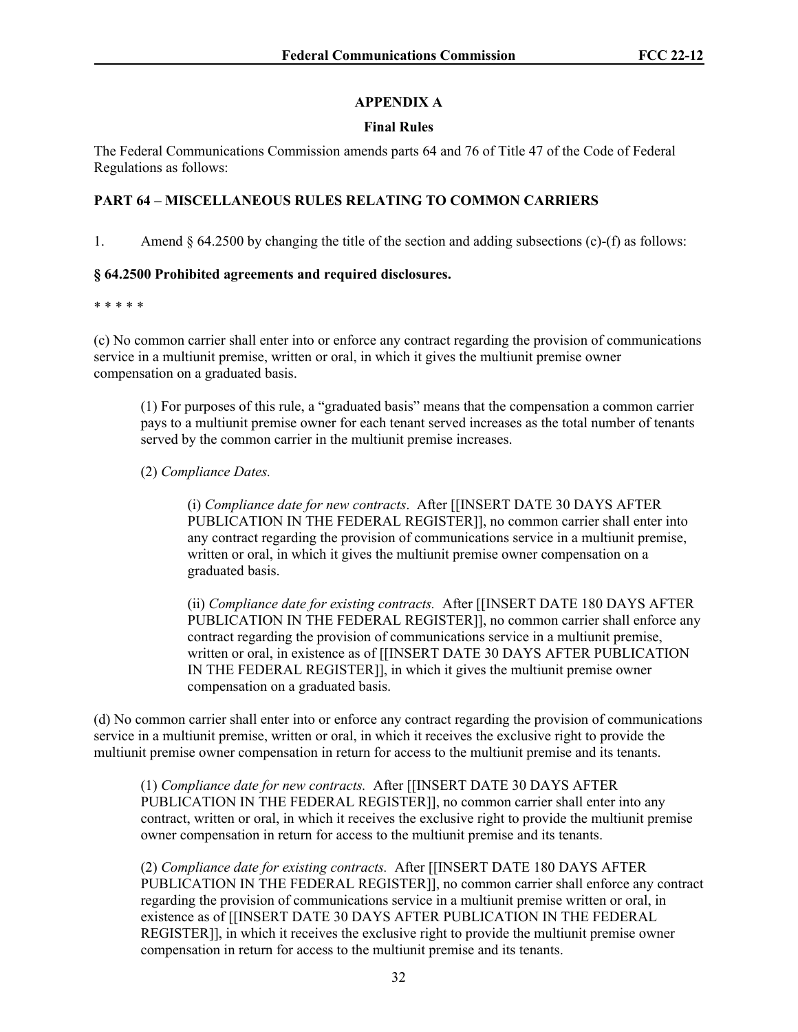# **APPENDIX A**

## **Final Rules**

The Federal Communications Commission amends parts 64 and 76 of Title 47 of the Code of Federal Regulations as follows:

# **PART 64 – MISCELLANEOUS RULES RELATING TO COMMON CARRIERS**

1. Amend  $\S 64.2500$  by changing the title of the section and adding subsections (c)-(f) as follows:

## **§ 64.2500 Prohibited agreements and required disclosures.**

#### \* \* \* \* \*

(c) No common carrier shall enter into or enforce any contract regarding the provision of communications service in a multiunit premise, written or oral, in which it gives the multiunit premise owner compensation on a graduated basis.

(1) For purposes of this rule, a "graduated basis" means that the compensation a common carrier pays to a multiunit premise owner for each tenant served increases as the total number of tenants served by the common carrier in the multiunit premise increases.

# (2) *Compliance Dates.*

(i) *Compliance date for new contracts*. After [[INSERT DATE 30 DAYS AFTER PUBLICATION IN THE FEDERAL REGISTER]], no common carrier shall enter into any contract regarding the provision of communications service in a multiunit premise, written or oral, in which it gives the multiunit premise owner compensation on a graduated basis.

(ii) *Compliance date for existing contracts.* After [[INSERT DATE 180 DAYS AFTER PUBLICATION IN THE FEDERAL REGISTER]], no common carrier shall enforce any contract regarding the provision of communications service in a multiunit premise, written or oral, in existence as of [[INSERT DATE 30 DAYS AFTER PUBLICATION IN THE FEDERAL REGISTER]], in which it gives the multiunit premise owner compensation on a graduated basis.

(d) No common carrier shall enter into or enforce any contract regarding the provision of communications service in a multiunit premise, written or oral, in which it receives the exclusive right to provide the multiunit premise owner compensation in return for access to the multiunit premise and its tenants.

(1) *Compliance date for new contracts.* After [[INSERT DATE 30 DAYS AFTER PUBLICATION IN THE FEDERAL REGISTER]], no common carrier shall enter into any contract, written or oral, in which it receives the exclusive right to provide the multiunit premise owner compensation in return for access to the multiunit premise and its tenants.

(2) *Compliance date for existing contracts.* After [[INSERT DATE 180 DAYS AFTER PUBLICATION IN THE FEDERAL REGISTER]], no common carrier shall enforce any contract regarding the provision of communications service in a multiunit premise written or oral, in existence as of [[INSERT DATE 30 DAYS AFTER PUBLICATION IN THE FEDERAL REGISTER]], in which it receives the exclusive right to provide the multiunit premise owner compensation in return for access to the multiunit premise and its tenants.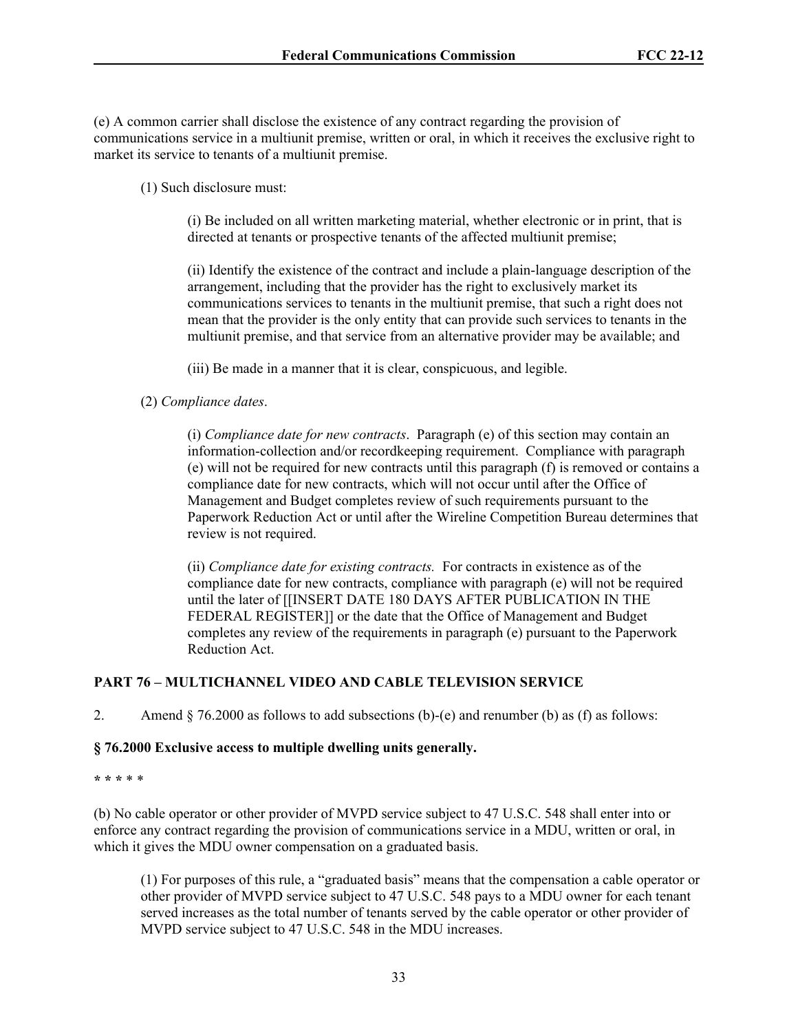(e) A common carrier shall disclose the existence of any contract regarding the provision of communications service in a multiunit premise, written or oral, in which it receives the exclusive right to market its service to tenants of a multiunit premise.

(1) Such disclosure must:

(i) Be included on all written marketing material, whether electronic or in print, that is directed at tenants or prospective tenants of the affected multiunit premise;

(ii) Identify the existence of the contract and include a plain-language description of the arrangement, including that the provider has the right to exclusively market its communications services to tenants in the multiunit premise, that such a right does not mean that the provider is the only entity that can provide such services to tenants in the multiunit premise, and that service from an alternative provider may be available; and

(iii) Be made in a manner that it is clear, conspicuous, and legible.

## (2) *Compliance dates*.

(i) *Compliance date for new contracts*. Paragraph (e) of this section may contain an information-collection and/or recordkeeping requirement. Compliance with paragraph (e) will not be required for new contracts until this paragraph (f) is removed or contains a compliance date for new contracts, which will not occur until after the Office of Management and Budget completes review of such requirements pursuant to the Paperwork Reduction Act or until after the Wireline Competition Bureau determines that review is not required.

(ii) *Compliance date for existing contracts.* For contracts in existence as of the compliance date for new contracts, compliance with paragraph (e) will not be required until the later of [[INSERT DATE 180 DAYS AFTER PUBLICATION IN THE FEDERAL REGISTER]] or the date that the Office of Management and Budget completes any review of the requirements in paragraph (e) pursuant to the Paperwork Reduction Act.

## **PART 76 – MULTICHANNEL VIDEO AND CABLE TELEVISION SERVICE**

2. Amend  $\S$  76.2000 as follows to add subsections (b)-(e) and renumber (b) as (f) as follows:

### **§ 76.2000 Exclusive access to multiple dwelling units generally.**

#### **\* \* \*** \* \*

(b) No cable operator or other provider of MVPD service subject to 47 U.S.C. 548 shall enter into or enforce any contract regarding the provision of communications service in a MDU, written or oral, in which it gives the MDU owner compensation on a graduated basis.

(1) For purposes of this rule, a "graduated basis" means that the compensation a cable operator or other provider of MVPD service subject to 47 U.S.C. 548 pays to a MDU owner for each tenant served increases as the total number of tenants served by the cable operator or other provider of MVPD service subject to 47 U.S.C. 548 in the MDU increases.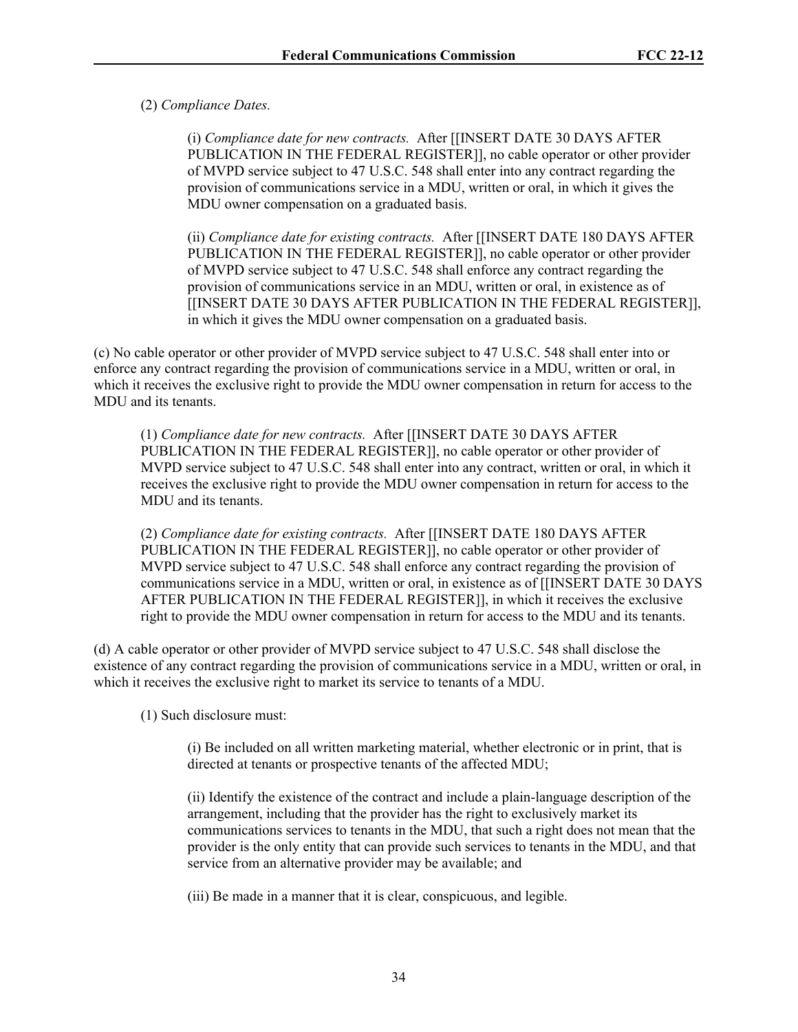## (2) *Compliance Dates.*

(i) *Compliance date for new contracts.* After [[INSERT DATE 30 DAYS AFTER PUBLICATION IN THE FEDERAL REGISTER]], no cable operator or other provider of MVPD service subject to 47 U.S.C. 548 shall enter into any contract regarding the provision of communications service in a MDU, written or oral, in which it gives the MDU owner compensation on a graduated basis.

(ii) *Compliance date for existing contracts.* After [[INSERT DATE 180 DAYS AFTER PUBLICATION IN THE FEDERAL REGISTER]], no cable operator or other provider of MVPD service subject to 47 U.S.C. 548 shall enforce any contract regarding the provision of communications service in an MDU, written or oral, in existence as of [[INSERT DATE 30 DAYS AFTER PUBLICATION IN THE FEDERAL REGISTER]], in which it gives the MDU owner compensation on a graduated basis.

(c) No cable operator or other provider of MVPD service subject to 47 U.S.C. 548 shall enter into or enforce any contract regarding the provision of communications service in a MDU, written or oral, in which it receives the exclusive right to provide the MDU owner compensation in return for access to the MDU and its tenants.

(1) *Compliance date for new contracts.* After [[INSERT DATE 30 DAYS AFTER PUBLICATION IN THE FEDERAL REGISTER]], no cable operator or other provider of MVPD service subject to 47 U.S.C. 548 shall enter into any contract, written or oral, in which it receives the exclusive right to provide the MDU owner compensation in return for access to the MDU and its tenants.

(2) *Compliance date for existing contracts.* After [[INSERT DATE 180 DAYS AFTER PUBLICATION IN THE FEDERAL REGISTER]], no cable operator or other provider of MVPD service subject to 47 U.S.C. 548 shall enforce any contract regarding the provision of communications service in a MDU, written or oral, in existence as of [[INSERT DATE 30 DAYS AFTER PUBLICATION IN THE FEDERAL REGISTER]], in which it receives the exclusive right to provide the MDU owner compensation in return for access to the MDU and its tenants.

(d) A cable operator or other provider of MVPD service subject to 47 U.S.C. 548 shall disclose the existence of any contract regarding the provision of communications service in a MDU, written or oral, in which it receives the exclusive right to market its service to tenants of a MDU.

(1) Such disclosure must:

(i) Be included on all written marketing material, whether electronic or in print, that is directed at tenants or prospective tenants of the affected MDU;

(ii) Identify the existence of the contract and include a plain-language description of the arrangement, including that the provider has the right to exclusively market its communications services to tenants in the MDU, that such a right does not mean that the provider is the only entity that can provide such services to tenants in the MDU, and that service from an alternative provider may be available; and

(iii) Be made in a manner that it is clear, conspicuous, and legible.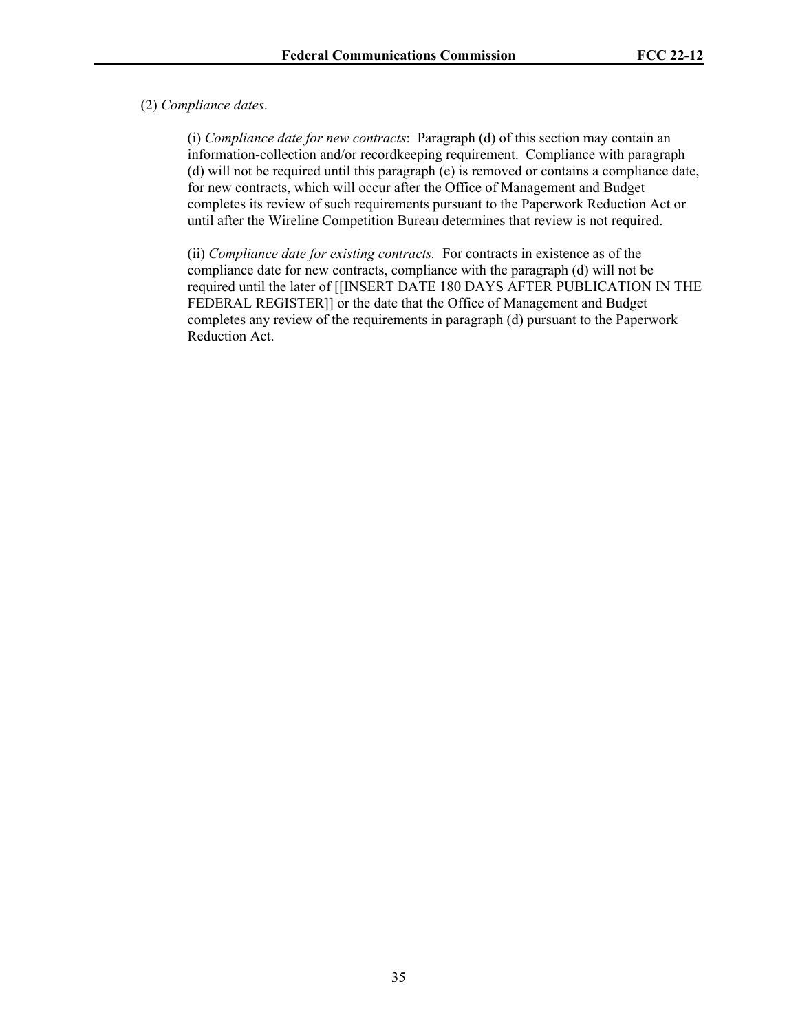### (2) *Compliance dates*.

(i) *Compliance date for new contracts*: Paragraph (d) of this section may contain an information-collection and/or recordkeeping requirement. Compliance with paragraph (d) will not be required until this paragraph (e) is removed or contains a compliance date, for new contracts, which will occur after the Office of Management and Budget completes its review of such requirements pursuant to the Paperwork Reduction Act or until after the Wireline Competition Bureau determines that review is not required.

(ii) *Compliance date for existing contracts.* For contracts in existence as of the compliance date for new contracts, compliance with the paragraph (d) will not be required until the later of [[INSERT DATE 180 DAYS AFTER PUBLICATION IN THE FEDERAL REGISTER]] or the date that the Office of Management and Budget completes any review of the requirements in paragraph (d) pursuant to the Paperwork Reduction Act.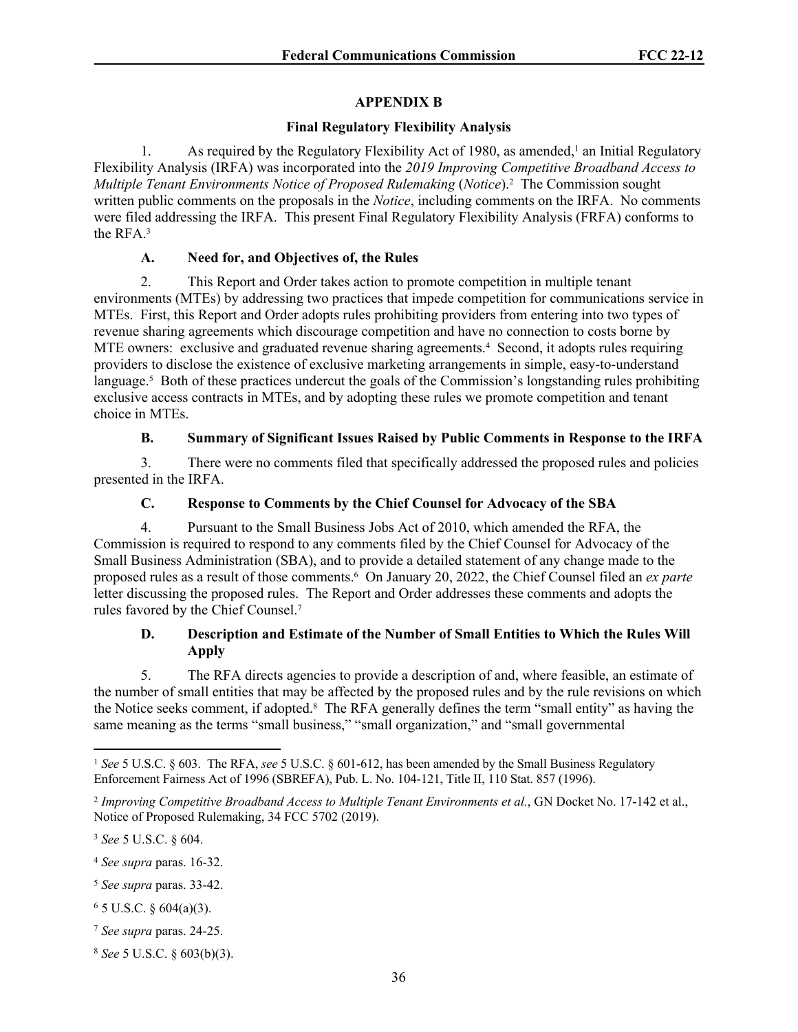## **APPENDIX B**

## **Final Regulatory Flexibility Analysis**

1. As required by the Regulatory Flexibility Act of 1980, as amended,<sup>1</sup> an Initial Regulatory Flexibility Analysis (IRFA) was incorporated into the *2019 Improving Competitive Broadband Access to*  Multiple Tenant Environments Notice of Proposed Rulemaking (Notice).<sup>2</sup> The Commission sought written public comments on the proposals in the *Notice*, including comments on the IRFA. No comments were filed addressing the IRFA. This present Final Regulatory Flexibility Analysis (FRFA) conforms to the RFA.<sup>3</sup>

## **A. Need for, and Objectives of, the Rules**

2. This Report and Order takes action to promote competition in multiple tenant environments (MTEs) by addressing two practices that impede competition for communications service in MTEs. First, this Report and Order adopts rules prohibiting providers from entering into two types of revenue sharing agreements which discourage competition and have no connection to costs borne by MTE owners: exclusive and graduated revenue sharing agreements.<sup>4</sup> Second, it adopts rules requiring providers to disclose the existence of exclusive marketing arrangements in simple, easy-to-understand language.<sup>5</sup> Both of these practices undercut the goals of the Commission's longstanding rules prohibiting exclusive access contracts in MTEs, and by adopting these rules we promote competition and tenant choice in MTEs.

# **B. Summary of Significant Issues Raised by Public Comments in Response to the IRFA**

3. There were no comments filed that specifically addressed the proposed rules and policies presented in the IRFA.

# **C. Response to Comments by the Chief Counsel for Advocacy of the SBA**

4. Pursuant to the Small Business Jobs Act of 2010, which amended the RFA, the Commission is required to respond to any comments filed by the Chief Counsel for Advocacy of the Small Business Administration (SBA), and to provide a detailed statement of any change made to the proposed rules as a result of those comments.<sup>6</sup> On January 20, 2022, the Chief Counsel filed an *ex parte*  letter discussing the proposed rules. The Report and Order addresses these comments and adopts the rules favored by the Chief Counsel.<sup>7</sup>

# **D. Description and Estimate of the Number of Small Entities to Which the Rules Will Apply**

5. The RFA directs agencies to provide a description of and, where feasible, an estimate of the number of small entities that may be affected by the proposed rules and by the rule revisions on which the Notice seeks comment, if adopted.<sup>8</sup> The RFA generally defines the term "small entity" as having the same meaning as the terms "small business," "small organization," and "small governmental

<sup>3</sup> *See* 5 U.S.C. § 604.

<sup>1</sup> *See* 5 U.S.C. § 603. The RFA, *see* 5 U.S.C. § 601-612, has been amended by the Small Business Regulatory Enforcement Fairness Act of 1996 (SBREFA), Pub. L. No. 104-121, Title II, 110 Stat. 857 (1996).

<sup>2</sup> *Improving Competitive Broadband Access to Multiple Tenant Environments et al.*, GN Docket No. 17-142 et al., Notice of Proposed Rulemaking, 34 FCC 5702 (2019).

<sup>4</sup> *See supra* paras. 16-32.

<sup>5</sup> *See supra* paras. 33-42.

 $6$  5 U.S.C. § 604(a)(3).

<sup>7</sup> *See supra* paras. 24-25.

<sup>8</sup> *See* 5 U.S.C. § 603(b)(3).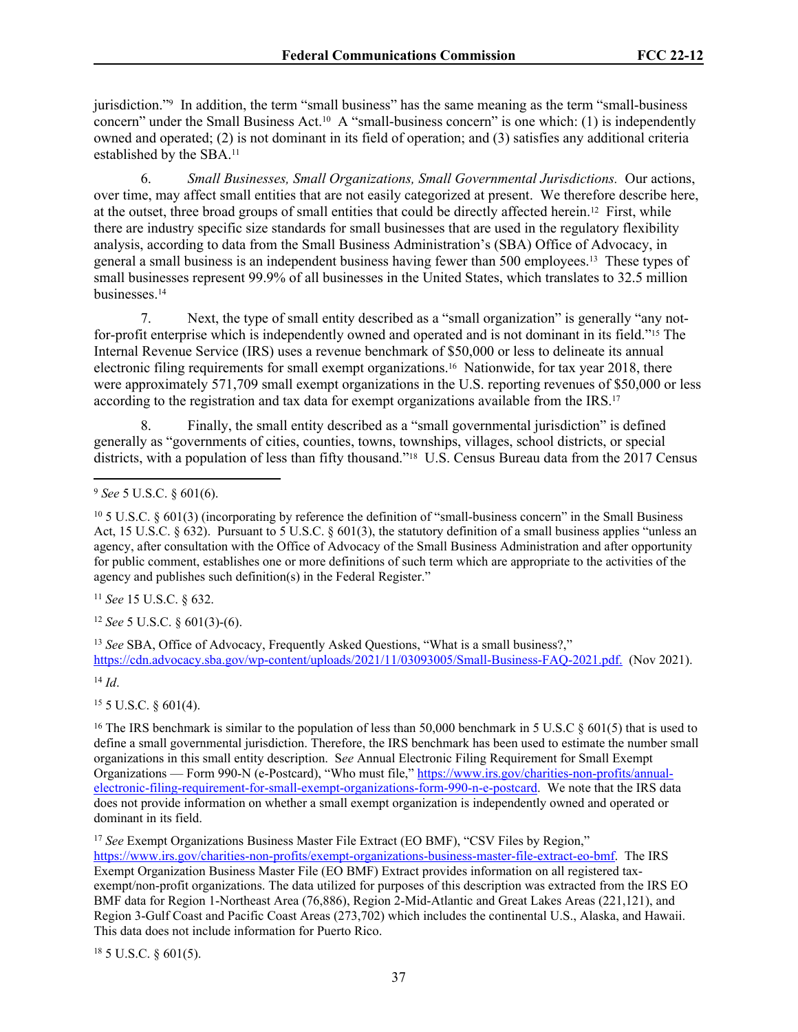jurisdiction."<sup>9</sup> In addition, the term "small business" has the same meaning as the term "small-business concern" under the Small Business Act.10 A "small-business concern" is one which: (1) is independently owned and operated; (2) is not dominant in its field of operation; and (3) satisfies any additional criteria established by the SBA.<sup>11</sup>

6. *Small Businesses, Small Organizations, Small Governmental Jurisdictions.* Our actions, over time, may affect small entities that are not easily categorized at present. We therefore describe here, at the outset, three broad groups of small entities that could be directly affected herein.12 First, while there are industry specific size standards for small businesses that are used in the regulatory flexibility analysis, according to data from the Small Business Administration's (SBA) Office of Advocacy, in general a small business is an independent business having fewer than 500 employees.13 These types of small businesses represent 99.9% of all businesses in the United States, which translates to 32.5 million businesses.<sup>14</sup>

7. Next, the type of small entity described as a "small organization" is generally "any notfor-profit enterprise which is independently owned and operated and is not dominant in its field."15 The Internal Revenue Service (IRS) uses a revenue benchmark of \$50,000 or less to delineate its annual electronic filing requirements for small exempt organizations.16 Nationwide, for tax year 2018, there were approximately 571,709 small exempt organizations in the U.S. reporting revenues of \$50,000 or less according to the registration and tax data for exempt organizations available from the IRS.<sup>17</sup>

8. Finally, the small entity described as a "small governmental jurisdiction" is defined generally as "governments of cities, counties, towns, townships, villages, school districts, or special districts, with a population of less than fifty thousand."<sup>18</sup> U.S. Census Bureau data from the 2017 Census

<sup>11</sup> *See* 15 U.S.C. § 632.

<sup>12</sup> *See* 5 U.S.C. § 601(3)-(6).

<sup>13</sup> *See* SBA, Office of Advocacy, Frequently Asked Questions, "What is a small business?," <https://cdn.advocacy.sba.gov/wp-content/uploads/2021/11/03093005/Small-Business-FAQ-2021.pdf>. (Nov 2021).

<sup>14</sup> *Id*.

 $15$  5 U.S.C.  $\frac{601(4)}{4}$ .

<sup>16</sup> The IRS benchmark is similar to the population of less than 50,000 benchmark in 5 U.S.C  $\S 601(5)$  that is used to define a small governmental jurisdiction. Therefore, the IRS benchmark has been used to estimate the number small organizations in this small entity description. S*ee* Annual Electronic Filing Requirement for Small Exempt Organizations — Form 990-N (e-Postcard), "Who must file," [https://www.irs.gov/charities-non-profits/annual](https://www.irs.gov/charities-non-profits/annual-electronic-filing-requirement-for-small-exempt-organizations-form-990-n-e-postcard)[electronic-filing-requirement-for-small-exempt-organizations-form-990-n-e-postcard](https://www.irs.gov/charities-non-profits/annual-electronic-filing-requirement-for-small-exempt-organizations-form-990-n-e-postcard). We note that the IRS data does not provide information on whether a small exempt organization is independently owned and operated or dominant in its field.

<sup>17</sup> See Exempt Organizations Business Master File Extract (EO BMF), "CSV Files by Region," [https://www.irs.gov/charities-non-profits/exempt-organizations-business-master-file-extract-eo-bmf.](https://www.irs.gov/charities-non-profits/exempt-organizations-business-master-file-extract-eo-bmf) The IRS Exempt Organization Business Master File (EO BMF) Extract provides information on all registered taxexempt/non-profit organizations. The data utilized for purposes of this description was extracted from the IRS EO BMF data for Region 1-Northeast Area (76,886), Region 2-Mid-Atlantic and Great Lakes Areas (221,121), and Region 3-Gulf Coast and Pacific Coast Areas (273,702) which includes the continental U.S., Alaska, and Hawaii. This data does not include information for Puerto Rico.

 $18$  5 U.S.C. § 601(5).

<sup>9</sup> *See* 5 U.S.C. § 601(6).

<sup>10</sup> 5 U.S.C. § 601(3) (incorporating by reference the definition of "small-business concern" in the Small Business Act, 15 U.S.C. § 632). Pursuant to 5 U.S.C. § 601(3), the statutory definition of a small business applies "unless an agency, after consultation with the Office of Advocacy of the Small Business Administration and after opportunity for public comment, establishes one or more definitions of such term which are appropriate to the activities of the agency and publishes such definition(s) in the Federal Register."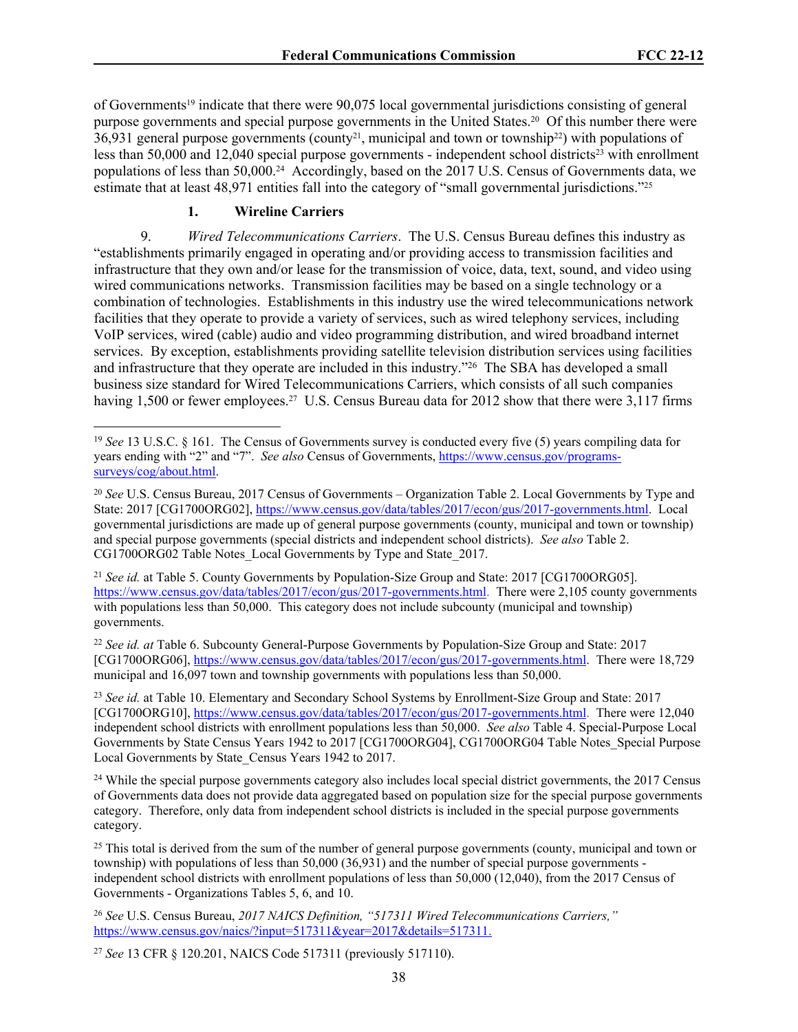of Governments19 indicate that there were 90,075 local governmental jurisdictions consisting of general purpose governments and special purpose governments in the United States.20 Of this number there were  $36,931$  general purpose governments (county<sup>21</sup>, municipal and town or township<sup>22</sup>) with populations of less than  $50,000$  and  $12,040$  special purpose governments - independent school districts<sup>23</sup> with enrollment populations of less than 50,000.24 Accordingly, based on the 2017 U.S. Census of Governments data, we estimate that at least 48,971 entities fall into the category of "small governmental jurisdictions."<sup>25</sup>

### **1. Wireline Carriers**

9. *Wired Telecommunications Carriers*. The U.S. Census Bureau defines this industry as "establishments primarily engaged in operating and/or providing access to transmission facilities and infrastructure that they own and/or lease for the transmission of voice, data, text, sound, and video using wired communications networks. Transmission facilities may be based on a single technology or a combination of technologies. Establishments in this industry use the wired telecommunications network facilities that they operate to provide a variety of services, such as wired telephony services, including VoIP services, wired (cable) audio and video programming distribution, and wired broadband internet services. By exception, establishments providing satellite television distribution services using facilities and infrastructure that they operate are included in this industry."<sup>26</sup> The SBA has developed a small business size standard for Wired Telecommunications Carriers, which consists of all such companies having 1,500 or fewer employees.<sup>27</sup> U.S. Census Bureau data for 2012 show that there were 3,117 firms

<sup>19</sup> *See* 13 U.S.C. § 161. The Census of Governments survey is conducted every five (5) years compiling data for years ending with "2" and "7". *See also* Census of Governments, [https://www.census.gov/programs](https://www.census.gov/programs-surveys/cog/about.html)[surveys/cog/about.html.](https://www.census.gov/programs-surveys/cog/about.html)

<sup>20</sup> *See* U.S. Census Bureau, 2017 Census of Governments – Organization Table 2. Local Governments by Type and State: 2017 [CG1700ORG02], [https://www.census.gov/data/tables/2017/econ/gus/2017-governments.html.](https://www.census.gov/data/tables/2017/econ/gus/2017-governments.html) Local governmental jurisdictions are made up of general purpose governments (county, municipal and town or township) and special purpose governments (special districts and independent school districts). *See also* Table 2. CG1700ORG02 Table Notes\_Local Governments by Type and State\_2017.

<sup>&</sup>lt;sup>21</sup> *See id.* at Table 5. County Governments by Population-Size Group and State: 2017 [CG1700ORG05]. <https://www.census.gov/data/tables/2017/econ/gus/2017-governments.html>. There were 2,105 county governments with populations less than 50,000. This category does not include subcounty (municipal and township) governments.

<sup>22</sup> *See id. at* Table 6. Subcounty General-Purpose Governments by Population-Size Group and State: 2017 [CG1700ORG06], <https://www.census.gov/data/tables/2017/econ/gus/2017-governments.html>. There were 18,729 municipal and 16,097 town and township governments with populations less than 50,000.

<sup>23</sup> *See id.* at Table 10. Elementary and Secondary School Systems by Enrollment-Size Group and State: 2017 [CG1700ORG10], <https://www.census.gov/data/tables/2017/econ/gus/2017-governments.html>. There were 12,040 independent school districts with enrollment populations less than 50,000. *See also* Table 4. Special-Purpose Local Governments by State Census Years 1942 to 2017 [CG1700ORG04], CG1700ORG04 Table Notes\_Special Purpose Local Governments by State\_Census Years 1942 to 2017.

<sup>&</sup>lt;sup>24</sup> While the special purpose governments category also includes local special district governments, the 2017 Census of Governments data does not provide data aggregated based on population size for the special purpose governments category. Therefore, only data from independent school districts is included in the special purpose governments category.

<sup>&</sup>lt;sup>25</sup> This total is derived from the sum of the number of general purpose governments (county, municipal and town or township) with populations of less than 50,000 (36,931) and the number of special purpose governments independent school districts with enrollment populations of less than 50,000 (12,040), from the 2017 Census of Governments - Organizations Tables 5, 6, and 10.

<sup>26</sup> *See* U.S. Census Bureau, *2017 NAICS Definition, "517311 Wired Telecommunications Carriers,"*  [https://www.census.gov/naics/?input=517311&year=2017&details=517311.](https://www.census.gov/naics/?input=517311&year=2017&details=517311)

<sup>27</sup> *See* 13 CFR § 120.201, NAICS Code 517311 (previously 517110).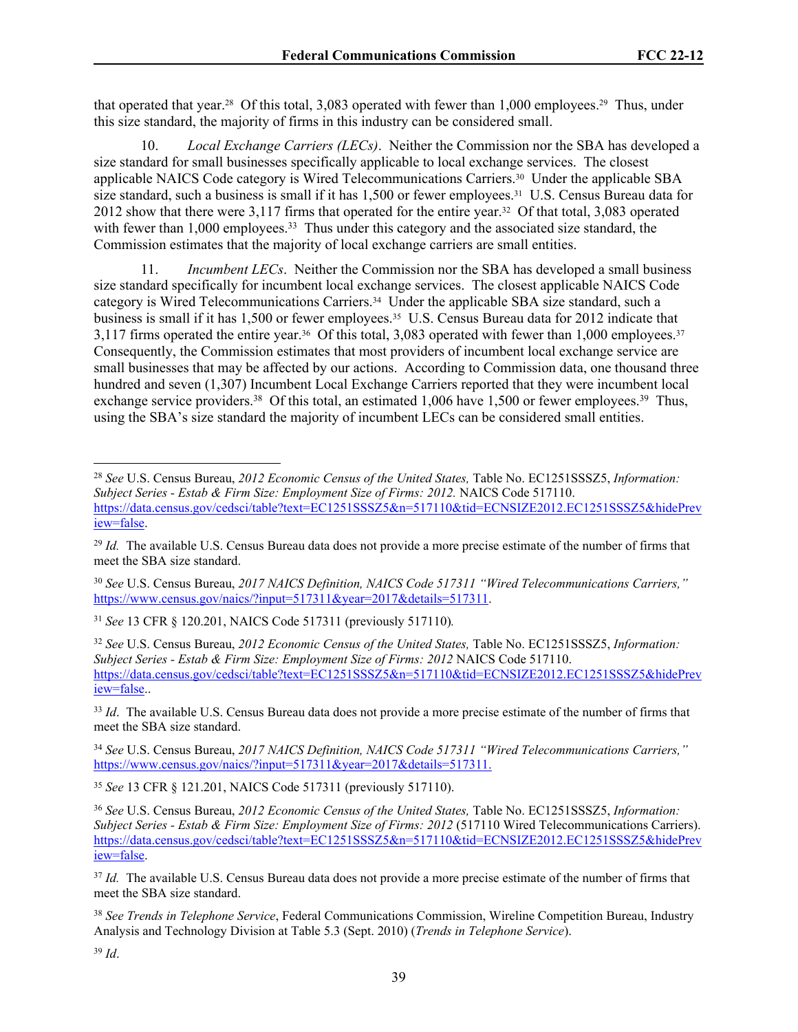that operated that year.28 Of this total, 3,083 operated with fewer than 1,000 employees.29 Thus, under this size standard, the majority of firms in this industry can be considered small.

10. *Local Exchange Carriers (LECs)*. Neither the Commission nor the SBA has developed a size standard for small businesses specifically applicable to local exchange services. The closest applicable NAICS Code category is Wired Telecommunications Carriers.30 Under the applicable SBA size standard, such a business is small if it has  $1.500$  or fewer employees.<sup>31</sup> U.S. Census Bureau data for 2012 show that there were 3,117 firms that operated for the entire year.32 Of that total, 3,083 operated with fewer than 1,000 employees.<sup>33</sup> Thus under this category and the associated size standard, the Commission estimates that the majority of local exchange carriers are small entities.

11. *Incumbent LECs*. Neither the Commission nor the SBA has developed a small business size standard specifically for incumbent local exchange services. The closest applicable NAICS Code category is Wired Telecommunications Carriers.34 Under the applicable SBA size standard, such a business is small if it has 1,500 or fewer employees.35 U.S. Census Bureau data for 2012 indicate that 3,117 firms operated the entire year.<sup>36</sup> Of this total, 3,083 operated with fewer than 1,000 employees.<sup>37</sup> Consequently, the Commission estimates that most providers of incumbent local exchange service are small businesses that may be affected by our actions. According to Commission data, one thousand three hundred and seven (1,307) Incumbent Local Exchange Carriers reported that they were incumbent local exchange service providers.<sup>38</sup> Of this total, an estimated 1,006 have 1,500 or fewer employees.<sup>39</sup> Thus, using the SBA's size standard the majority of incumbent LECs can be considered small entities.

<sup>31</sup> *See* 13 CFR § 120.201, NAICS Code 517311 (previously 517110)*.*

<sup>33</sup> *Id.* The available U.S. Census Bureau data does not provide a more precise estimate of the number of firms that meet the SBA size standard.

<sup>34</sup> *See* U.S. Census Bureau, *2017 NAICS Definition, NAICS Code 517311 "Wired Telecommunications Carriers,"* [https://www.census.gov/naics/?input=517311&year=2017&details=517311.](https://www.census.gov/naics/?input=517311&year=2017&details=517311)

<sup>35</sup> *See* 13 CFR § 121.201, NAICS Code 517311 (previously 517110).

<sup>38</sup> *See Trends in Telephone Service*, Federal Communications Commission, Wireline Competition Bureau, Industry Analysis and Technology Division at Table 5.3 (Sept. 2010) (*Trends in Telephone Service*).

<sup>39</sup> *Id*.

<sup>28</sup> *See* U.S. Census Bureau, *2012 Economic Census of the United States,* Table No. EC1251SSSZ5, *Information: Subject Series - Estab & Firm Size: Employment Size of Firms: 2012.* NAICS Code 517110. [https://data.census.gov/cedsci/table?text=EC1251SSSZ5&n=517110&tid=ECNSIZE2012.EC1251SSSZ5&hidePrev](https://data.census.gov/cedsci/table?text=EC1251SSSZ5&n=517110&tid=ECNSIZE2012.EC1251SSSZ5&hidePreview=false) [iew=false.](https://data.census.gov/cedsci/table?text=EC1251SSSZ5&n=517110&tid=ECNSIZE2012.EC1251SSSZ5&hidePreview=false)

<sup>&</sup>lt;sup>29</sup> *Id.* The available U.S. Census Bureau data does not provide a more precise estimate of the number of firms that meet the SBA size standard.

<sup>30</sup> *See* U.S. Census Bureau, *2017 NAICS Definition, NAICS Code 517311 "Wired Telecommunications Carriers,"* [https://www.census.gov/naics/?input=517311&year=2017&details=517311.](https://www.census.gov/naics/?input=517311&year=2017&details=517311)

<sup>32</sup> *See* U.S. Census Bureau, *2012 Economic Census of the United States,* Table No. EC1251SSSZ5, *Information: Subject Series - Estab & Firm Size: Employment Size of Firms: 2012* NAICS Code 517110. [https://data.census.gov/cedsci/table?text=EC1251SSSZ5&n=517110&tid=ECNSIZE2012.EC1251SSSZ5&hidePrev](https://data.census.gov/cedsci/table?text=EC1251SSSZ5&n=517110&tid=ECNSIZE2012.EC1251SSSZ5&hidePreview=false) [iew=false.](https://data.census.gov/cedsci/table?text=EC1251SSSZ5&n=517110&tid=ECNSIZE2012.EC1251SSSZ5&hidePreview=false).

<sup>36</sup> *See* U.S. Census Bureau, *2012 Economic Census of the United States,* Table No. EC1251SSSZ5, *Information: Subject Series - Estab & Firm Size: Employment Size of Firms: 2012* (517110 Wired Telecommunications Carriers). [https://data.census.gov/cedsci/table?text=EC1251SSSZ5&n=517110&tid=ECNSIZE2012.EC1251SSSZ5&hidePrev](https://data.census.gov/cedsci/table?text=EC1251SSSZ5&n=517110&tid=ECNSIZE2012.EC1251SSSZ5&hidePreview=false) [iew=false.](https://data.census.gov/cedsci/table?text=EC1251SSSZ5&n=517110&tid=ECNSIZE2012.EC1251SSSZ5&hidePreview=false)

<sup>&</sup>lt;sup>37</sup> *Id.* The available U.S. Census Bureau data does not provide a more precise estimate of the number of firms that meet the SBA size standard.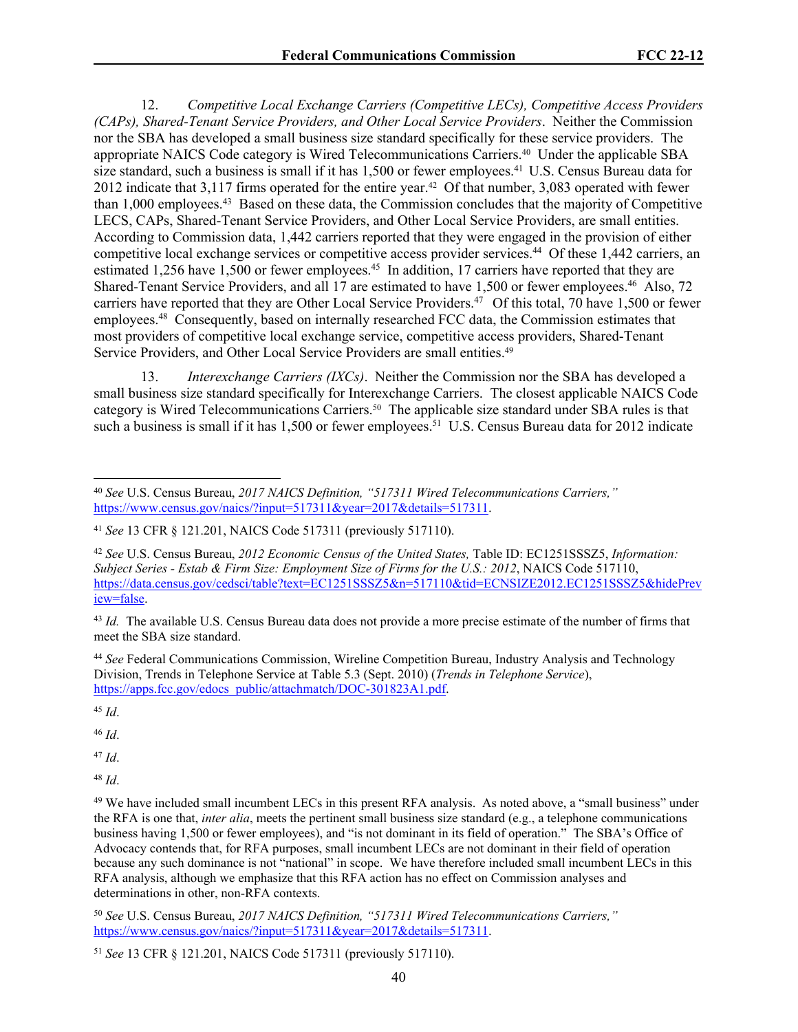12. *Competitive Local Exchange Carriers (Competitive LECs), Competitive Access Providers (CAPs), Shared-Tenant Service Providers, and Other Local Service Providers*. Neither the Commission nor the SBA has developed a small business size standard specifically for these service providers. The appropriate NAICS Code category is Wired Telecommunications Carriers.40 Under the applicable SBA size standard, such a business is small if it has 1,500 or fewer employees.<sup>41</sup> U.S. Census Bureau data for 2012 indicate that 3,117 firms operated for the entire year.<sup>42</sup> Of that number, 3,083 operated with fewer than 1,000 employees.<sup>43</sup> Based on these data, the Commission concludes that the majority of Competitive LECS, CAPs, Shared-Tenant Service Providers, and Other Local Service Providers, are small entities. According to Commission data, 1,442 carriers reported that they were engaged in the provision of either competitive local exchange services or competitive access provider services.<sup>44</sup> Of these 1,442 carriers, an estimated 1,256 have 1,500 or fewer employees.<sup>45</sup> In addition, 17 carriers have reported that they are Shared-Tenant Service Providers, and all 17 are estimated to have 1,500 or fewer employees.<sup>46</sup> Also, 72 carriers have reported that they are Other Local Service Providers.<sup>47</sup> Of this total, 70 have 1,500 or fewer employees.<sup>48</sup> Consequently, based on internally researched FCC data, the Commission estimates that most providers of competitive local exchange service, competitive access providers, Shared-Tenant Service Providers, and Other Local Service Providers are small entities.<sup>49</sup>

13. *Interexchange Carriers (IXCs)*. Neither the Commission nor the SBA has developed a small business size standard specifically for Interexchange Carriers. The closest applicable NAICS Code category is Wired Telecommunications Carriers.50 The applicable size standard under SBA rules is that such a business is small if it has 1,500 or fewer employees.<sup>51</sup> U.S. Census Bureau data for 2012 indicate

<sup>44</sup> *See* Federal Communications Commission, Wireline Competition Bureau, Industry Analysis and Technology Division, Trends in Telephone Service at Table 5.3 (Sept. 2010) (*Trends in Telephone Service*), [https://apps.fcc.gov/edocs\\_public/attachmatch/DOC-301823A1.pdf](https://apps.fcc.gov/edocs_public/attachmatch/DOC-301823A1.pdf).

<sup>45</sup> *Id*.

<sup>46</sup> *Id*.

<sup>47</sup> *Id*.

<sup>48</sup> *Id*.

<sup>49</sup> We have included small incumbent LECs in this present RFA analysis. As noted above, a "small business" under the RFA is one that, *inter alia*, meets the pertinent small business size standard (e.g., a telephone communications business having 1,500 or fewer employees), and "is not dominant in its field of operation." The SBA's Office of Advocacy contends that, for RFA purposes, small incumbent LECs are not dominant in their field of operation because any such dominance is not "national" in scope. We have therefore included small incumbent LECs in this RFA analysis, although we emphasize that this RFA action has no effect on Commission analyses and determinations in other, non-RFA contexts.

<sup>50</sup> *See* U.S. Census Bureau, *2017 NAICS Definition, "517311 Wired Telecommunications Carriers,"* [https://www.census.gov/naics/?input=517311&year=2017&details=517311.](https://www.census.gov/naics/?input=517311&year=2017&details=517311)

<sup>40</sup> *See* U.S. Census Bureau, *2017 NAICS Definition, "517311 Wired Telecommunications Carriers,"* [https://www.census.gov/naics/?input=517311&year=2017&details=517311.](https://www.census.gov/naics/?input=517311&year=2017&details=517311)

<sup>41</sup> *See* 13 CFR § 121.201, NAICS Code 517311 (previously 517110).

<sup>42</sup> *See* U.S. Census Bureau, *2012 Economic Census of the United States,* Table ID: EC1251SSSZ5, *Information: Subject Series - Estab & Firm Size: Employment Size of Firms for the U.S.: 2012*, NAICS Code 517110, [https://data.census.gov/cedsci/table?text=EC1251SSSZ5&n=517110&tid=ECNSIZE2012.EC1251SSSZ5&hidePrev](https://data.census.gov/cedsci/table?text=EC1251SSSZ5&n=517110&tid=ECNSIZE2012.EC1251SSSZ5&hidePreview=false) [iew=false.](https://data.census.gov/cedsci/table?text=EC1251SSSZ5&n=517110&tid=ECNSIZE2012.EC1251SSSZ5&hidePreview=false)

<sup>&</sup>lt;sup>43</sup> *Id.* The available U.S. Census Bureau data does not provide a more precise estimate of the number of firms that meet the SBA size standard.

<sup>51</sup> *See* 13 CFR § 121.201, NAICS Code 517311 (previously 517110).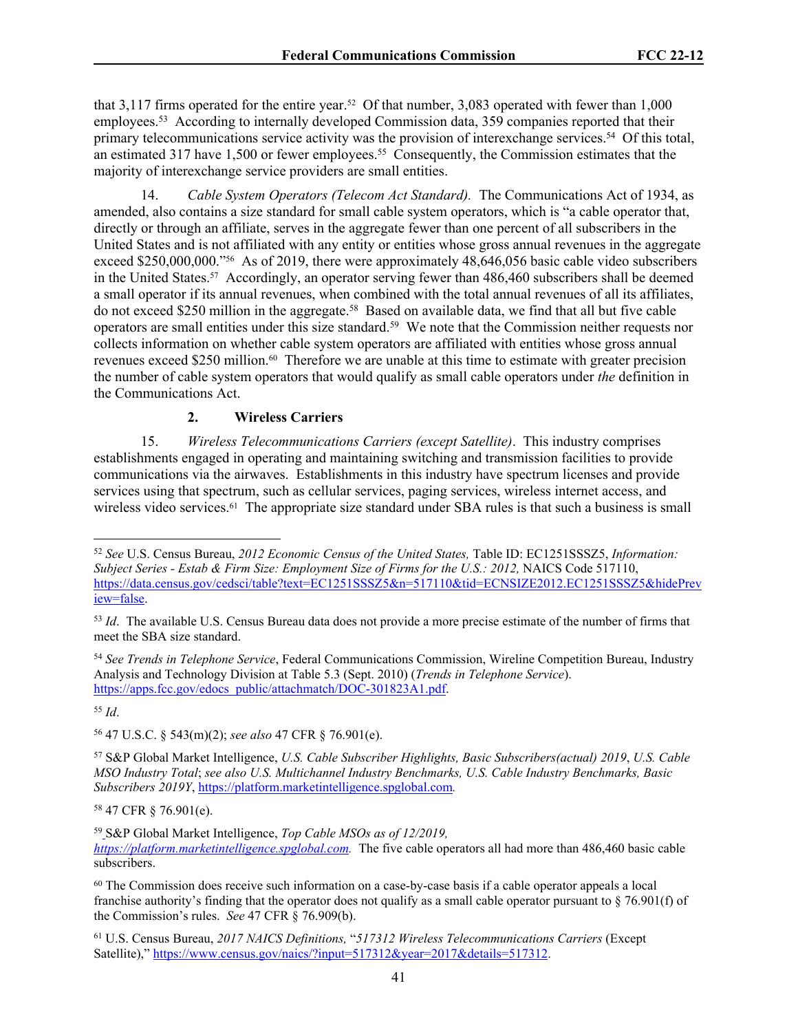that 3,117 firms operated for the entire year.52 Of that number, 3,083 operated with fewer than 1,000 employees.<sup>53</sup> According to internally developed Commission data, 359 companies reported that their primary telecommunications service activity was the provision of interexchange services.<sup>54</sup> Of this total, an estimated 317 have 1,500 or fewer employees.<sup>55</sup> Consequently, the Commission estimates that the majority of interexchange service providers are small entities.

14. *Cable System Operators (Telecom Act Standard).* The Communications Act of 1934, as amended, also contains a size standard for small cable system operators, which is "a cable operator that, directly or through an affiliate, serves in the aggregate fewer than one percent of all subscribers in the United States and is not affiliated with any entity or entities whose gross annual revenues in the aggregate exceed \$250,000,000."<sup>56</sup> As of 2019, there were approximately 48,646,056 basic cable video subscribers in the United States.57 Accordingly, an operator serving fewer than 486,460 subscribers shall be deemed a small operator if its annual revenues, when combined with the total annual revenues of all its affiliates, do not exceed \$250 million in the aggregate.<sup>58</sup> Based on available data, we find that all but five cable operators are small entities under this size standard.<sup>59</sup> We note that the Commission neither requests nor collects information on whether cable system operators are affiliated with entities whose gross annual revenues exceed \$250 million.<sup>60</sup> Therefore we are unable at this time to estimate with greater precision the number of cable system operators that would qualify as small cable operators under *the* definition in the Communications Act.

# **2. Wireless Carriers**

15. *Wireless Telecommunications Carriers (except Satellite)*. This industry comprises establishments engaged in operating and maintaining switching and transmission facilities to provide communications via the airwaves. Establishments in this industry have spectrum licenses and provide services using that spectrum, such as cellular services, paging services, wireless internet access, and wireless video services.<sup>61</sup> The appropriate size standard under SBA rules is that such a business is small

<sup>54</sup> *See Trends in Telephone Service*, Federal Communications Commission, Wireline Competition Bureau, Industry Analysis and Technology Division at Table 5.3 (Sept. 2010) (*Trends in Telephone Service*). [https://apps.fcc.gov/edocs\\_public/attachmatch/DOC-301823A1.pdf](https://apps.fcc.gov/edocs_public/attachmatch/DOC-301823A1.pdf).

<sup>55</sup> *Id*.

<sup>56</sup> 47 U.S.C. § 543(m)(2); *see also* 47 CFR § 76.901(e).

<sup>57</sup> S&P Global Market Intelligence, *U.S. Cable Subscriber Highlights, Basic Subscribers(actual) 2019*, *U.S. Cable MSO Industry Total*; *see also U.S. Multichannel Industry Benchmarks, U.S. Cable Industry Benchmarks, Basic Subscribers 2019Y*,<https://platform.marketintelligence.spglobal.com>*.* 

<sup>58</sup> 47 CFR § 76.901(e).

<sup>59</sup> S&P Global Market Intelligence, *Top Cable MSOs as of 12/2019, [https://platform.marketintelligence.spglobal.com.](https://platform.marketintelligence.spglobal.com)* The five cable operators all had more than 486,460 basic cable subscribers.

<sup>61</sup> U.S. Census Bureau, *2017 NAICS Definitions,* "*517312 Wireless Telecommunications Carriers* (Except Satellite)," [https://www.census.gov/naics/?input=517312&year=2017&details=517312.](https://www.census.gov/naics/?input=517312&year=2017&details=517312)

<sup>52</sup> *See* U.S. Census Bureau, *2012 Economic Census of the United States,* Table ID: EC1251SSSZ5, *Information: Subject Series - Estab & Firm Size: Employment Size of Firms for the U.S.: 2012,* NAICS Code 517110, [https://data.census.gov/cedsci/table?text=EC1251SSSZ5&n=517110&tid=ECNSIZE2012.EC1251SSSZ5&hidePrev](https://data.census.gov/cedsci/table?text=EC1251SSSZ5&n=517110&tid=ECNSIZE2012.EC1251SSSZ5&hidePreview=false) [iew=false.](https://data.census.gov/cedsci/table?text=EC1251SSSZ5&n=517110&tid=ECNSIZE2012.EC1251SSSZ5&hidePreview=false)

<sup>53</sup> *Id*. The available U.S. Census Bureau data does not provide a more precise estimate of the number of firms that meet the SBA size standard.

<sup>60</sup> The Commission does receive such information on a case-by-case basis if a cable operator appeals a local franchise authority's finding that the operator does not qualify as a small cable operator pursuant to  $\S$  76.901(f) of the Commission's rules. *See* 47 CFR § 76.909(b).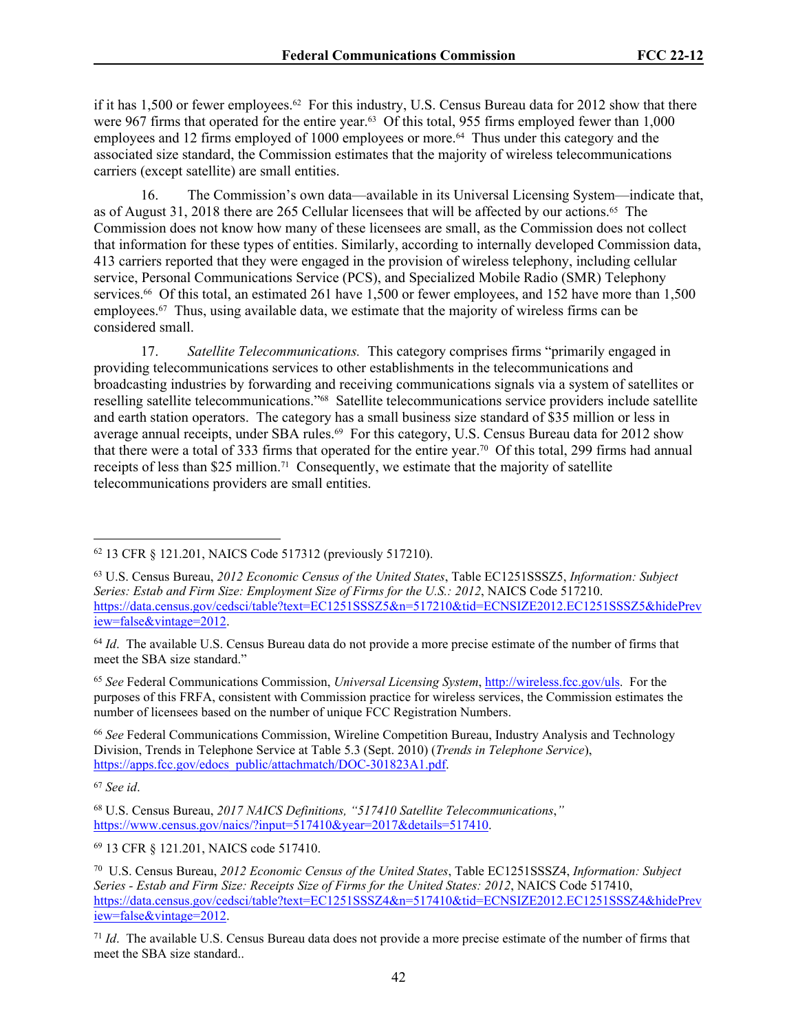if it has 1,500 or fewer employees.<sup>62</sup> For this industry, U.S. Census Bureau data for 2012 show that there were 967 firms that operated for the entire year.<sup>63</sup> Of this total, 955 firms employed fewer than 1,000 employees and 12 firms employed of 1000 employees or more.<sup>64</sup> Thus under this category and the associated size standard, the Commission estimates that the majority of wireless telecommunications carriers (except satellite) are small entities.

16. The Commission's own data—available in its Universal Licensing System—indicate that, as of August 31, 2018 there are 265 Cellular licensees that will be affected by our actions.65 The Commission does not know how many of these licensees are small, as the Commission does not collect that information for these types of entities. Similarly, according to internally developed Commission data, 413 carriers reported that they were engaged in the provision of wireless telephony, including cellular service, Personal Communications Service (PCS), and Specialized Mobile Radio (SMR) Telephony services.<sup>66</sup> Of this total, an estimated 261 have 1,500 or fewer employees, and 152 have more than 1,500 employees.<sup>67</sup> Thus, using available data, we estimate that the majority of wireless firms can be considered small.

17. *Satellite Telecommunications.* This category comprises firms "primarily engaged in providing telecommunications services to other establishments in the telecommunications and broadcasting industries by forwarding and receiving communications signals via a system of satellites or reselling satellite telecommunications."68 Satellite telecommunications service providers include satellite and earth station operators. The category has a small business size standard of \$35 million or less in average annual receipts, under SBA rules.<sup>69</sup> For this category, U.S. Census Bureau data for 2012 show that there were a total of 333 firms that operated for the entire year.70 Of this total, 299 firms had annual receipts of less than \$25 million.71 Consequently, we estimate that the majority of satellite telecommunications providers are small entities.

<sup>65</sup> *See* Federal Communications Commission, *Universal Licensing System*, [http://wireless.fcc.gov/uls.](http://wireless.fcc.gov/uls) For the purposes of this FRFA, consistent with Commission practice for wireless services, the Commission estimates the number of licensees based on the number of unique FCC Registration Numbers.

<sup>66</sup> *See* Federal Communications Commission, Wireline Competition Bureau, Industry Analysis and Technology Division, Trends in Telephone Service at Table 5.3 (Sept. 2010) (*Trends in Telephone Service*), [https://apps.fcc.gov/edocs\\_public/attachmatch/DOC-301823A1.pdf](https://apps.fcc.gov/edocs_public/attachmatch/DOC-301823A1.pdf).

<sup>67</sup> *See id*.

<sup>69</sup> 13 CFR § 121.201, NAICS code 517410.

<sup>62</sup> 13 CFR § 121.201, NAICS Code 517312 (previously 517210).

<sup>63</sup> U.S. Census Bureau, *2012 Economic Census of the United States*, Table EC1251SSSZ5, *Information: Subject Series: Estab and Firm Size: Employment Size of Firms for the U.S.: 2012*, NAICS Code 517210. [https://data.census.gov/cedsci/table?text=EC1251SSSZ5&n=517210&tid=ECNSIZE2012.EC1251SSSZ5&hidePrev](https://data.census.gov/cedsci/table?text=EC1251SSSZ5&n=517210&tid=ECNSIZE2012.EC1251SSSZ5&hidePreview=false&vintage=2012) [iew=false&vintage=2012.](https://data.census.gov/cedsci/table?text=EC1251SSSZ5&n=517210&tid=ECNSIZE2012.EC1251SSSZ5&hidePreview=false&vintage=2012)

<sup>64</sup> *Id*. The available U.S. Census Bureau data do not provide a more precise estimate of the number of firms that meet the SBA size standard."

<sup>68</sup> U.S. Census Bureau, *2017 NAICS Definitions, "517410 Satellite Telecommunications*,*"*  [https://www.census.gov/naics/?input=517410&year=2017&details=517410.](https://www.census.gov/naics/?input=517410&year=2017&details=517410)

<sup>70</sup> U.S. Census Bureau, *2012 Economic Census of the United States*, Table EC1251SSSZ4, *Information: Subject Series - Estab and Firm Size: Receipts Size of Firms for the United States: 2012*, NAICS Code 517410, [https://data.census.gov/cedsci/table?text=EC1251SSSZ4&n=517410&tid=ECNSIZE2012.EC1251SSSZ4&hidePrev](https://data.census.gov/cedsci/table?text=EC1251SSSZ4&n=517410&tid=ECNSIZE2012.EC1251SSSZ4&hidePreview=false&vintage=2012) [iew=false&vintage=2012.](https://data.census.gov/cedsci/table?text=EC1251SSSZ4&n=517410&tid=ECNSIZE2012.EC1251SSSZ4&hidePreview=false&vintage=2012)

<sup>71</sup> *Id*. The available U.S. Census Bureau data does not provide a more precise estimate of the number of firms that meet the SBA size standard..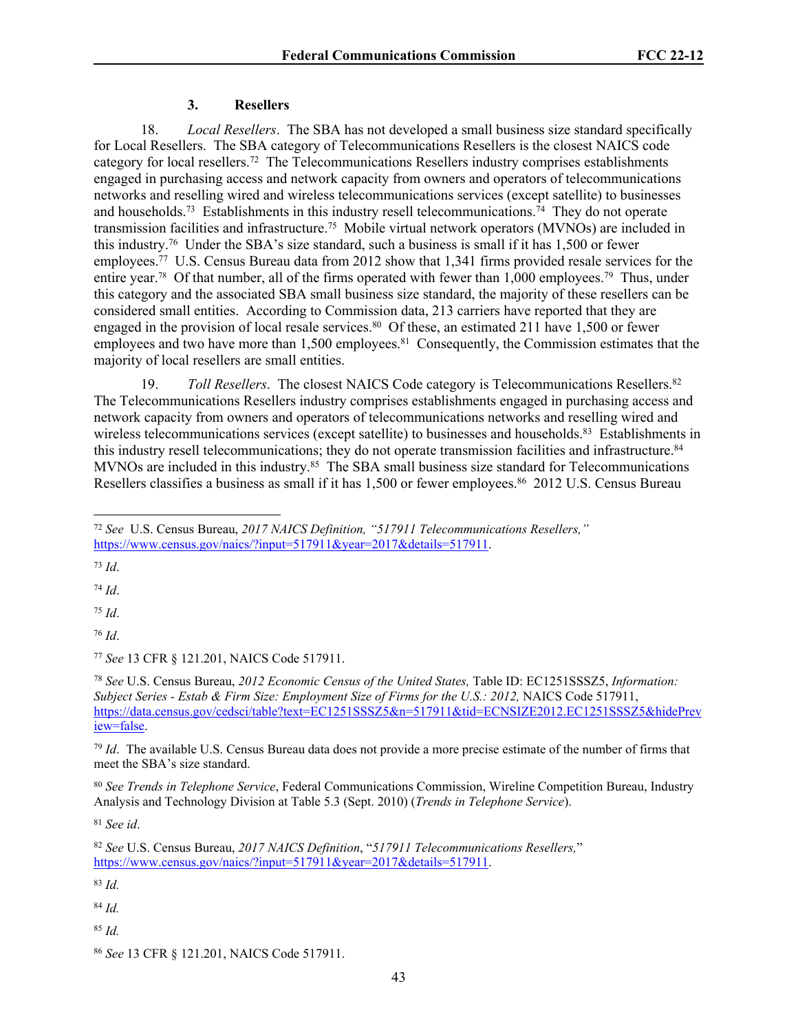### **3. Resellers**

18. *Local Resellers*. The SBA has not developed a small business size standard specifically for Local Resellers. The SBA category of Telecommunications Resellers is the closest NAICS code category for local resellers.<sup>72</sup> The Telecommunications Resellers industry comprises establishments engaged in purchasing access and network capacity from owners and operators of telecommunications networks and reselling wired and wireless telecommunications services (except satellite) to businesses and households.<sup>73</sup> Establishments in this industry resell telecommunications.<sup>74</sup> They do not operate transmission facilities and infrastructure.<sup>75</sup> Mobile virtual network operators (MVNOs) are included in this industry.<sup>76</sup> Under the SBA's size standard, such a business is small if it has 1,500 or fewer employees.<sup>77</sup> U.S. Census Bureau data from 2012 show that 1,341 firms provided resale services for the entire year.78 Of that number, all of the firms operated with fewer than 1,000 employees.<sup>79</sup> Thus, under this category and the associated SBA small business size standard, the majority of these resellers can be considered small entities. According to Commission data, 213 carriers have reported that they are engaged in the provision of local resale services.<sup>80</sup> Of these, an estimated 211 have 1,500 or fewer employees and two have more than 1,500 employees.<sup>81</sup> Consequently, the Commission estimates that the majority of local resellers are small entities.

19. *Toll Resellers*. The closest NAICS Code category is Telecommunications Resellers.<sup>82</sup> The Telecommunications Resellers industry comprises establishments engaged in purchasing access and network capacity from owners and operators of telecommunications networks and reselling wired and wireless telecommunications services (except satellite) to businesses and households.<sup>83</sup> Establishments in this industry resell telecommunications; they do not operate transmission facilities and infrastructure.<sup>84</sup> MVNOs are included in this industry.<sup>85</sup> The SBA small business size standard for Telecommunications Resellers classifies a business as small if it has 1,500 or fewer employees.<sup>86</sup> 2012 U.S. Census Bureau

<sup>73</sup> *Id*.

<sup>74</sup> *Id*.

<sup>75</sup> *Id*.

<sup>76</sup> *Id*.

<sup>77</sup> *See* 13 CFR § 121.201, NAICS Code 517911.

<sup>78</sup> *See* U.S. Census Bureau, *2012 Economic Census of the United States,* Table ID: EC1251SSSZ5, *Information: Subject Series - Estab & Firm Size: Employment Size of Firms for the U.S.: 2012,* NAICS Code 517911, [https://data.census.gov/cedsci/table?text=EC1251SSSZ5&n=517911&tid=ECNSIZE2012.EC1251SSSZ5&hidePrev](https://data.census.gov/cedsci/table?text=EC1251SSSZ5&n=517911&tid=ECNSIZE2012.EC1251SSSZ5&hidePreview=false) [iew=false.](https://data.census.gov/cedsci/table?text=EC1251SSSZ5&n=517911&tid=ECNSIZE2012.EC1251SSSZ5&hidePreview=false)

<sup>79</sup> *Id*. The available U.S. Census Bureau data does not provide a more precise estimate of the number of firms that meet the SBA's size standard.

<sup>80</sup> *See Trends in Telephone Service*, Federal Communications Commission, Wireline Competition Bureau, Industry Analysis and Technology Division at Table 5.3 (Sept. 2010) (*Trends in Telephone Service*).

<sup>81</sup> *See id*.

<sup>83</sup> *Id.*

<sup>84</sup> *Id.*

<sup>85</sup> *Id.*

<sup>72</sup> *See* U.S. Census Bureau, *2017 NAICS Definition, "517911 Telecommunications Resellers,"* [https://www.census.gov/naics/?input=517911&year=2017&details=517911.](https://www.census.gov/naics/?input=517911&year=2017&details=517911)

<sup>82</sup> *See* U.S. Census Bureau, *2017 NAICS Definition*, "*517911 Telecommunications Resellers,*" [https://www.census.gov/naics/?input=517911&year=2017&details=517911.](https://www.census.gov/naics/?input=517911&year=2017&details=517911)

<sup>86</sup> *See* 13 CFR § 121.201, NAICS Code 517911.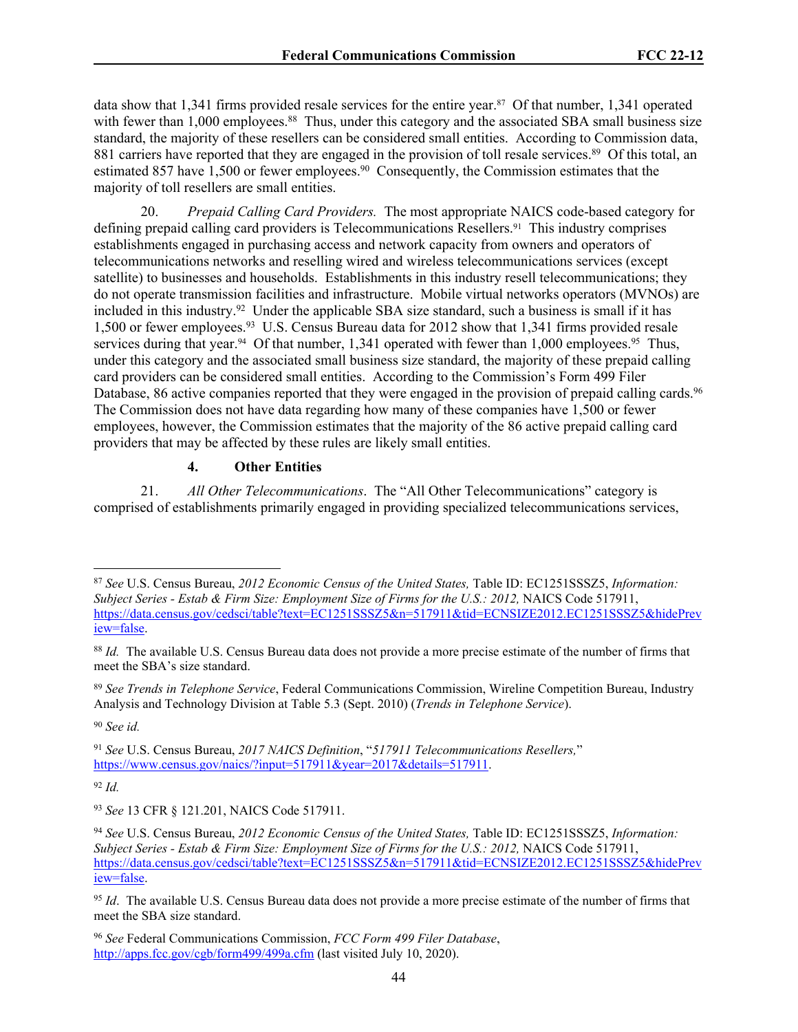data show that 1,341 firms provided resale services for the entire year.87 Of that number, 1,341 operated with fewer than 1,000 employees.<sup>88</sup> Thus, under this category and the associated SBA small business size standard, the majority of these resellers can be considered small entities. According to Commission data, 881 carriers have reported that they are engaged in the provision of toll resale services.<sup>89</sup> Of this total, an estimated 857 have 1,500 or fewer employees.<sup>90</sup> Consequently, the Commission estimates that the majority of toll resellers are small entities.

20. *Prepaid Calling Card Providers.* The most appropriate NAICS code-based category for defining prepaid calling card providers is Telecommunications Resellers.91 This industry comprises establishments engaged in purchasing access and network capacity from owners and operators of telecommunications networks and reselling wired and wireless telecommunications services (except satellite) to businesses and households. Establishments in this industry resell telecommunications; they do not operate transmission facilities and infrastructure. Mobile virtual networks operators (MVNOs) are included in this industry.<sup>92</sup> Under the applicable SBA size standard, such a business is small if it has 1,500 or fewer employees.<sup>93</sup> U.S. Census Bureau data for 2012 show that 1,341 firms provided resale services during that year.<sup>94</sup> Of that number, 1,341 operated with fewer than 1,000 employees.<sup>95</sup> Thus, under this category and the associated small business size standard, the majority of these prepaid calling card providers can be considered small entities. According to the Commission's Form 499 Filer Database, 86 active companies reported that they were engaged in the provision of prepaid calling cards.<sup>96</sup> The Commission does not have data regarding how many of these companies have 1,500 or fewer employees, however, the Commission estimates that the majority of the 86 active prepaid calling card providers that may be affected by these rules are likely small entities.

#### **4. Other Entities**

21. *All Other Telecommunications*.The "All Other Telecommunications" category is comprised of establishments primarily engaged in providing specialized telecommunications services,

<sup>89</sup> *See Trends in Telephone Service*, Federal Communications Commission, Wireline Competition Bureau, Industry Analysis and Technology Division at Table 5.3 (Sept. 2010) (*Trends in Telephone Service*).

<sup>90</sup> *See id.*

<sup>92</sup> *Id.*

<sup>87</sup> *See* U.S. Census Bureau, *2012 Economic Census of the United States,* Table ID: EC1251SSSZ5, *Information: Subject Series - Estab & Firm Size: Employment Size of Firms for the U.S.: 2012,* NAICS Code 517911, [https://data.census.gov/cedsci/table?text=EC1251SSSZ5&n=517911&tid=ECNSIZE2012.EC1251SSSZ5&hidePrev](https://data.census.gov/cedsci/table?text=EC1251SSSZ5&n=517911&tid=ECNSIZE2012.EC1251SSSZ5&hidePreview=false) [iew=false.](https://data.census.gov/cedsci/table?text=EC1251SSSZ5&n=517911&tid=ECNSIZE2012.EC1251SSSZ5&hidePreview=false)

<sup>88</sup> *Id.* The available U.S. Census Bureau data does not provide a more precise estimate of the number of firms that meet the SBA's size standard.

<sup>91</sup> *See* U.S. Census Bureau, *2017 NAICS Definition*, "*517911 Telecommunications Resellers,*" [https://www.census.gov/naics/?input=517911&year=2017&details=517911.](https://www.census.gov/naics/?input=517911&year=2017&details=517911)

<sup>93</sup> *See* 13 CFR § 121.201, NAICS Code 517911.

<sup>94</sup> *See* U.S. Census Bureau, *2012 Economic Census of the United States,* Table ID: EC1251SSSZ5, *Information: Subject Series - Estab & Firm Size: Employment Size of Firms for the U.S.: 2012,* NAICS Code 517911, [https://data.census.gov/cedsci/table?text=EC1251SSSZ5&n=517911&tid=ECNSIZE2012.EC1251SSSZ5&hidePrev](https://data.census.gov/cedsci/table?text=EC1251SSSZ5&n=517911&tid=ECNSIZE2012.EC1251SSSZ5&hidePreview=false) [iew=false.](https://data.census.gov/cedsci/table?text=EC1251SSSZ5&n=517911&tid=ECNSIZE2012.EC1251SSSZ5&hidePreview=false)

<sup>&</sup>lt;sup>95</sup> *Id.* The available U.S. Census Bureau data does not provide a more precise estimate of the number of firms that meet the SBA size standard.

<sup>96</sup> *See* Federal Communications Commission, *FCC Form 499 Filer Database*, <http://apps.fcc.gov/cgb/form499/499a.cfm> (last visited July 10, 2020).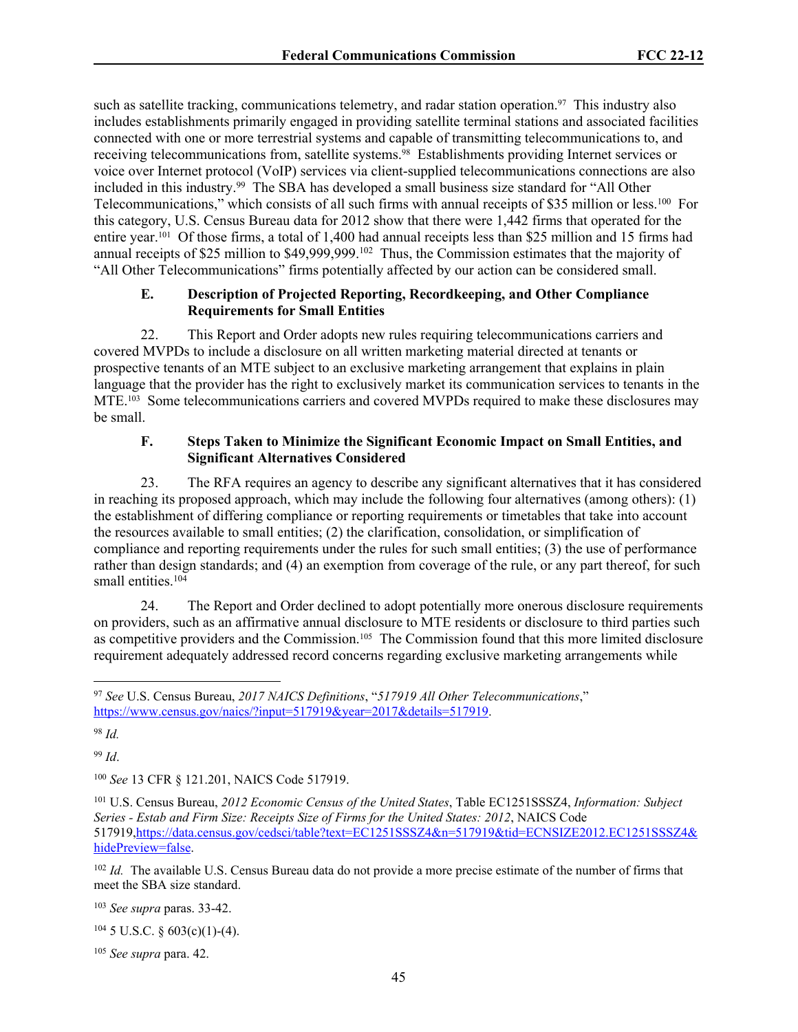such as satellite tracking, communications telemetry, and radar station operation.<sup>97</sup> This industry also includes establishments primarily engaged in providing satellite terminal stations and associated facilities connected with one or more terrestrial systems and capable of transmitting telecommunications to, and receiving telecommunications from, satellite systems.<sup>98</sup> Establishments providing Internet services or voice over Internet protocol (VoIP) services via client-supplied telecommunications connections are also included in this industry.<sup>99</sup> The SBA has developed a small business size standard for "All Other Telecommunications," which consists of all such firms with annual receipts of \$35 million or less.<sup>100</sup> For this category, U.S. Census Bureau data for 2012 show that there were 1,442 firms that operated for the entire year.101 Of those firms, a total of 1,400 had annual receipts less than \$25 million and 15 firms had annual receipts of \$25 million to \$49,999,999.<sup>102</sup> Thus, the Commission estimates that the majority of "All Other Telecommunications" firms potentially affected by our action can be considered small.

## **E. Description of Projected Reporting, Recordkeeping, and Other Compliance Requirements for Small Entities**

22. This Report and Order adopts new rules requiring telecommunications carriers and covered MVPDs to include a disclosure on all written marketing material directed at tenants or prospective tenants of an MTE subject to an exclusive marketing arrangement that explains in plain language that the provider has the right to exclusively market its communication services to tenants in the MTE.103 Some telecommunications carriers and covered MVPDs required to make these disclosures may be small.

## **F. Steps Taken to Minimize the Significant Economic Impact on Small Entities, and Significant Alternatives Considered**

23. The RFA requires an agency to describe any significant alternatives that it has considered in reaching its proposed approach, which may include the following four alternatives (among others): (1) the establishment of differing compliance or reporting requirements or timetables that take into account the resources available to small entities; (2) the clarification, consolidation, or simplification of compliance and reporting requirements under the rules for such small entities; (3) the use of performance rather than design standards; and (4) an exemption from coverage of the rule, or any part thereof, for such small entities.<sup>104</sup>

24. The Report and Order declined to adopt potentially more onerous disclosure requirements on providers, such as an affirmative annual disclosure to MTE residents or disclosure to third parties such as competitive providers and the Commission.105 The Commission found that this more limited disclosure requirement adequately addressed record concerns regarding exclusive marketing arrangements while

<sup>98</sup> *Id.*

<sup>99</sup> *Id*.

<sup>100</sup> *See* 13 CFR § 121.201, NAICS Code 517919.

<sup>102</sup> *Id.* The available U.S. Census Bureau data do not provide a more precise estimate of the number of firms that meet the SBA size standard.

<sup>103</sup> *See supra* paras. 33-42.

 $104$  5 U.S.C. § 603(c)(1)-(4).

<sup>105</sup> *See supra* para. 42.

<sup>97</sup> *See* U.S. Census Bureau, *2017 NAICS Definitions*, "*517919 All Other Telecommunications*," [https://www.census.gov/naics/?input=517919&year=2017&details=517919.](https://www.census.gov/naics/?input=517919&year=2017&details=517919)

<sup>101</sup> U.S. Census Bureau, *2012 Economic Census of the United States*, Table EC1251SSSZ4, *Information: Subject Series - Estab and Firm Size: Receipts Size of Firms for the United States: 2012*, NAICS Code 517919[,https://data.census.gov/cedsci/table?text=EC1251SSSZ4&n=517919&tid=ECNSIZE2012.EC1251SSSZ4&](https://data.census.gov/cedsci/table?text=EC1251SSSZ4&n=517919&tid=ECNSIZE2012.EC1251SSSZ4&hidePreview=false) [hidePreview=false.](https://data.census.gov/cedsci/table?text=EC1251SSSZ4&n=517919&tid=ECNSIZE2012.EC1251SSSZ4&hidePreview=false)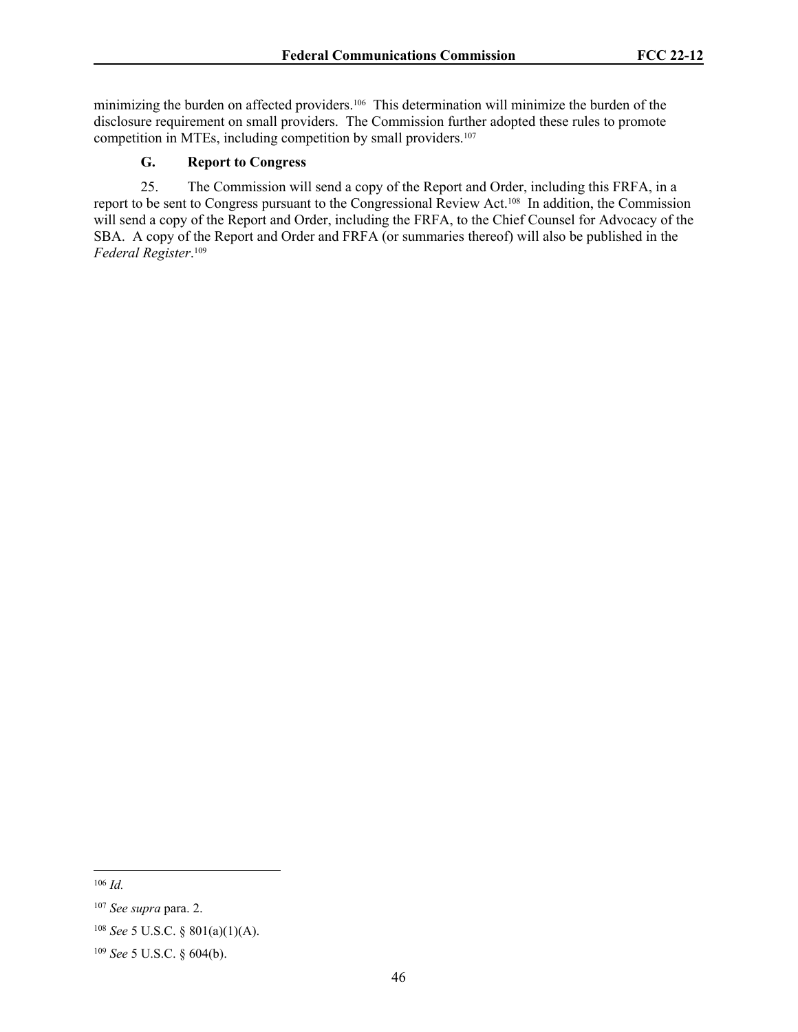minimizing the burden on affected providers.106 This determination will minimize the burden of the disclosure requirement on small providers. The Commission further adopted these rules to promote competition in MTEs, including competition by small providers.<sup>107</sup>

# **G. Report to Congress**

25. The Commission will send a copy of the Report and Order, including this FRFA, in a report to be sent to Congress pursuant to the Congressional Review Act.108 In addition, the Commission will send a copy of the Report and Order, including the FRFA, to the Chief Counsel for Advocacy of the SBA. A copy of the Report and Order and FRFA (or summaries thereof) will also be published in the *Federal Register*. 109

<sup>106</sup> *Id.*

<sup>107</sup> *See supra* para. 2.

<sup>108</sup> *See* 5 U.S.C. § 801(a)(1)(A).

<sup>109</sup> *See* 5 U.S.C. § 604(b).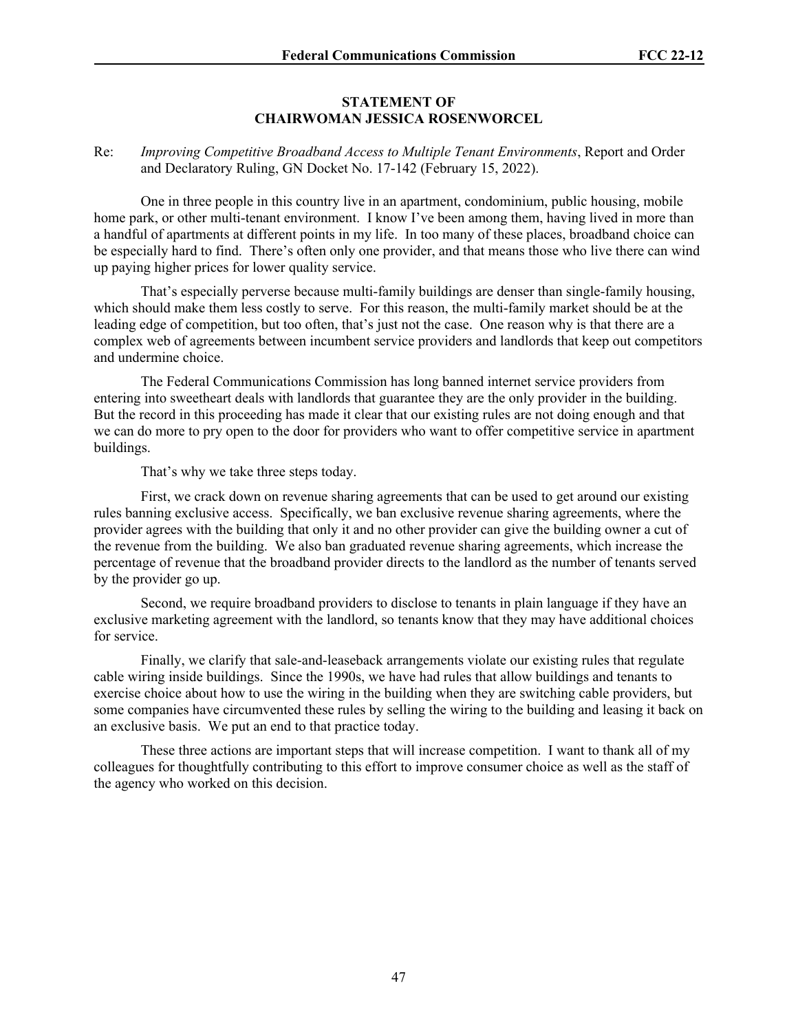#### **STATEMENT OF CHAIRWOMAN JESSICA ROSENWORCEL**

### Re: *Improving Competitive Broadband Access to Multiple Tenant Environments*, Report and Order and Declaratory Ruling, GN Docket No. 17-142 (February 15, 2022).

One in three people in this country live in an apartment, condominium, public housing, mobile home park, or other multi-tenant environment. I know I've been among them, having lived in more than a handful of apartments at different points in my life. In too many of these places, broadband choice can be especially hard to find. There's often only one provider, and that means those who live there can wind up paying higher prices for lower quality service.

That's especially perverse because multi-family buildings are denser than single-family housing, which should make them less costly to serve. For this reason, the multi-family market should be at the leading edge of competition, but too often, that's just not the case. One reason why is that there are a complex web of agreements between incumbent service providers and landlords that keep out competitors and undermine choice.

The Federal Communications Commission has long banned internet service providers from entering into sweetheart deals with landlords that guarantee they are the only provider in the building. But the record in this proceeding has made it clear that our existing rules are not doing enough and that we can do more to pry open to the door for providers who want to offer competitive service in apartment buildings.

That's why we take three steps today.

First, we crack down on revenue sharing agreements that can be used to get around our existing rules banning exclusive access. Specifically, we ban exclusive revenue sharing agreements, where the provider agrees with the building that only it and no other provider can give the building owner a cut of the revenue from the building. We also ban graduated revenue sharing agreements, which increase the percentage of revenue that the broadband provider directs to the landlord as the number of tenants served by the provider go up.

Second, we require broadband providers to disclose to tenants in plain language if they have an exclusive marketing agreement with the landlord, so tenants know that they may have additional choices for service.

Finally, we clarify that sale-and-leaseback arrangements violate our existing rules that regulate cable wiring inside buildings. Since the 1990s, we have had rules that allow buildings and tenants to exercise choice about how to use the wiring in the building when they are switching cable providers, but some companies have circumvented these rules by selling the wiring to the building and leasing it back on an exclusive basis. We put an end to that practice today.

These three actions are important steps that will increase competition. I want to thank all of my colleagues for thoughtfully contributing to this effort to improve consumer choice as well as the staff of the agency who worked on this decision.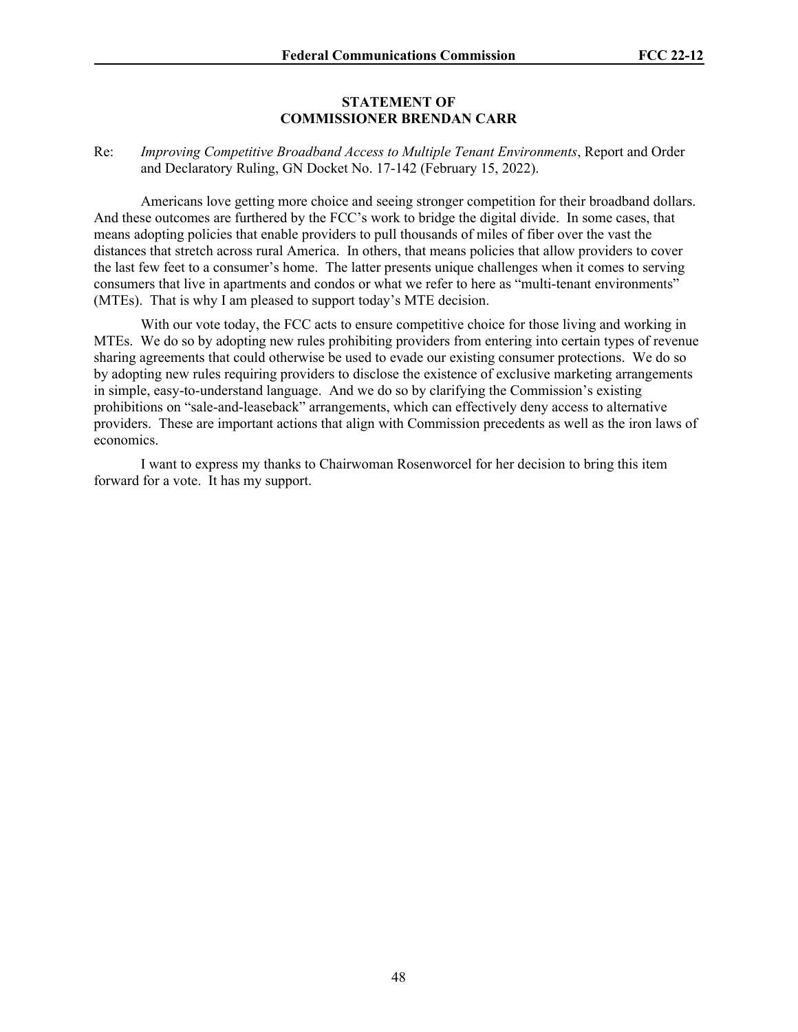#### **STATEMENT OF COMMISSIONER BRENDAN CARR**

### Re: *Improving Competitive Broadband Access to Multiple Tenant Environments*, Report and Order and Declaratory Ruling, GN Docket No. 17-142 (February 15, 2022).

Americans love getting more choice and seeing stronger competition for their broadband dollars. And these outcomes are furthered by the FCC's work to bridge the digital divide. In some cases, that means adopting policies that enable providers to pull thousands of miles of fiber over the vast the distances that stretch across rural America. In others, that means policies that allow providers to cover the last few feet to a consumer's home. The latter presents unique challenges when it comes to serving consumers that live in apartments and condos or what we refer to here as "multi-tenant environments" (MTEs). That is why I am pleased to support today's MTE decision.

With our vote today, the FCC acts to ensure competitive choice for those living and working in MTEs. We do so by adopting new rules prohibiting providers from entering into certain types of revenue sharing agreements that could otherwise be used to evade our existing consumer protections. We do so by adopting new rules requiring providers to disclose the existence of exclusive marketing arrangements in simple, easy-to-understand language. And we do so by clarifying the Commission's existing prohibitions on "sale-and-leaseback" arrangements, which can effectively deny access to alternative providers. These are important actions that align with Commission precedents as well as the iron laws of economics.

I want to express my thanks to Chairwoman Rosenworcel for her decision to bring this item forward for a vote. It has my support.